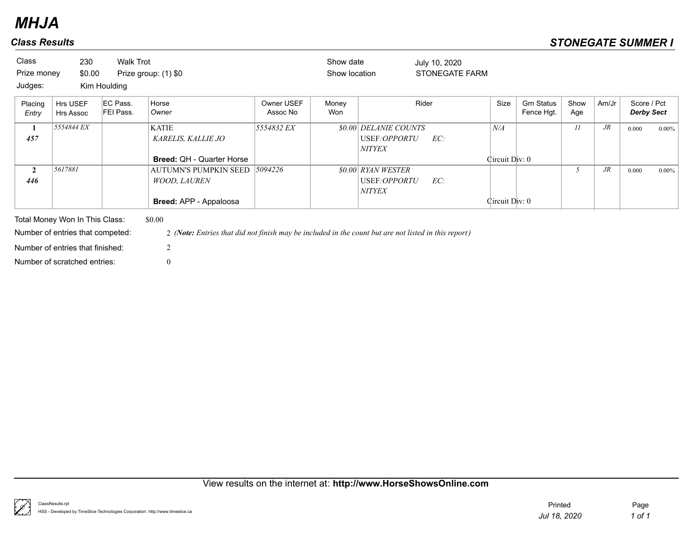| <b>Class</b><br>Prize money<br>Judges: | 230<br>\$0.00                  | Walk Trot<br>Kim Houlding | Prize group: (1) \$0                                                          |                        | Show date<br>Show location |                                                            | July 10, 2020<br><b>STONEGATE FARM</b> |                       |                                 |             |        |                                  |          |
|----------------------------------------|--------------------------------|---------------------------|-------------------------------------------------------------------------------|------------------------|----------------------------|------------------------------------------------------------|----------------------------------------|-----------------------|---------------------------------|-------------|--------|----------------------------------|----------|
| Placing<br>Entry                       | Hrs USEF<br>Hrs Assoc          | EC Pass.<br>FEI Pass.     | Horse<br>Owner                                                                | Owner USEF<br>Assoc No | Money<br>Won               |                                                            | Rider                                  | Size                  | <b>Grn Status</b><br>Fence Hgt. | Show<br>Age | Am/Jr  | Score / Pct<br><b>Derby Sect</b> |          |
| -1<br>457                              | 5554844 EX                     |                           | <b>KATIE</b><br><b>KARELIS, KALLIE JO</b><br><b>Breed: QH - Quarter Horse</b> | 5554832 EX             |                            | \$0.00 DELANIE COUNTS<br>USEF:OPPORTU<br><b>NITYEX</b>     | EC:                                    | N/A<br>Circuit Div: 0 |                                 | 11          | $J\!R$ | 0.000                            | $0.00\%$ |
| $\mathbf{2}$<br>446                    | 5617881                        |                           | <b>AUTUMN'S PUMPKIN SEED</b><br><b>WOOD, LAUREN</b><br>Breed: APP - Appaloosa | 5094226                |                            | <b>\$0.00 RYAN WESTER</b><br>USEF:OPPORTU<br><b>NITYEX</b> | EC:                                    | Circuit Div: 0        |                                 |             | $J\!R$ | 0.000                            | $0.00\%$ |
|                                        | Total Money Won In This Class: |                           | \$0.00                                                                        |                        |                            |                                                            |                                        |                       |                                 |             |        |                                  |          |

Number of entries that finished: 2

Number of entries that competed: 2 *(Note: Entries that did not finish may be included in the count but are not listed in this report)*

Number of scratched entries: 0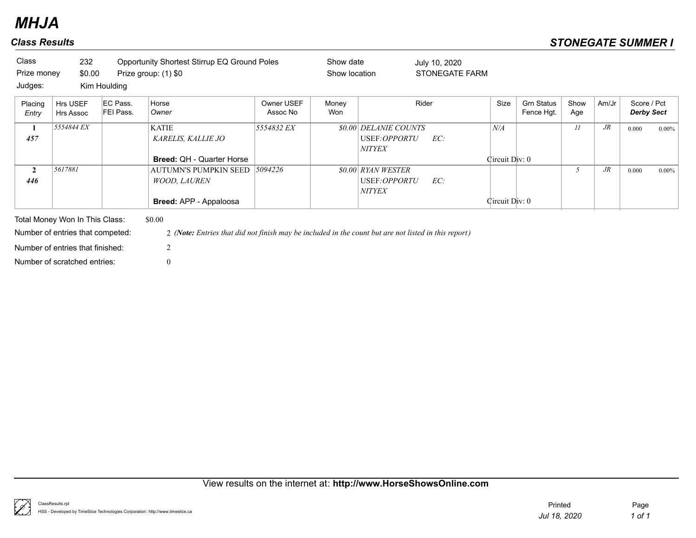| Class            | 232                                                                |                       | Opportunity Shortest Stirrup EQ Ground Poles                                                                   |                        | Show date     |                       | July 10, 2020  |                |                                 |             |        |                                  |          |
|------------------|--------------------------------------------------------------------|-----------------------|----------------------------------------------------------------------------------------------------------------|------------------------|---------------|-----------------------|----------------|----------------|---------------------------------|-------------|--------|----------------------------------|----------|
| Prize money      | \$0.00                                                             |                       | Prize group: (1) \$0                                                                                           |                        | Show location |                       | STONEGATE FARM |                |                                 |             |        |                                  |          |
| Judges:          |                                                                    | Kim Houlding          |                                                                                                                |                        |               |                       |                |                |                                 |             |        |                                  |          |
| Placing<br>Entry | Hrs USEF<br>Hrs Assoc                                              | EC Pass.<br>FEI Pass. | Horse<br>Owner                                                                                                 | Owner USEF<br>Assoc No | Money<br>Won  |                       | Rider          | Size           | <b>Grn Status</b><br>Fence Hgt. | Show<br>Age | Am/Jr  | Score / Pct<br><b>Derby Sect</b> |          |
| 1                | 5554844 EX                                                         |                       | <b>KATIE</b>                                                                                                   | 5554832 EX             |               | \$0.00 DELANIE COUNTS |                | N/A            |                                 | 11          | $J\!R$ | 0.000                            | $0.00\%$ |
| 457              |                                                                    |                       | <b>KARELIS, KALLIE JO</b>                                                                                      |                        |               | USEF <i>:OPPORTU</i>  | EC:            |                |                                 |             |        |                                  |          |
|                  |                                                                    |                       |                                                                                                                |                        |               | <i>NITYEX</i>         |                |                |                                 |             |        |                                  |          |
|                  |                                                                    |                       | <b>Breed: QH - Quarter Horse</b>                                                                               |                        |               |                       |                | Circuit Div: 0 |                                 |             |        |                                  |          |
| $\mathbf{2}$     | 5617881                                                            |                       | <b>AUTUMN'S PUMPKIN SEED</b>                                                                                   | 5094226                |               | \$0.00 RYAN WESTER    |                |                |                                 |             | $J\!R$ | 0.000                            | $0.00\%$ |
| 446              |                                                                    |                       | <b>WOOD, LAUREN</b>                                                                                            |                        |               | USEF <i>:OPPORTU</i>  | EC:            |                |                                 |             |        |                                  |          |
|                  |                                                                    |                       |                                                                                                                |                        |               | NITYEX                |                |                |                                 |             |        |                                  |          |
|                  |                                                                    |                       | Breed: APP - Appaloosa                                                                                         |                        |               |                       |                | Circuit Div: 0 |                                 |             |        |                                  |          |
|                  | Total Money Won In This Class:<br>Number of entries that competed: |                       | \$0.00<br>2 (Note: Entries that did not finish may be included in the count but are not listed in this report) |                        |               |                       |                |                |                                 |             |        |                                  |          |

Number of scratched entries: 0 Number of entries that finished: 2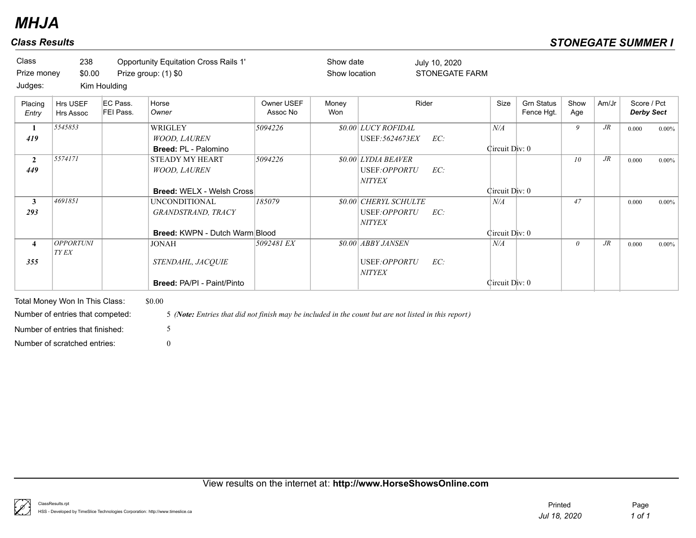| Class                 | 238                              |                       | <b>Opportunity Equitation Cross Rails 1'</b>                  |                        | Show date     |                                                            | July 10, 2020         |                       |                                 |                 |        |                                  |          |
|-----------------------|----------------------------------|-----------------------|---------------------------------------------------------------|------------------------|---------------|------------------------------------------------------------|-----------------------|-----------------------|---------------------------------|-----------------|--------|----------------------------------|----------|
| Prize money           | \$0.00                           |                       | Prize group: (1) \$0                                          |                        | Show location |                                                            | <b>STONEGATE FARM</b> |                       |                                 |                 |        |                                  |          |
| Judges:               |                                  | Kim Houlding          |                                                               |                        |               |                                                            |                       |                       |                                 |                 |        |                                  |          |
| Placing<br>Entry      | Hrs USEF<br>Hrs Assoc            | EC Pass.<br>FEI Pass. | Horse<br>Owner                                                | Owner USEF<br>Assoc No | Money<br>Won  |                                                            | Rider                 | Size                  | <b>Grn Status</b><br>Fence Hgt. | Show<br>Age     | Am/Jr  | Score / Pct<br><b>Derby Sect</b> |          |
| 1<br>419              | 5545853                          |                       | WRIGLEY<br><b>WOOD, LAUREN</b><br><b>Breed: PL - Palomino</b> | 5094226                |               | \$0.00 LUCY ROFIDAL<br>USEF: 5624673EX                     | EC:                   | N/A<br>Circuit Div: 0 |                                 | 9               | $J\!R$ | 0.000                            | $0.00\%$ |
| $\overline{2}$<br>449 | 5574171                          |                       | <b>STEADY MY HEART</b><br><b>WOOD, LAUREN</b>                 | 5094226                |               | <i>SO.00 LYDIA BEAVER</i><br>USEF:OPPORTU<br><b>NITYEX</b> | EC:                   |                       |                                 | 10 <sup>°</sup> | $J\!R$ | 0.000                            | $0.00\%$ |
|                       |                                  |                       | <b>Breed: WELX - Welsh Cross</b>                              |                        |               |                                                            |                       | Circuit Div: 0        |                                 |                 |        |                                  |          |
| $\mathbf{3}$<br>293   | 4691851                          |                       | <b>UNCONDITIONAL</b><br>GRANDSTRAND, TRACY                    | 185079                 |               | \$0.00 CHERYL SCHULTE<br>USEF:OPPORTU<br><b>NITYEX</b>     | EC:                   | N/A                   |                                 | 47              |        | 0.000                            | $0.00\%$ |
|                       |                                  |                       | <b>Breed: KWPN - Dutch Warm Blood</b>                         |                        |               |                                                            |                       | Circuit Div: 0        |                                 |                 |        |                                  |          |
| $\overline{4}$        | <b>OPPORTUNI</b><br><b>TY EX</b> |                       | <b>JONAH</b>                                                  | 5092481 EX             |               | \$0.00 ABBY JANSEN                                         |                       | N/A                   |                                 | $\theta$        | $J\!R$ | 0.000                            | $0.00\%$ |
| 355                   |                                  |                       | STENDAHL, JACQUIE<br><b>Breed: PA/PI - Paint/Pinto</b>        |                        |               | USEF:OPPORTU<br><b>NITYEX</b>                              | EC:                   | Circuit Div: 0        |                                 |                 |        |                                  |          |

Number of scratched entries: 0 Number of entries that finished: 5

Number of entries that competed: 5 *(Note: Entries that did not finish may be included in the count but are not listed in this report)*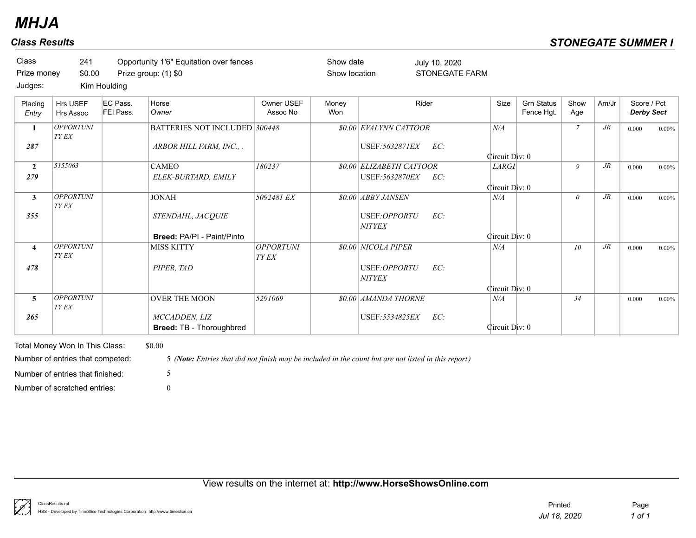|                       |                                  | Kim Houlding          |                                                  |                        |              |                                                           |                                |                                 |                 |        |                                  |          |
|-----------------------|----------------------------------|-----------------------|--------------------------------------------------|------------------------|--------------|-----------------------------------------------------------|--------------------------------|---------------------------------|-----------------|--------|----------------------------------|----------|
| Placing<br>Entry      | Hrs USEF<br>Hrs Assoc            | EC Pass.<br>FEI Pass. | Horse<br>Owner                                   | Owner USEF<br>Assoc No | Money<br>Won | Rider                                                     | Size                           | <b>Grn Status</b><br>Fence Hgt. | Show<br>Age     | Am/Jr  | Score / Pct<br><b>Derby Sect</b> |          |
| 1                     | <b>OPPORTUNI</b><br><b>TY EX</b> |                       | BATTERIES NOT INCLUDED 300448                    |                        |              | \$0.00 EVALYNN CATTOOR                                    | N/A                            |                                 | $\mathcal{I}$   | $J\!R$ | 0.000                            | $0.00\%$ |
| 287                   |                                  |                       | ARBOR HILL FARM, INC., .                         |                        |              | USEF: 5632871EX<br>EC:                                    | Circuit Div: 0                 |                                 |                 |        |                                  |          |
| $\overline{2}$<br>279 | 5155063                          |                       | <b>CAMEO</b><br>ELEK-BURTARD, EMILY              | 180237                 |              | <b>\$0.00 ELIZABETH CATTOOR</b><br>USEF: 5632870EX<br>EC: | <b>LARGI</b><br>Circuit Div: 0 |                                 | 9               | $J\!R$ | 0.000                            | $0.00\%$ |
| $\mathbf{3}$          | <b>OPPORTUNI</b><br>TY EX        |                       | <b>JONAH</b>                                     | 5092481 EX             |              | \$0.00 ABBY JANSEN                                        | N/A                            |                                 | $\theta$        | $J\!R$ | 0.000                            | $0.00\%$ |
| 355                   |                                  |                       | STENDAHL, JACQUIE                                |                        |              | EC:<br>USEF:OPPORTU<br><b>NITYEX</b>                      |                                |                                 |                 |        |                                  |          |
|                       |                                  |                       | Breed: PA/PI - Paint/Pinto                       |                        |              |                                                           | Circuit Div: 0                 |                                 |                 |        |                                  |          |
| $\overline{4}$        | <b>OPPORTUNI</b><br>TY EX        |                       | <b>MISS KITTY</b>                                | OPPORTUNI<br>TY EX     |              | \$0.00 NICOLA PIPER                                       | N/A                            |                                 | 10 <sup>°</sup> | $J\!R$ | 0.000                            | $0.00\%$ |
| 478                   |                                  |                       | PIPER, TAD                                       |                        |              | USEF:OPPORTU<br>EC:<br><b>NITYEX</b>                      |                                |                                 |                 |        |                                  |          |
|                       |                                  |                       |                                                  |                        |              |                                                           | Circuit Div: 0                 |                                 |                 |        |                                  |          |
| 5                     | <b>OPPORTUNI</b><br>TY EX        |                       | <b>OVER THE MOON</b>                             | 5291069                |              | \$0.00 AMANDA THORNE                                      | N/A                            |                                 | 34              |        | 0.000                            | $0.00\%$ |
| 265                   |                                  |                       | MCCADDEN, LIZ<br><b>Breed: TB - Thoroughbred</b> |                        |              | EC:<br>USEF: 5534825EX                                    | Circuit Div: 0                 |                                 |                 |        |                                  |          |

View results on the internet at: **http://www.HorseShowsOnline.com**

Number of scratched entries: 0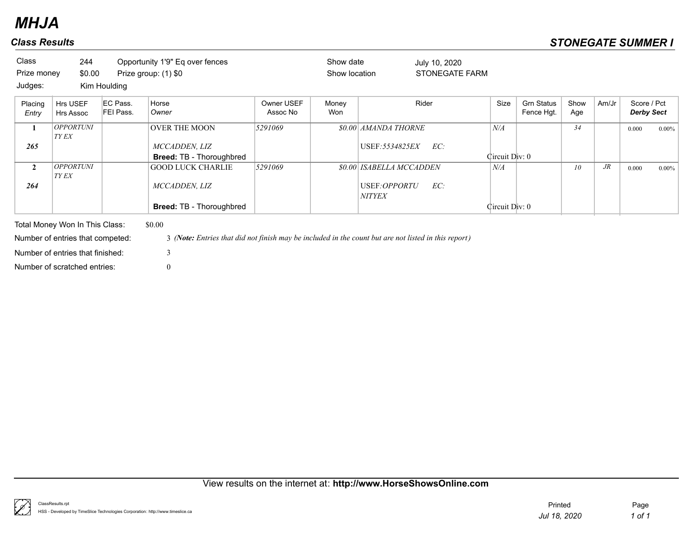| Class<br>Prize money<br>Judges: | 244<br>\$0.00             | Kim Houlding          | Opportunity 1'9" Eq over fences<br>Prize group: (1) \$0 |                        | Show date<br>Show location |                               | July 10, 2020<br><b>STONEGATE FARM</b> |                |                                 |             |        |                                  |          |
|---------------------------------|---------------------------|-----------------------|---------------------------------------------------------|------------------------|----------------------------|-------------------------------|----------------------------------------|----------------|---------------------------------|-------------|--------|----------------------------------|----------|
| Placing<br>Entry                | Hrs USEF<br>Hrs Assoc     | EC Pass.<br>FEI Pass. | Horse<br>Owner                                          | Owner USEF<br>Assoc No | Money<br>Won               |                               | Rider                                  | Size           | <b>Grn Status</b><br>Fence Hgt. | Show<br>Age | Am/Jr  | Score / Pct<br><b>Derby Sect</b> |          |
|                                 | <b>OPPORTUNI</b><br>TY EX |                       | <b>OVER THE MOON</b>                                    | 5291069                |                            | \$0.00 AMANDA THORNE          |                                        | N/A            |                                 | 34          |        | 0.000                            | $0.00\%$ |
| 265                             |                           |                       | MCCADDEN, LIZ<br>Breed: TB - Thoroughbred               |                        |                            | USEF: 5534825EX               | EC:                                    | Circuit Div: 0 |                                 |             |        |                                  |          |
| $\mathbf{2}$                    | <b>OPPORTUNI</b><br>TY EX |                       | <b>GOOD LUCK CHARLIE</b>                                | 5291069                |                            | \$0.00 ISABELLA MCCADDEN      |                                        | N/A            |                                 | 10          | $J\!R$ | 0.000                            | $0.00\%$ |
| 264                             |                           |                       | MCCADDEN, LIZ                                           |                        |                            | USEF:OPPORTU<br><b>NITYEX</b> | EC:                                    |                |                                 |             |        |                                  |          |
|                                 |                           |                       | <b>Breed: TB - Thoroughbred</b>                         |                        |                            |                               |                                        | Circuit Div: 0 |                                 |             |        |                                  |          |

Total Money Won In This Class: \$0.00 Number of entries that finished: 3

Number of entries that competed: 3 *(Note: Entries that did not finish may be included in the count but are not listed in this report)*

Number of scratched entries: 0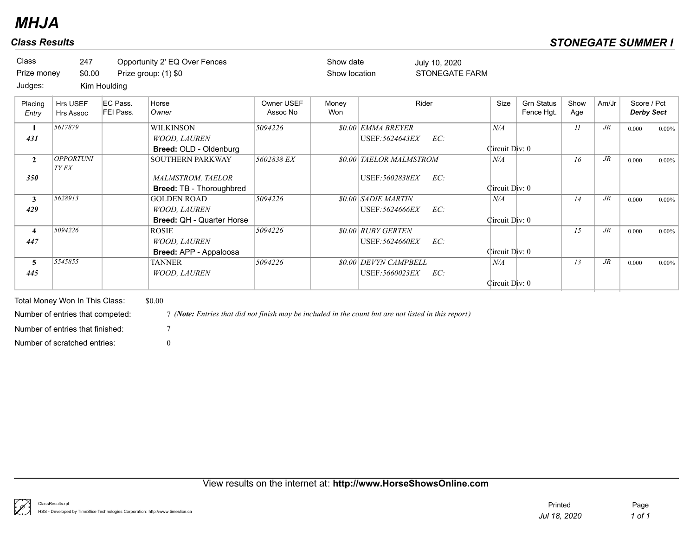| Class<br>Prize money<br>Judges: | 247<br>\$0.00             | Kim Houlding          | Opportunity 2' EQ Over Fences<br>Prize group: (1) \$0                           |                        | Show date<br>Show location |                                                     | July 10, 2020<br><b>STONEGATE FARM</b> |                       |                                 |             |        |                                  |          |
|---------------------------------|---------------------------|-----------------------|---------------------------------------------------------------------------------|------------------------|----------------------------|-----------------------------------------------------|----------------------------------------|-----------------------|---------------------------------|-------------|--------|----------------------------------|----------|
| Placing<br>Entry                | Hrs USEF<br>Hrs Assoc     | EC Pass.<br>FEI Pass. | Horse<br>Owner                                                                  | Owner USEF<br>Assoc No | Money<br>Won               |                                                     | Rider                                  | Size                  | <b>Grn Status</b><br>Fence Hgt. | Show<br>Age | Am/Jr  | Score / Pct<br><b>Derby Sect</b> |          |
| $\mathbf{1}$<br>431             | 5617879                   |                       | <b>WILKINSON</b><br><b>WOOD, LAUREN</b><br>Breed: OLD - Oldenburg               | 5094226                |                            | <b>\$0.00 EMMA BREYER</b><br>USEF: 5624643EX        | EC:                                    | N/A<br>Circuit Div: 0 |                                 | 11          | $J\!R$ | 0.000                            | $0.00\%$ |
| $\mathbf{2}$<br>350             | OPPORTUNI<br><b>TY EX</b> |                       | <b>SOUTHERN PARKWAY</b><br><b>MALMSTROM, TAELOR</b><br>Breed: TB - Thoroughbred | 5602838 EX             |                            | <b>\$0.00 TAELOR MALMSTROM</b><br>USEF: 5602838EX   | EC:                                    | N/A<br>Circuit Div: 0 |                                 | 16          | $J\!R$ | 0.000                            | $0.00\%$ |
| $\mathbf{3}$<br>429             | 5628913                   |                       | <b>GOLDEN ROAD</b><br><b>WOOD, LAUREN</b><br><b>Breed: QH - Quarter Horse</b>   | 5094226                |                            | <b>\$0.00 SADIE MARTIN</b><br>USEF: 5624666EX       | EC:                                    | N/A<br>Circuit Div: 0 |                                 | 14          | $J\!R$ | 0.000                            | $0.00\%$ |
| 4<br>447                        | 5094226                   |                       | <b>ROSIE</b><br><b>WOOD, LAUREN</b><br>Breed: APP - Appaloosa                   | 5094226                |                            | <i><b>\$0.00 RUBY GERTEN</b></i><br>USEF: 5624660EX | EC:                                    | Circuit Div: 0        |                                 | 15          | $J\!R$ | 0.000                            | $0.00\%$ |
| 5<br>445                        | 5545855                   |                       | <b>TANNER</b><br><b>WOOD, LAUREN</b>                                            | 5094226                |                            | \$0.00 DEVYN CAMPBELL<br>USEF: 5660023EX            | EC:                                    | N/A<br>Circuit Div: 0 |                                 | 13          | $J\!R$ | 0.000                            | $0.00\%$ |

Total Money Won In This Class: \$0.00 Number of scratched entries: 0 Number of entries that finished:  $7<sup>7</sup>$ 

Number of entries that competed: 7 *(Note: Entries that did not finish may be included in the count but are not listed in this report)*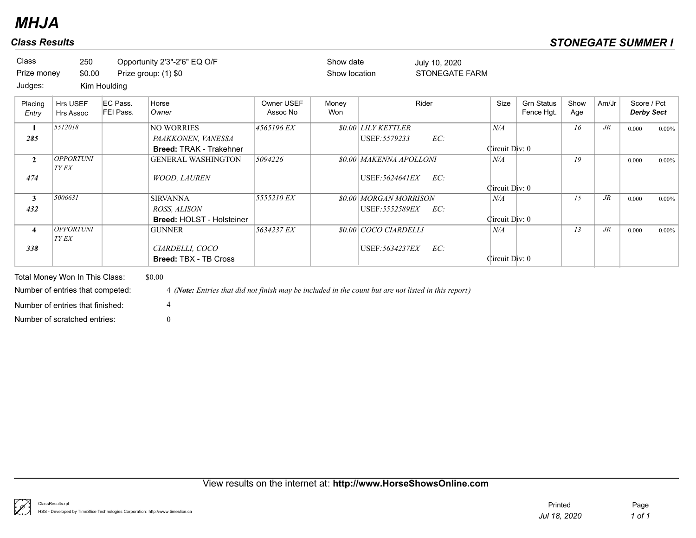| Class                   | 250                              |                       | Opportunity 2'3"-2'6" EQ O/F                                                                         |                        | Show date     |                                | July 10, 2020         |                |                                 |             |        |                                  |          |
|-------------------------|----------------------------------|-----------------------|------------------------------------------------------------------------------------------------------|------------------------|---------------|--------------------------------|-----------------------|----------------|---------------------------------|-------------|--------|----------------------------------|----------|
| Prize money             | \$0.00                           |                       | Prize group: (1) \$0                                                                                 |                        | Show location |                                | <b>STONEGATE FARM</b> |                |                                 |             |        |                                  |          |
| Judges:                 |                                  | Kim Houlding          |                                                                                                      |                        |               |                                |                       |                |                                 |             |        |                                  |          |
| Placing<br>Entry        | Hrs USEF<br>Hrs Assoc            | EC Pass.<br>FEI Pass. | Horse<br>Owner                                                                                       | Owner USEF<br>Assoc No | Money<br>Won  |                                | Rider                 | Size           | <b>Grn Status</b><br>Fence Hgt. | Show<br>Age | Am/Jr  | Score / Pct<br><b>Derby Sect</b> |          |
| 1                       | 5512018                          |                       | <b>NO WORRIES</b>                                                                                    | 4565196 EX             |               | <i>SO.00 LILY KETTLER</i>      |                       | N/A            |                                 | 16          | $J\!R$ | 0.000                            | $0.00\%$ |
| 285                     |                                  |                       | PAAKKONEN, VANESSA                                                                                   |                        |               | USEF: 5579233                  | EC:                   |                |                                 |             |        |                                  |          |
|                         |                                  |                       | <b>Breed: TRAK - Trakehner</b>                                                                       |                        |               |                                |                       | Circuit Div: 0 |                                 |             |        |                                  |          |
| $\overline{2}$          | <b>OPPORTUNI</b><br>TY EX        |                       | <b>GENERAL WASHINGTON</b>                                                                            | 5094226                |               | <b>\$0.00 MAKENNA APOLLONI</b> |                       | N/A            |                                 | 19          |        | 0.000                            | $0.00\%$ |
| 474                     |                                  |                       | <b>WOOD, LAUREN</b>                                                                                  |                        |               | USEF: 5624641EX                | EC:                   |                |                                 |             |        |                                  |          |
|                         |                                  |                       |                                                                                                      |                        |               |                                |                       | Circuit Div: 0 |                                 |             |        |                                  |          |
| $\mathbf{3}$            | 5006631                          |                       | <b>SIRVANNA</b>                                                                                      | 5555210 EX             |               | \$0.00 MORGAN MORRISON         |                       | N/A            |                                 | 15          | $J\!R$ | 0.000                            | $0.00\%$ |
| 432                     |                                  |                       | ROSS, ALISON                                                                                         |                        |               | USEF: 5552589EX                | EC:                   |                |                                 |             |        |                                  |          |
|                         |                                  |                       | <b>Breed: HOLST - Holsteiner</b>                                                                     |                        |               |                                |                       | Circuit Div: 0 |                                 |             |        |                                  |          |
| $\overline{\mathbf{4}}$ | <b>OPPORTUNI</b><br>TY EX        |                       | <b>GUNNER</b>                                                                                        | 5634237 EX             |               | <b>\$0.00 COCO CIARDELLI</b>   |                       | N/A            |                                 | 13          | $J\!R$ | 0.000                            | $0.00\%$ |
| 338                     |                                  |                       | CIARDELLI, COCO                                                                                      |                        |               | USEF: 5634237EX                | EC:                   |                |                                 |             |        |                                  |          |
|                         |                                  |                       | <b>Breed: TBX - TB Cross</b>                                                                         |                        |               |                                |                       | Circuit Div: 0 |                                 |             |        |                                  |          |
|                         |                                  |                       |                                                                                                      |                        |               |                                |                       |                |                                 |             |        |                                  |          |
|                         | Total Money Won In This Class:   |                       | \$0.00                                                                                               |                        |               |                                |                       |                |                                 |             |        |                                  |          |
|                         | Number of entries that competed: |                       | 4 (Note: Entries that did not finish may be included in the count but are not listed in this report) |                        |               |                                |                       |                |                                 |             |        |                                  |          |

Number of entries that finished: 4

Number of scratched entries: 0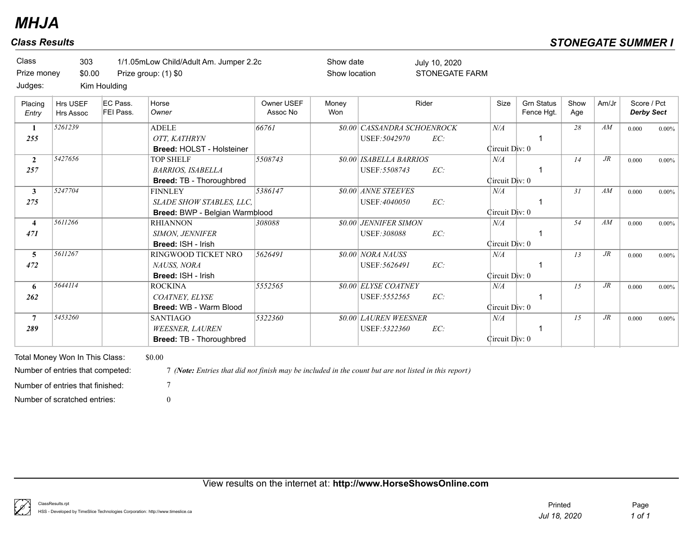| Class<br>Prize money<br>Judges: | 303<br>\$0.00                                                      | Kim Houlding          | 1/1.05mLow Child/Adult Am. Jumper 2.2c<br>Prize group: (1) \$0                                                 |                        | Show date<br>Show location |                                                | July 10, 2020<br><b>STONEGATE FARM</b> |                       |                                 |             |        |                                  |          |
|---------------------------------|--------------------------------------------------------------------|-----------------------|----------------------------------------------------------------------------------------------------------------|------------------------|----------------------------|------------------------------------------------|----------------------------------------|-----------------------|---------------------------------|-------------|--------|----------------------------------|----------|
| Placing<br>Entry                | Hrs USEF<br>Hrs Assoc                                              | EC Pass.<br>FEI Pass. | Horse<br>Owner                                                                                                 | Owner USEF<br>Assoc No | Money<br>Won               |                                                | Rider                                  | Size                  | <b>Grn Status</b><br>Fence Hgt. | Show<br>Age | Am/Jr  | Score / Pct<br><b>Derby Sect</b> |          |
| 1<br>255                        | 5261239                                                            |                       | <b>ADELE</b><br>OTT. KATHRYN<br>Breed: HOLST - Holsteiner                                                      | 66761                  |                            | \$0.00 CASSANDRA SCHOENROCK<br>USEF: 5042970   | EC:                                    | N/A<br>Circuit Div: 0 |                                 | 28          | AM     | 0.000                            | $0.00\%$ |
| $\overline{2}$<br>257           | 5427656                                                            |                       | <b>TOP SHELF</b><br><b>BARRIOS, ISABELLA</b><br>Breed: TB - Thoroughbred                                       | 5508743                |                            | <b>80.00 ISABELLA BARRIOS</b><br>USEF: 5508743 | EC:                                    | N/A<br>Circuit Div: 0 |                                 | 14          | $J\!R$ | 0.000                            | $0.00\%$ |
| $\mathbf{3}$<br>275             | 5247704                                                            |                       | <b>FINNLEY</b><br>SLADE SHOW STABLES, LLC,<br>Breed: BWP - Belgian Warmblood                                   | 5386147                |                            | <b>\$0.00 ANNE STEEVES</b><br>USEF:4040050     | EC:                                    | N/A<br>Circuit Div: 0 |                                 | 31          | AM     | 0.000                            | $0.00\%$ |
| $\overline{\mathbf{4}}$<br>471  | 5611266                                                            |                       | <b>RHIANNON</b><br>SIMON, JENNIFER<br>Breed: ISH - Irish                                                       | 308088                 |                            | \$0.00 JENNIFER SIMON<br>USEF: 308088          | EC:                                    | N/A<br>Circuit Div: 0 |                                 | 54          | AM     | 0.000                            | $0.00\%$ |
| $\overline{\mathbf{5}}$<br>472  | 5611267                                                            |                       | RINGWOOD TICKET NRO<br>NAUSS, NORA<br>Breed: ISH - Irish                                                       | 5626491                |                            | \$0.00 NORA NAUSS<br>USEF: 5626491             | EC:                                    | N/A<br>Circuit Div: 0 |                                 | 13          | $J\!R$ | 0.000                            | $0.00\%$ |
| 6<br>262                        | 5644114                                                            |                       | <b>ROCKINA</b><br>COATNEY, ELYSE<br><b>Breed: WB - Warm Blood</b>                                              | 5552565                |                            | <b>\$0.00 ELYSE COATNEY</b><br>USEF: 5552565   | EC:                                    | N/A<br>Circuit Div: 0 |                                 | 1.5         | $J\!R$ | 0.000                            | $0.00\%$ |
| $\overline{7}$<br>289           | 5453260                                                            |                       | <b>SANTIAGO</b><br><b>WEESNER, LAUREN</b><br><b>Breed: TB - Thoroughbred</b>                                   | 5322360                |                            | \$0.00 LAUREN WEESNER<br>USEF: 5322360         | EC:                                    | N/A<br>Circuit Div: 0 |                                 | 15          | $J\!R$ | 0.000                            | $0.00\%$ |
|                                 | Total Money Won In This Class:<br>Number of entries that competed: |                       | \$0.00<br>7 (Note: Entries that did not finish may be included in the count but are not listed in this report) |                        |                            |                                                |                                        |                       |                                 |             |        |                                  |          |
|                                 | Number of entries that finished:<br>Number of scratched entries:   |                       | $\tau$<br>$\Omega$                                                                                             |                        |                            |                                                |                                        |                       |                                 |             |        |                                  |          |

View results on the internet at: **http://www.HorseShowsOnline.com**

ţ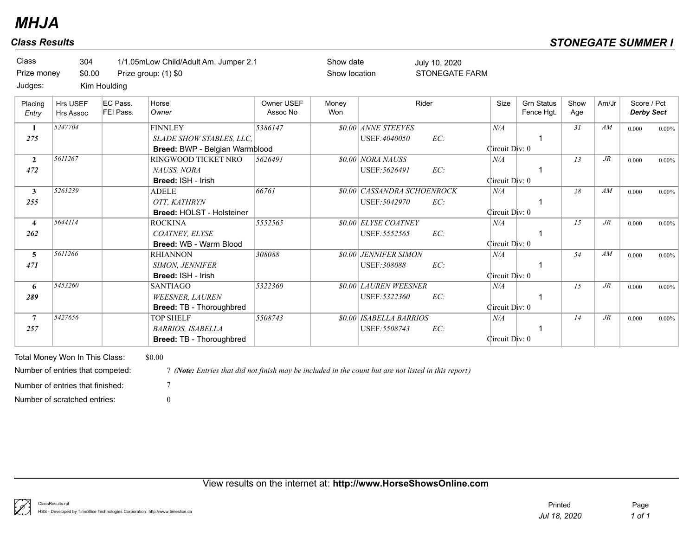| Class                   | 304                              |                       | 1/1.05mLow Child/Adult Am. Jumper 2.1                                                                |                        | Show date     |                                | July 10, 2020         |                |                                 |             |        |                                  |          |
|-------------------------|----------------------------------|-----------------------|------------------------------------------------------------------------------------------------------|------------------------|---------------|--------------------------------|-----------------------|----------------|---------------------------------|-------------|--------|----------------------------------|----------|
| Prize money             | \$0.00                           |                       | Prize group: (1) \$0                                                                                 |                        | Show location |                                | <b>STONEGATE FARM</b> |                |                                 |             |        |                                  |          |
| Judges:                 |                                  | Kim Houlding          |                                                                                                      |                        |               |                                |                       |                |                                 |             |        |                                  |          |
| Placing<br>Entry        | Hrs USEF<br><b>Hrs Assoc</b>     | EC Pass.<br>FEI Pass. | Horse<br>Owner                                                                                       | Owner USEF<br>Assoc No | Money<br>Won  |                                | Rider                 | Size           | <b>Grn Status</b><br>Fence Hgt. | Show<br>Age | Am/Jr  | Score / Pct<br><b>Derby Sect</b> |          |
| 1                       | 5247704                          |                       | <b>FINNLEY</b>                                                                                       | 5386147                |               | <b>\$0.00 ANNE STEEVES</b>     |                       | N/A            |                                 | 31          | AM     | 0.000                            | $0.00\%$ |
| 275                     |                                  |                       | SLADE SHOW STABLES, LLC,                                                                             |                        |               | USEF:4040050                   | EC:                   |                |                                 |             |        |                                  |          |
|                         |                                  |                       | Breed: BWP - Belgian Warmblood                                                                       |                        |               |                                |                       | Circuit Div: 0 |                                 |             |        |                                  |          |
| $\overline{2}$          | 5611267                          |                       | RINGWOOD TICKET NRO                                                                                  | 5626491                |               | \$0.00 NORA NAUSS              |                       | N/A            |                                 | 13          | $J\!R$ | 0.000                            | $0.00\%$ |
| 472                     |                                  |                       | NAUSS, NORA                                                                                          |                        |               | USEF: 5626491                  | EC:                   |                |                                 |             |        |                                  |          |
|                         |                                  |                       | Breed: ISH - Irish                                                                                   |                        |               |                                |                       | Circuit Div: 0 |                                 |             |        |                                  |          |
| $\mathbf{3}$            | 5261239                          |                       | <b>ADELE</b>                                                                                         | 66761                  |               | \$0.00 CASSANDRA SCHOENROCK    |                       | N/A            |                                 | 28          | AM     | 0.000                            | $0.00\%$ |
| 255                     |                                  |                       | OTT. KATHRYN                                                                                         |                        |               | USEF: 5042970                  | EC:                   |                |                                 |             |        |                                  |          |
|                         |                                  |                       | <b>Breed: HOLST - Holsteiner</b>                                                                     |                        |               |                                |                       | Circuit Div: 0 |                                 |             |        |                                  |          |
| $\overline{4}$          | 5644114                          |                       | <b>ROCKINA</b>                                                                                       | 5552565                |               | <b>\$0.00 ELYSE COATNEY</b>    |                       | N/A            |                                 | 15          | $J\!R$ | 0.000                            | $0.00\%$ |
| 262                     |                                  |                       | COATNEY, ELYSE                                                                                       |                        |               | USEF: 5552565                  | EC:                   |                | $\mathbf 1$                     |             |        |                                  |          |
|                         |                                  |                       | Breed: WB - Warm Blood                                                                               |                        |               |                                |                       | Circuit Div: 0 |                                 |             |        |                                  |          |
| $\overline{\mathbf{5}}$ | 5611266                          |                       | <b>RHIANNON</b>                                                                                      | 308088                 |               | <b>\$0.00 JENNIFER SIMON</b>   |                       | N/A            |                                 | 54          | AM     | 0.000                            | $0.00\%$ |
| 471                     |                                  |                       | SIMON, JENNIFER                                                                                      |                        |               | USEF: 308088                   | EC:                   |                |                                 |             |        |                                  |          |
|                         |                                  |                       | Breed: ISH - Irish                                                                                   |                        |               |                                |                       | Circuit Div: 0 |                                 |             |        |                                  |          |
| 6                       | 5453260                          |                       | <b>SANTIAGO</b>                                                                                      | 5322360                |               | <b>\$0.00 LAUREN WEESNER</b>   |                       | N/A            |                                 | 15          | $J\!R$ | 0.000                            | $0.00\%$ |
| 289                     |                                  |                       | <b>WEESNER, LAUREN</b>                                                                               |                        |               | USEF: 5322360                  | EC:                   |                | $\mathbf 1$                     |             |        |                                  |          |
|                         |                                  |                       | Breed: TB - Thoroughbred                                                                             |                        |               |                                |                       | Circuit Div: 0 |                                 |             |        |                                  |          |
| $\overline{7}$          | 5427656                          |                       | <b>TOP SHELF</b>                                                                                     | 5508743                |               | <b>\$0.00 ISABELLA BARRIOS</b> |                       | N/A            |                                 | 14          | $J\!R$ | 0.000                            | $0.00\%$ |
| 257                     |                                  |                       | <b>BARRIOS, ISABELLA</b>                                                                             |                        |               | USEF: 5508743                  | EC:                   |                | -1                              |             |        |                                  |          |
|                         |                                  |                       | Breed: TB - Thoroughbred                                                                             |                        |               |                                |                       | Circuit Div: 0 |                                 |             |        |                                  |          |
|                         | Total Money Won In This Class:   |                       | \$0.00                                                                                               |                        |               |                                |                       |                |                                 |             |        |                                  |          |
|                         |                                  |                       |                                                                                                      |                        |               |                                |                       |                |                                 |             |        |                                  |          |
|                         | Number of entries that competed: |                       | 7 (Note: Entries that did not finish may be included in the count but are not listed in this report) |                        |               |                                |                       |                |                                 |             |        |                                  |          |
|                         | Number of entries that finished: |                       | $\overline{7}$                                                                                       |                        |               |                                |                       |                |                                 |             |        |                                  |          |
|                         | Number of scratched entries:     |                       | $\Omega$                                                                                             |                        |               |                                |                       |                |                                 |             |        |                                  |          |

View results on the internet at: **http://www.HorseShowsOnline.com**

₿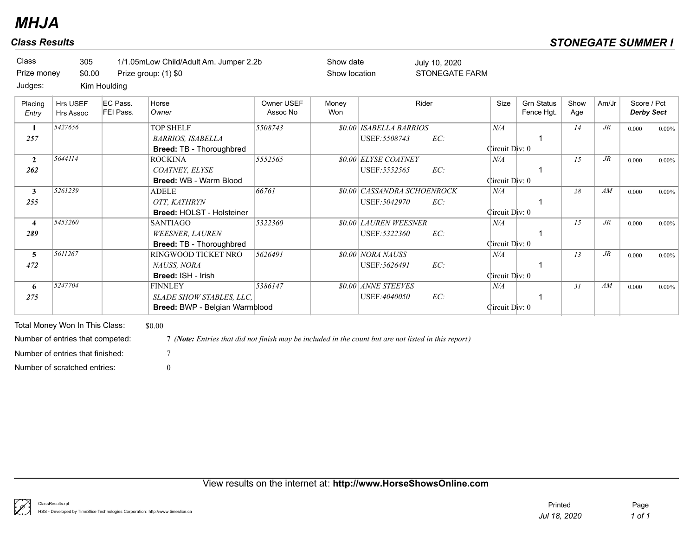| <b>Class Results</b>           |                       |                                       |                                                                                 |                        |                            |                                                     |                                        |                       |                                 | <b>STONEGATE SUMMER I</b> |        |                                  |          |
|--------------------------------|-----------------------|---------------------------------------|---------------------------------------------------------------------------------|------------------------|----------------------------|-----------------------------------------------------|----------------------------------------|-----------------------|---------------------------------|---------------------------|--------|----------------------------------|----------|
| Class<br>Prize money           | 305<br>\$0.00         |                                       | 1/1.05mLow Child/Adult Am. Jumper 2.2b<br>Prize group: (1) \$0                  |                        | Show date<br>Show location |                                                     | July 10, 2020<br><b>STONEGATE FARM</b> |                       |                                 |                           |        |                                  |          |
| Judges:<br>Placing<br>Entry    | Hrs USEF<br>Hrs Assoc | Kim Houlding<br>EC Pass.<br>FEI Pass. | Horse<br>Owner                                                                  | Owner USEF<br>Assoc No | Money<br>Won               |                                                     | Rider                                  | Size                  | <b>Grn Status</b><br>Fence Hgt. | Show<br>Age               | Am/Jr  | Score / Pct<br><b>Derby Sect</b> |          |
| $\mathbf{1}$<br>257            | 5427656               |                                       | <b>TOP SHELF</b><br><b>BARRIOS, ISABELLA</b><br><b>Breed: TB - Thoroughbred</b> | 5508743                |                            | \$0.00 ISABELLA BARRIOS<br>USEF: 5508743            | EC:                                    | N/A<br>Circuit Div: 0 |                                 | 14                        | $J\!R$ | 0.000                            | $0.00\%$ |
| $\overline{2}$<br>262          | 5644114               |                                       | <b>ROCKINA</b><br>COATNEY, ELYSE<br>Breed: WB - Warm Blood                      | 5552565                |                            | <b><i>\$0.00 ELYSE COATNEY</i></b><br>USEF: 5552565 | EC:                                    | N/A<br>Circuit Div: 0 |                                 | 15                        | $J\!R$ | 0.000                            | $0.00\%$ |
| 3<br>255                       | 5261239               |                                       | <b>ADELE</b><br>OTT. KATHRYN                                                    | 66761                  |                            | <b>\$0.00 CASSANDRA SCHOENROCK</b><br>USEF: 5042970 | EC:                                    | N/A                   |                                 | 28                        | AM     | 0.000                            | $0.00\%$ |
| $\overline{\mathbf{4}}$<br>289 | 5453260               |                                       | <b>Breed: HOLST - Holsteiner</b><br><b>SANTIAGO</b><br><b>WEESNER, LAUREN</b>   | 5322360                |                            | <b>\$0.00 LAUREN WEESNER</b><br>USEF: 5322360       | EC:                                    | Circuit Div: 0<br>N/A |                                 | 15                        | $J\!R$ | 0.000                            | $0.00\%$ |
| 5<br>472                       | 5611267               |                                       | <b>Breed: TB - Thoroughbred</b><br>RINGWOOD TICKET NRO<br>NAUSS, NORA           | 5626491                |                            | \$0.00 NORA NAUSS<br>USEF: 5626491                  | EC:                                    | Circuit Div: 0<br>N/A |                                 | 13                        | $J\!R$ | 0.000                            | $0.00\%$ |
| 6<br>275                       | 5247704               |                                       | <b>Breed: ISH - Irish</b><br><b>FINNLEY</b><br>SLADE SHOW STABLES, LLC,         | 5386147                |                            | \$0.00 ANNE STEEVES<br>USEF:4040050                 | EC:                                    | Circuit Div: 0<br>N/A |                                 | 31                        | AM     | 0.000                            | $0.00\%$ |
|                                |                       |                                       | Breed: BWP - Belgian Warmblood                                                  |                        |                            |                                                     |                                        | Circuit Div: 0        |                                 |                           |        |                                  |          |

Total Money Won In This Class: \$0.00 Number of scratched entries: 0 Number of entries that finished: 7

Number of entries that competed: 7 *(Note: Entries that did not finish may be included in the count but are not listed in this report)*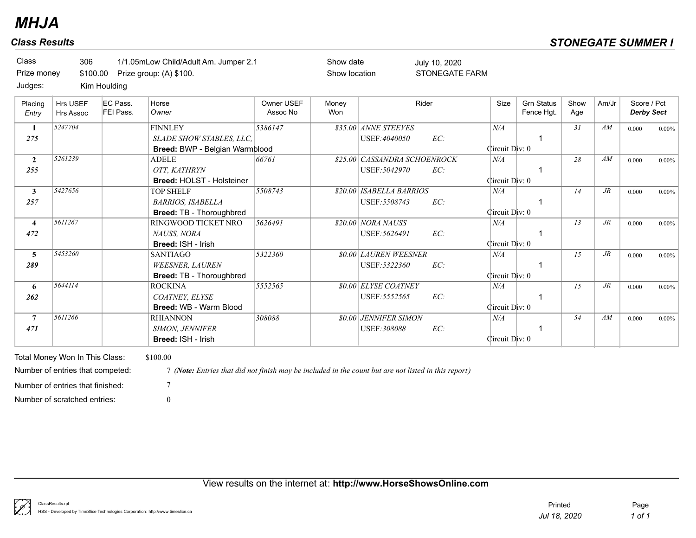| Class<br>Prize money<br>Judges: | 306<br>\$100.00                                                                                        | Kim Houlding          | 1/1.05mLow Child/Adult Am. Jumper 2.1<br>Prize group: (A) \$100.                                                 |                        | Show date<br>Show location |                                               | July 10, 2020<br><b>STONEGATE FARM</b> |                             |                                 |             |                 |                                  |          |
|---------------------------------|--------------------------------------------------------------------------------------------------------|-----------------------|------------------------------------------------------------------------------------------------------------------|------------------------|----------------------------|-----------------------------------------------|----------------------------------------|-----------------------------|---------------------------------|-------------|-----------------|----------------------------------|----------|
| Placing<br>Entry                | Hrs USEF<br><b>Hrs Assoc</b>                                                                           | EC Pass.<br>FEI Pass. | Horse<br>Owner                                                                                                   | Owner USEF<br>Assoc No | Money<br>Won               |                                               | Rider                                  | Size                        | <b>Grn Status</b><br>Fence Hgt. | Show<br>Age | Am/Jr           | Score / Pct<br><b>Derby Sect</b> |          |
| -1<br>275                       | 5247704                                                                                                |                       | <b>FINNLEY</b><br>SLADE SHOW STABLES, LLC.<br>Breed: BWP - Belgian Warmblood                                     | 5386147                |                            | \$35.00 ANNE STEEVES<br>USEF:4040050          | EC:                                    | N/A<br>Circuit Div: 0       |                                 | 31          | AM              | 0.000                            | $0.00\%$ |
| $\overline{2}$<br>255           | 5261239                                                                                                |                       | <b>ADELE</b><br>OTT, KATHRYN<br><b>Breed: HOLST - Holsteiner</b>                                                 | 66761                  |                            | \$25.00 CASSANDRA SCHOENROCK<br>USEF: 5042970 | EC:                                    | $N\!/\!A$<br>Circuit Div: 0 |                                 | 28          | AM              | 0.000                            | $0.00\%$ |
| $\mathbf{3}$<br>257             | 5427656                                                                                                |                       | <b>TOP SHELF</b><br><b>BARRIOS, ISABELLA</b><br><b>Breed: TB - Thoroughbred</b>                                  | 5508743                |                            | \$20.00 ISABELLA BARRIOS<br>USEF: 5508743     | EC:                                    | N/A<br>Circuit Div: 0       | -1                              | 14          | $J\!R$          | 0.000                            | $0.00\%$ |
| $\overline{4}$<br>472           | 5611267                                                                                                |                       | RINGWOOD TICKET NRO<br>NAUSS, NORA<br>Breed: ISH - Irish                                                         | 5626491                |                            | \$20.00 NORA NAUSS<br>USEF: 5626491           | EC:                                    | N/A<br>Circuit Div: 0       |                                 | 13          | $J\!R$          | 0.000                            | $0.00\%$ |
| 5<br>289                        | 5453260                                                                                                |                       | <b>SANTIAGO</b><br><b>WEESNER, LAUREN</b><br>Breed: TB - Thoroughbred                                            | 5322360                |                            | \$0.00 LAUREN WEESNER<br>USEF:5322360         | EC:                                    | N/A<br>Circuit Div: 0       |                                 | 15          | $J\!R$          | 0.000                            | $0.00\%$ |
| 6<br>262                        | 5644114                                                                                                |                       | <b>ROCKINA</b><br>COATNEY, ELYSE<br>Breed: WB - Warm Blood                                                       | 5552565                |                            | <b>\$0.00 ELYSE COATNEY</b><br>USEF: 5552565  | EC:                                    | N/A<br>Circuit Div: 0       | -1                              | 15          | $\overline{JR}$ | 0.000                            | $0.00\%$ |
| $\overline{7}$<br>471           | 5611266                                                                                                |                       | <b>RHIANNON</b><br><b>SIMON, JENNIFER</b><br>Breed: ISH - Irish                                                  | 308088                 |                            | <b>\$0.00 JENNIFER SIMON</b><br>USEF: 308088  | EC:                                    | N/A<br>Circuit Div: 0       | -1                              | 54          | $\overline{AM}$ | 0.000                            | $0.00\%$ |
|                                 | Total Money Won In This Class:<br>Number of entries that competed:<br>Number of entries that finished: |                       | \$100.00<br>7 (Note: Entries that did not finish may be included in the count but are not listed in this report) |                        |                            |                                               |                                        |                             |                                 |             |                 |                                  |          |
|                                 | Number of scratched entries:                                                                           |                       | $\overline{0}$                                                                                                   |                        |                            |                                               |                                        |                             |                                 |             |                 |                                  |          |

View results on the internet at: **http://www.HorseShowsOnline.com**

ţ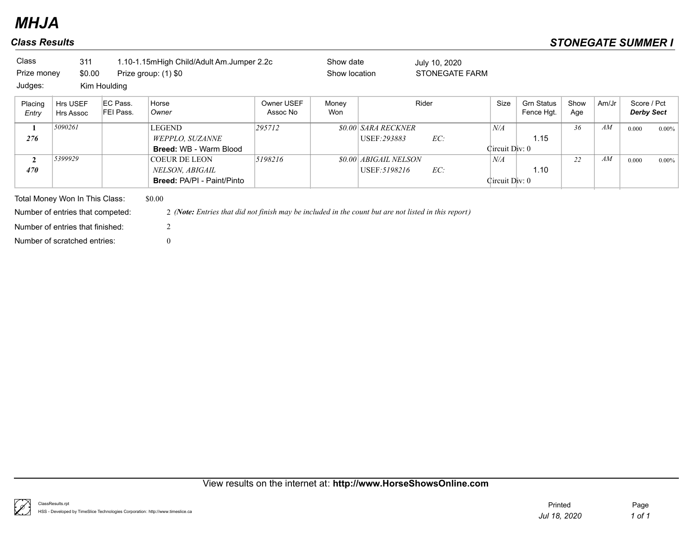| Class<br>Prize money<br>Judges: | 311<br>\$0.00                                                      | Kim Houlding          | 1.10-1.15mHigh Child/Adult Am.Jumper 2.2c<br>Prize group: (1) \$0                                              |                        | Show date<br>Show location |                                              | July 10, 2020<br>STONEGATE FARM |                       |                                 |             |       |                                  |          |
|---------------------------------|--------------------------------------------------------------------|-----------------------|----------------------------------------------------------------------------------------------------------------|------------------------|----------------------------|----------------------------------------------|---------------------------------|-----------------------|---------------------------------|-------------|-------|----------------------------------|----------|
| Placing<br>Entry                | Hrs USEF<br>Hrs Assoc                                              | EC Pass.<br>FEI Pass. | Horse<br>Owner                                                                                                 | Owner USEF<br>Assoc No | Money<br>Won               |                                              | Rider                           | Size                  | <b>Grn Status</b><br>Fence Hgt. | Show<br>Age | Am/Jr | Score / Pct<br><b>Derby Sect</b> |          |
| 1<br>276                        | 5090261                                                            |                       | LEGEND<br>WEPPLO, SUZANNE<br><b>Breed: WB - Warm Blood</b>                                                     | 295712                 |                            | <b>\$0.00 SARA RECKNER</b><br>USEF:293883    | EC:                             | N/A<br>Circuit Div: 0 | 1.15                            | 36          | AM    | 0.000                            | $0.00\%$ |
| $\mathbf{2}$<br>470             | 5399929                                                            |                       | COEUR DE LEON<br>NELSON, ABIGAIL<br><b>Breed: PA/PI - Paint/Pinto</b>                                          | 5198216                |                            | <b>\$0.00 ABIGAIL NELSON</b><br>USEF:5198216 | EC:                             | N/A<br>Circuit Div: 0 | 1.10                            | 22          | AM    | 0.000                            | $0.00\%$ |
|                                 | Total Money Won In This Class:<br>Number of entries that competed: |                       | \$0.00<br>2 (Note: Entries that did not finish may be included in the count but are not listed in this report) |                        |                            |                                              |                                 |                       |                                 |             |       |                                  |          |
|                                 | Number of entries that finished:<br>Number of scratched entries:   |                       | $\overline{2}$<br>$\overline{0}$                                                                               |                        |                            |                                              |                                 |                       |                                 |             |       |                                  |          |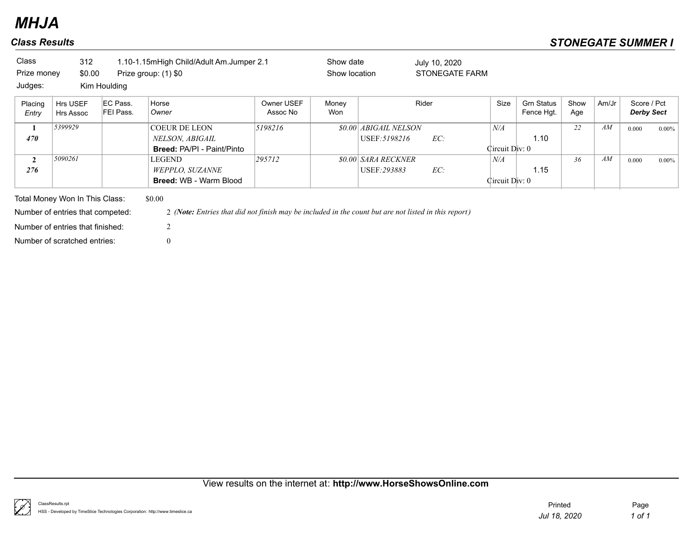| Class            | 312                                                                |                       | 1.10-1.15mHigh Child/Adult Am.Jumper 2.1                                                                       |                        | Show date     |                              | July 10, 2020  |                |                                 |             |       |                                  |          |
|------------------|--------------------------------------------------------------------|-----------------------|----------------------------------------------------------------------------------------------------------------|------------------------|---------------|------------------------------|----------------|----------------|---------------------------------|-------------|-------|----------------------------------|----------|
| Prize money      | \$0.00                                                             |                       | Prize group: (1) \$0                                                                                           |                        | Show location |                              | STONEGATE FARM |                |                                 |             |       |                                  |          |
| Judges:          |                                                                    | Kim Houlding          |                                                                                                                |                        |               |                              |                |                |                                 |             |       |                                  |          |
| Placing<br>Entry | Hrs USEF<br><b>Hrs Assoc</b>                                       | EC Pass.<br>FEI Pass. | Horse<br>Owner                                                                                                 | Owner USEF<br>Assoc No | Money<br>Won  |                              | Rider          | Size           | <b>Grn Status</b><br>Fence Hgt. | Show<br>Age | Am/Jr | Score / Pct<br><b>Derby Sect</b> |          |
| $\mathbf{1}$     | 5399929                                                            |                       | <b>COEUR DE LEON</b>                                                                                           | 5198216                |               | <b>\$0.00 ABIGAIL NELSON</b> |                | N/A            |                                 | 22          | AM    | 0.000                            | $0.00\%$ |
| 470              |                                                                    |                       | NELSON, ABIGAIL                                                                                                |                        |               | USEF: 5198216                | EC:            |                | 1.10                            |             |       |                                  |          |
|                  |                                                                    |                       | <b>Breed: PA/PI - Paint/Pinto</b>                                                                              |                        |               |                              |                | Circuit Div: 0 |                                 |             |       |                                  |          |
| $\overline{2}$   | 5090261                                                            |                       | LEGEND                                                                                                         | 295712                 |               | <b>\$0.00 SARA RECKNER</b>   |                | N/A            |                                 | 36          | AM    | 0.000                            | $0.00\%$ |
| 276              |                                                                    |                       | WEPPLO, SUZANNE                                                                                                |                        |               | USEF: 293883                 | EC:            |                | 1.15                            |             |       |                                  |          |
|                  |                                                                    |                       | <b>Breed: WB - Warm Blood</b>                                                                                  |                        |               |                              |                | Circuit Div: 0 |                                 |             |       |                                  |          |
|                  | Total Money Won In This Class:<br>Number of entries that competed: |                       | \$0.00<br>2 (Note: Entries that did not finish may be included in the count but are not listed in this report) |                        |               |                              |                |                |                                 |             |       |                                  |          |
|                  |                                                                    |                       |                                                                                                                |                        |               |                              |                |                |                                 |             |       |                                  |          |
|                  | Number of entries that finished:                                   |                       | 2                                                                                                              |                        |               |                              |                |                |                                 |             |       |                                  |          |
|                  | Number of scratched entries:                                       |                       | $\overline{0}$                                                                                                 |                        |               |                              |                |                |                                 |             |       |                                  |          |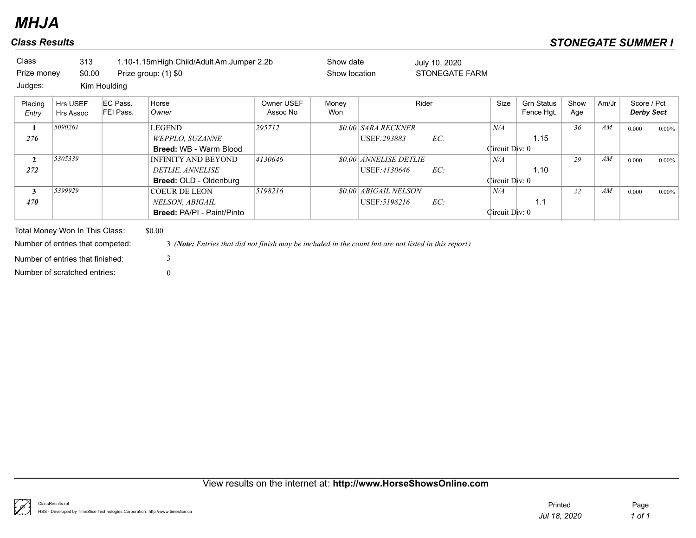## *Class Results STONEGATE SUMMER I*

| Class<br>Prize money<br>Judges: | 313<br>\$0.00                    | Kim Houlding          | 1.10-1.15mHigh Child/Adult Am.Jumper 2.2b<br>Prize group: (1) \$0                                    |                        | Show date<br>Show location |                        | July 10, 2020<br><b>STONEGATE FARM</b> |                |                                 |             |       |                                  |          |
|---------------------------------|----------------------------------|-----------------------|------------------------------------------------------------------------------------------------------|------------------------|----------------------------|------------------------|----------------------------------------|----------------|---------------------------------|-------------|-------|----------------------------------|----------|
| Placing<br>Entry                | Hrs USEF<br>Hrs Assoc            | EC Pass.<br>FEI Pass. | Horse<br>Owner                                                                                       | Owner USEF<br>Assoc No | Money<br>Won               |                        | Rider                                  | Size           | <b>Grn Status</b><br>Fence Hgt. | Show<br>Age | Am/Jr | Score / Pct<br><b>Derby Sect</b> |          |
| $\mathbf{1}$                    | 5090261                          |                       | LEGEND                                                                                               | 295712                 |                            | \$0.00 SARA RECKNER    |                                        | N/A            |                                 | 36          | AM    | 0.000                            | $0.00\%$ |
| 276                             |                                  |                       | WEPPLO, SUZANNE                                                                                      |                        |                            | USEF: 293883           | EC:                                    |                | 1.15                            |             |       |                                  |          |
|                                 |                                  |                       | <b>Breed: WB - Warm Blood</b>                                                                        |                        |                            |                        |                                        | Circuit Div: 0 |                                 |             |       |                                  |          |
| $\mathbf{2}$                    | 5305339                          |                       | <b>INFINITY AND BEYOND</b>                                                                           | 4130646                |                            | \$0.00 ANNELISE DETLIE |                                        | N/A            |                                 | 29          | AM    | 0.000                            | $0.00\%$ |
| 272                             |                                  |                       | DETLIE, ANNELISE                                                                                     |                        |                            | USEF:4130646           | EC:                                    |                | 1.10                            |             |       |                                  |          |
|                                 |                                  |                       | <b>Breed: OLD - Oldenburg</b>                                                                        |                        |                            |                        |                                        | Circuit Div: 0 |                                 |             |       |                                  |          |
| 3                               | 5399929                          |                       | <b>COEUR DE LEON</b>                                                                                 | 5198216                |                            | \$0.00 ABIGAIL NELSON  |                                        | N/A            |                                 | 22          | AM    | 0.000                            | $0.00\%$ |
| 470                             |                                  |                       | NELSON, ABIGAIL                                                                                      |                        |                            | USEF: 5198216          | EC:                                    |                | 1.1                             |             |       |                                  |          |
|                                 |                                  |                       | <b>Breed: PA/PI - Paint/Pinto</b>                                                                    |                        |                            |                        |                                        | Circuit Div: 0 |                                 |             |       |                                  |          |
|                                 | Total Money Won In This Class:   |                       | \$0.00                                                                                               |                        |                            |                        |                                        |                |                                 |             |       |                                  |          |
|                                 | Number of entries that competed: |                       | 3 (Note: Entries that did not finish may be included in the count but are not listed in this report) |                        |                            |                        |                                        |                |                                 |             |       |                                  |          |
|                                 | Number of entries that finished: |                       | 3                                                                                                    |                        |                            |                        |                                        |                |                                 |             |       |                                  |          |
|                                 | Number of scratched entries:     |                       | 0                                                                                                    |                        |                            |                        |                                        |                |                                 |             |       |                                  |          |

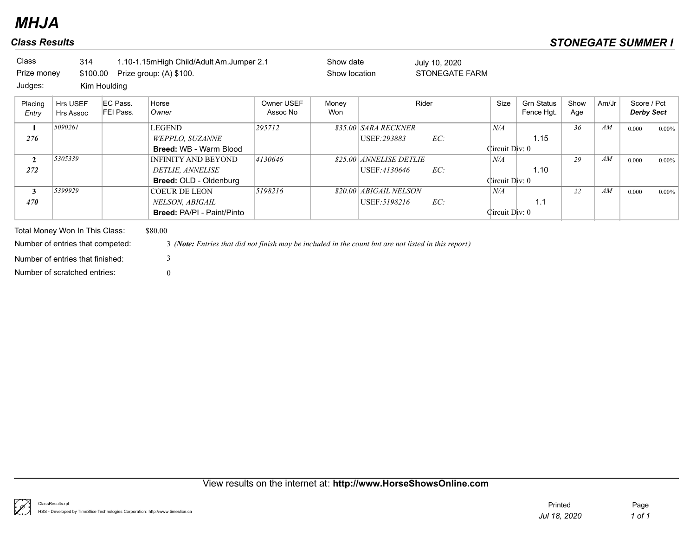## *Class Results STONEGATE SUMMER I*

| Class            | 314                              |                       | 1.10-1.15mHigh Child/Adult Am.Jumper 2.1                                                             |                        | Show date     |                         | July 10, 2020  |                |                                 |             |           |                                  |          |
|------------------|----------------------------------|-----------------------|------------------------------------------------------------------------------------------------------|------------------------|---------------|-------------------------|----------------|----------------|---------------------------------|-------------|-----------|----------------------------------|----------|
| Prize money      | \$100.00                         |                       | Prize group: (A) \$100.                                                                              |                        | Show location |                         | STONEGATE FARM |                |                                 |             |           |                                  |          |
| Judges:          |                                  | Kim Houlding          |                                                                                                      |                        |               |                         |                |                |                                 |             |           |                                  |          |
| Placing<br>Entry | Hrs USEF<br>Hrs Assoc            | EC Pass.<br>FEI Pass. | Horse<br>Owner                                                                                       | Owner USEF<br>Assoc No | Money<br>Won  |                         | Rider          | Size           | <b>Grn Status</b><br>Fence Hgt. | Show<br>Age | Am/Jr     | Score / Pct<br><b>Derby Sect</b> |          |
| 1                | 5090261                          |                       | <b>LEGEND</b>                                                                                        | 295712                 |               | \$35.00 SARA RECKNER    |                | N/A            |                                 | 36          | AM        | 0.000                            | $0.00\%$ |
| 276              |                                  |                       | WEPPLO, SUZANNE                                                                                      |                        |               | USEF: 293883            | EC:            |                | 1.15                            |             |           |                                  |          |
|                  |                                  |                       | <b>Breed: WB - Warm Blood</b>                                                                        |                        |               |                         |                | Circuit Div: 0 |                                 |             |           |                                  |          |
| $\mathbf{2}$     | 5305339                          |                       | <b>INFINITY AND BEYOND</b>                                                                           | 4130646                |               | \$25.00 ANNELISE DETLIE |                | N/A            |                                 | 29          | $\cal AM$ | 0.000                            | $0.00\%$ |
| 272              |                                  |                       | DETLIE, ANNELISE                                                                                     |                        |               | USEF:4130646            | EC:            |                | 1.10                            |             |           |                                  |          |
|                  |                                  |                       | <b>Breed: OLD - Oldenburg</b>                                                                        |                        |               |                         |                | Circuit Div: 0 |                                 |             |           |                                  |          |
| 3                | 5399929                          |                       | <b>COEUR DE LEON</b>                                                                                 | 5198216                |               | \$20.00 ABIGAIL NELSON  |                | N/A            |                                 | 22          | AM        | 0.000                            | $0.00\%$ |
| 470              |                                  |                       | NELSON, ABIGAIL                                                                                      |                        |               | USEF: 5198216           | EC:            |                | 1.1                             |             |           |                                  |          |
|                  |                                  |                       | <b>Breed: PA/PI - Paint/Pinto</b>                                                                    |                        |               |                         |                | Circuit Div: 0 |                                 |             |           |                                  |          |
|                  | Total Money Won In This Class:   |                       | \$80.00                                                                                              |                        |               |                         |                |                |                                 |             |           |                                  |          |
|                  | Number of entries that competed: |                       | 3 (Note: Entries that did not finish may be included in the count but are not listed in this report) |                        |               |                         |                |                |                                 |             |           |                                  |          |
|                  | Number of entries that finished: |                       | 3                                                                                                    |                        |               |                         |                |                |                                 |             |           |                                  |          |
|                  | Number of scratched entries:     |                       | $\theta$                                                                                             |                        |               |                         |                |                |                                 |             |           |                                  |          |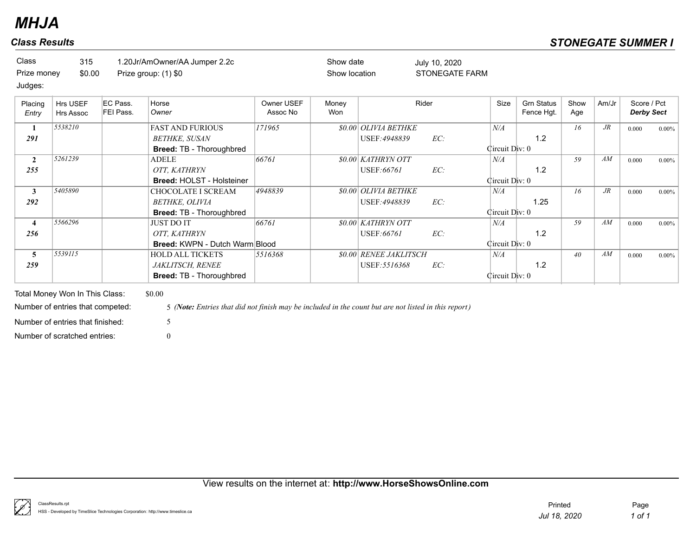| Class       | 315    | 1.20Jr/AmOwner/AA Jumper 2.2c | Show date     | July 10, 2020  |
|-------------|--------|-------------------------------|---------------|----------------|
| Prize money | \$0.00 | Prize group: (1) \$0          | Show location | STONEGATE FARM |

## Judges:

| Placing<br>Entry | Hrs USEF<br><b>Hrs Assoc</b> | EC Pass.<br>FEI Pass. | Horse<br>Owner                        | Owner USEF<br>Assoc No | Money<br>Won | Rider                            |     | Size           | <b>Grn Status</b><br>Fence Hgt. | Show<br>Age | Am/Jr  | Score / Pct<br><b>Derby Sect</b> |          |
|------------------|------------------------------|-----------------------|---------------------------------------|------------------------|--------------|----------------------------------|-----|----------------|---------------------------------|-------------|--------|----------------------------------|----------|
|                  | 5538210                      |                       | <b>FAST AND FURIOUS</b>               | 171965                 |              | <b>\$0.00 OLIVIA BETHKE</b>      |     | N/A            |                                 | 16          | $J\!R$ | 0.000                            | $0.00\%$ |
| 291              |                              |                       | <b>BETHKE, SUSAN</b>                  |                        |              | USEF: 4948839                    | EC: |                | 1.2                             |             |        |                                  |          |
|                  |                              |                       | <b>Breed: TB - Thoroughbred</b>       |                        |              |                                  |     | Circuit Div: 0 |                                 |             |        |                                  |          |
| $\overline{2}$   | 5261239                      |                       | ADELE                                 | 66761                  |              | <i><b>\$0.00 KATHRYN OTT</b></i> |     | N/A            |                                 | 59          | AM     | 0.000                            | $0.00\%$ |
| 255              |                              |                       | OTT, KATHRYN                          |                        |              | USEF:66761                       | EC: |                | 1.2                             |             |        |                                  |          |
|                  |                              |                       | <b>Breed: HOLST - Holsteiner</b>      |                        |              |                                  |     | Circuit Div: 0 |                                 |             |        |                                  |          |
| $\mathbf{3}$     | 5405890                      |                       | CHOCOLATE I SCREAM                    | 4948839                |              | <b>\$0.00 OLIVIA BETHKE</b>      |     | N/A            |                                 | 16          | $J\!R$ | 0.000                            | $0.00\%$ |
| 292              |                              |                       | BETHKE, OLIVIA                        |                        |              | USEF: 4948839                    | EC: |                | 1.25                            |             |        |                                  |          |
|                  |                              |                       | <b>Breed: TB - Thoroughbred</b>       |                        |              |                                  |     | Circuit Div: 0 |                                 |             |        |                                  |          |
| $\overline{4}$   | 5566296                      |                       | <b>JUST DO IT</b>                     | 66761                  |              | \$0.00 KATHRYN OTT               |     | N/A            |                                 | 59          | AM     | 0.000                            | $0.00\%$ |
| 256              |                              |                       | OTT. KATHRYN                          |                        |              | USEF:66761                       | EC: |                | 1.2                             |             |        |                                  |          |
|                  |                              |                       | <b>Breed: KWPN - Dutch Warm Blood</b> |                        |              |                                  |     | Circuit Div: 0 |                                 |             |        |                                  |          |
| 5                | 5539115                      |                       | <b>HOLD ALL TICKETS</b>               | 5516368                |              | <b>\$0.00 RENEE JAKLITSCH</b>    |     | N/A            |                                 | 40          | AM     | 0.000                            | $0.00\%$ |
| 259              |                              |                       | <i>JAKLITSCH, RENEE</i>               |                        |              | USEF: 5516368                    | EC: |                | 1.2                             |             |        |                                  |          |
|                  |                              |                       | <b>Breed: TB - Thoroughbred</b>       |                        |              |                                  |     | Circuit Div: 0 |                                 |             |        |                                  |          |

Total Money Won In This Class: \$0.00 Number of scratched entries: 0 Number of entries that finished: 5

Number of entries that competed: 5 *(Note: Entries that did not finish may be included in the count but are not listed in this report)*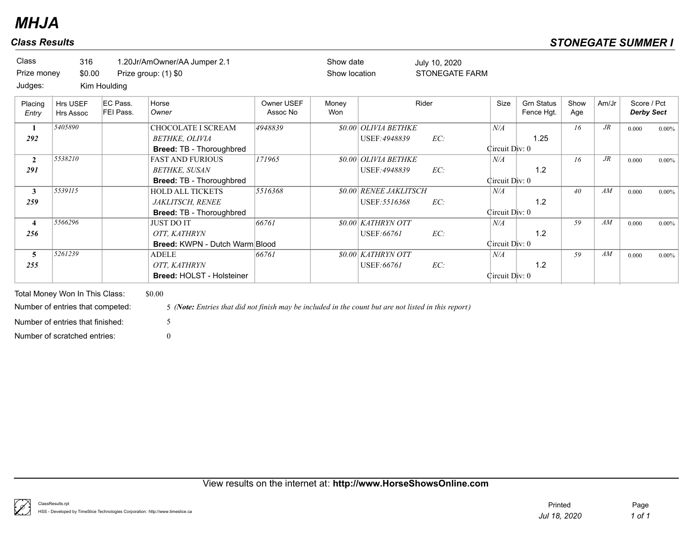| <b>Class Results</b>        |                              |                                       |                                                                                       |                        |                            |                                                |                                        |                       |                                 | <b>STONEGATE SUMMER I</b> |        |             |                   |
|-----------------------------|------------------------------|---------------------------------------|---------------------------------------------------------------------------------------|------------------------|----------------------------|------------------------------------------------|----------------------------------------|-----------------------|---------------------------------|---------------------------|--------|-------------|-------------------|
| Class<br>Prize money        | 316<br>\$0.00                |                                       | 1.20Jr/AmOwner/AA Jumper 2.1<br>Prize group: (1) \$0                                  |                        | Show date<br>Show location |                                                | July 10, 2020<br><b>STONEGATE FARM</b> |                       |                                 |                           |        |             |                   |
| Judges:<br>Placing<br>Entry | Hrs USEF<br><b>Hrs Assoc</b> | Kim Houlding<br>EC Pass.<br>FEI Pass. | Horse<br>Owner                                                                        | Owner USEF<br>Assoc No | Money<br>Won               |                                                | Rider                                  | Size                  | <b>Grn Status</b><br>Fence Hgt. | Show<br>Age               | Am/Jr  | Score / Pct | <b>Derby Sect</b> |
| -1<br>292                   | 5405890                      |                                       | <b>CHOCOLATE I SCREAM</b><br>BETHKE, OLIVIA<br>Breed: TB - Thoroughbred               | 4948839                |                            | \$0.00 OLIVIA BETHKE<br>USEF: 4948839          | EC:                                    | N/A<br>Circuit Div: 0 | 1.25                            | 16                        | $J\!R$ | 0.000       | $0.00\%$          |
| $\overline{2}$<br>291       | 5538210                      |                                       | <b>FAST AND FURIOUS</b><br><b>BETHKE, SUSAN</b><br>Breed: TB - Thoroughbred           | 171965                 |                            | <b>\$0.00 OLIVIA BETHKE</b><br>USEF: 4948839   | EC:                                    | N/A<br>Circuit Div: 0 | 1.2                             | 16                        | $J\!R$ | 0.000       | $0.00\%$          |
| $\mathbf{3}$<br>259         | 5539115                      |                                       | <b>HOLD ALL TICKETS</b><br><b>JAKLITSCH, RENEE</b><br><b>Breed: TB - Thoroughbred</b> | 5516368                |                            | <b>\$0.00 RENEE JAKLITSCH</b><br>USEF: 5516368 | EC:                                    | N/A<br>Circuit Div: 0 | 1.2                             | 40                        | AM     | 0.000       | $0.00\%$          |
| $\overline{4}$<br>256       | 5566296                      |                                       | <b>JUST DO IT</b><br>OTT, KATHRYN<br><b>Breed: KWPN - Dutch Warm Blood</b>            | 66761                  |                            | \$0.00 KATHRYN OTT<br>USEF: 66761              | EC:                                    | N/A<br>Circuit Div: 0 | 1.2                             | 59                        | AM     | 0.000       | $0.00\%$          |
| 5<br>255                    | 5261239                      |                                       | <b>ADELE</b><br>OTT, KATHRYN<br><b>Breed: HOLST - Holsteiner</b>                      | 66761                  |                            | <i>SO.OO KATHRYN OTT</i><br>USEF:66761         | EC:                                    | N/A<br>Circuit Div: 0 | 1.2                             | 59                        | AM     | 0.000       | $0.00\%$          |

Total Money Won In This Class: \$0.00 Number of scratched entries: 0 Number of entries that finished: 5

Number of entries that competed: 5 *(Note: Entries that did not finish may be included in the count but are not listed in this report)*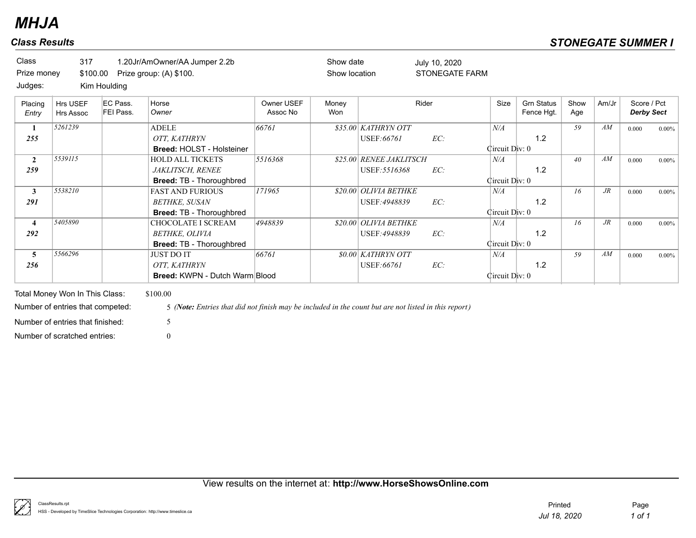| Class<br>Prize money<br>Judges: | 317<br>\$100.00              | Kim Houlding          | 1.20Jr/AmOwner/AA Jumper 2.2b<br>Prize group: (A) \$100.                           |                        | Show date<br>Show location |                                          | July 10, 2020<br><b>STONEGATE FARM</b> |                       |                                 |             |        |                                  |          |
|---------------------------------|------------------------------|-----------------------|------------------------------------------------------------------------------------|------------------------|----------------------------|------------------------------------------|----------------------------------------|-----------------------|---------------------------------|-------------|--------|----------------------------------|----------|
| Placing<br>Entry                | Hrs USEF<br><b>Hrs Assoc</b> | EC Pass.<br>FEI Pass. | Horse<br>Owner                                                                     | Owner USEF<br>Assoc No | Money<br>Won               |                                          | Rider                                  | Size                  | <b>Grn Status</b><br>Fence Hgt. | Show<br>Age | Am/Jr  | Score / Pct<br><b>Derby Sect</b> |          |
| 1<br>255                        | 5261239                      |                       | <b>ADELE</b><br>OTT, KATHRYN<br><b>Breed: HOLST - Holsteiner</b>                   | 66761                  |                            | \$35.00 KATHRYN OTT<br>USEF:66761        | EC:                                    | N/A<br>Circuit Div: 0 | 1.2                             | 59          | AM     | 0.000                            | 0.00%    |
| $\mathbf{2}$<br>259             | 5539115                      |                       | <b>HOLD ALL TICKETS</b><br>JAKLITSCH, RENEE<br><b>Breed: TB - Thoroughbred</b>     | 5516368                |                            | \$25.00 RENEE JAKLITSCH<br>USEF: 5516368 | EC:                                    | N/A<br>Circuit Div: 0 | 1.2                             | 40          | AM     | 0.000                            | 0.00%    |
| 3<br>291                        | 5538210                      |                       | <b>FAST AND FURIOUS</b><br><b>BETHKE, SUSAN</b><br><b>Breed: TB - Thoroughbred</b> | 171965                 |                            | \$20.00 OLIVIA BETHKE<br>USEF: 4948839   | EC:                                    | N/A<br>Circuit Div: 0 | 1.2                             | 16          | $J\!R$ | 0.000                            | $0.00\%$ |
| 4<br>292                        | 5405890                      |                       | <b>CHOCOLATE I SCREAM</b><br>BETHKE, OLIVIA<br>Breed: TB - Thoroughbred            | 4948839                |                            | \$20.00 OLIVIA BETHKE<br>USEF: 4948839   | EC:                                    | N/A<br>Circuit Div: 0 | 1.2                             | 16          | $J\!R$ | 0.000                            | $0.00\%$ |
| 5<br>256                        | 5566296                      |                       | <b>JUST DO IT</b><br>OTT, KATHRYN<br><b>Breed: KWPN - Dutch Warm Blood</b>         | 66761                  |                            | <b>80.00 KATHRYN OTT</b><br>USEF:66761   | EC:                                    | N/A<br>Circuit Div: 0 | 1.2                             | 59          | AM     | 0.000                            | 0.00%    |

Total Money Won In This Class: \$100.00 Number of scratched entries: 0 Number of entries that finished: 5

Number of entries that competed: 5 *(Note: Entries that did not finish may be included in the count but are not listed in this report)*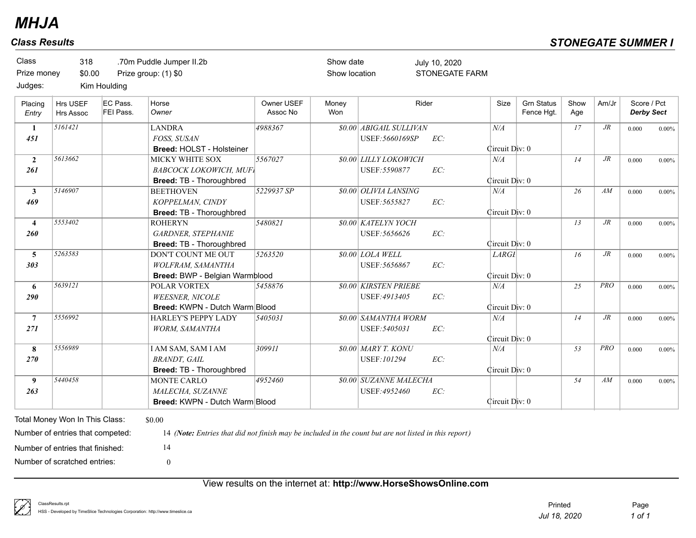| Class<br>Prize money<br>Judges: | 318<br>\$0.00                                                                                                                          | Kim Houlding          | .70m Puddle Jumper II.2b<br>Prize group: (1) \$0                                                                                  |                        | Show date<br>Show location |                                                | July 10, 2020<br><b>STONEGATE FARM</b> |                             |                                 |             |        |                                  |          |
|---------------------------------|----------------------------------------------------------------------------------------------------------------------------------------|-----------------------|-----------------------------------------------------------------------------------------------------------------------------------|------------------------|----------------------------|------------------------------------------------|----------------------------------------|-----------------------------|---------------------------------|-------------|--------|----------------------------------|----------|
| Placing<br>Entry                | Hrs USEF<br><b>Hrs Assoc</b>                                                                                                           | EC Pass.<br>FEI Pass. | Horse<br>Owner                                                                                                                    | Owner USEF<br>Assoc No | Money<br>Won               |                                                | Rider                                  | Size                        | <b>Grn Status</b><br>Fence Hgt. | Show<br>Age | Am/Jr  | Score / Pct<br><b>Derby Sect</b> |          |
| 1<br>451                        | 5161421                                                                                                                                |                       | <b>LANDRA</b><br>FOSS, SUSAN<br><b>Breed: HOLST - Holsteiner</b>                                                                  | 4988367                |                            | \$0.00 ABIGAIL SULLIVAN<br>USEF: 5660169SP     | EC:                                    | $N\!/\!A$<br>Circuit Div: 0 |                                 | 17          | $J\!R$ | 0.000                            | $0.00\%$ |
| $\overline{2}$<br>261           | 5613662                                                                                                                                |                       | MICKY WHITE SOX<br><b>BABCOCK LOKOWICH, MUFI</b><br>Breed: TB - Thoroughbred                                                      | 5567027                |                            | <b>\$0.00 LILLY LOKOWICH</b><br>USEF: 5590877  | EC:                                    | N/A<br>Circuit Div: 0       |                                 | 14          | $J\!R$ | 0.000                            | $0.00\%$ |
| $\mathbf{3}$<br>469             | 5146907                                                                                                                                |                       | <b>BEETHOVEN</b><br>KOPPELMAN, CINDY<br>Breed: TB - Thoroughbred                                                                  | 5229937 SP             |                            | \$0.00 OLIVIA LANSING<br>USEF: 5655827         | EC:                                    | N/A<br>Circuit Div: 0       |                                 | 26          | AM     | 0.000                            | $0.00\%$ |
| $\overline{\mathbf{4}}$<br>260  | 5553402                                                                                                                                |                       | <b>ROHERYN</b><br><b>GARDNER, STEPHANIE</b><br>Breed: TB - Thoroughbred                                                           | 5480821                |                            | <b>\$0.00 KATELYN YOCH</b><br>USEF: 5656626    | EC:                                    | Circuit Div: 0              |                                 | 13          | $J\!R$ | 0.000                            | $0.00\%$ |
| 5<br>303                        | 5263583                                                                                                                                |                       | <b>DON'T COUNT ME OUT</b><br>WOLFRAM, SAMANTHA<br>Breed: BWP - Belgian Warmblood                                                  | 5263520                |                            | \$0.00 LOLA WELL<br>USEF: 5656867              | EC:                                    | LARG1<br>Circuit Div: 0     |                                 | 16          | $J\!R$ | 0.000                            | $0.00\%$ |
| $\boldsymbol{6}$<br>290         | 5639121                                                                                                                                |                       | <b>POLAR VORTEX</b><br><b>WEESNER, NICOLE</b><br>Breed: KWPN - Dutch Warm Blood                                                   | 5458876                |                            | <b>\$0.00 KIRSTEN PRIEBE</b><br>USEF: 4913405  | EC:                                    | N/A<br>Circuit Div: 0       |                                 | 25          | PRO    | 0.000                            | $0.00\%$ |
| $\overline{7}$<br>271           | 5556992                                                                                                                                |                       | HARLEY'S PEPPY LADY<br>WORM, SAMANTHA                                                                                             | 5405031                |                            | \$0.00 SAMANTHA WORM<br>USEF: 5405031          | EC:                                    | N/A<br>Circuit Div: 0       |                                 | 14          | $J\!R$ | 0.000                            | $0.00\%$ |
| 8<br>270                        | 5556989                                                                                                                                |                       | <b>I AM SAM, SAM I AM</b><br><b>BRANDT</b> , GAIL<br>Breed: TB - Thoroughbred                                                     | 309911                 |                            | \$0.00 MARY T. KONU<br>USEF: 101294            | EC:                                    | N/A<br>Circuit Div: 0       |                                 | 53          | PRO    | 0.000                            | $0.00\%$ |
| 9<br>263                        | 5440458                                                                                                                                |                       | <b>MONTE CARLO</b><br>MALECHA, SUZANNE<br>Breed: KWPN - Dutch Warm Blood                                                          | 4952460                |                            | <b>\$0.00 SUZANNE MALECHA</b><br>USEF: 4952460 | EC:                                    | Circuit Div: 0              |                                 | 54          | AM     | 0.000                            | $0.00\%$ |
|                                 | Total Money Won In This Class:<br>Number of entries that competed:<br>Number of entries that finished:<br>Number of scratched entries: |                       | \$0.00<br>14 (Note: Entries that did not finish may be included in the count but are not listed in this report)<br>14<br>$\theta$ |                        |                            |                                                |                                        |                             |                                 |             |        |                                  |          |

## View results on the internet at: **http://www.HorseShowsOnline.com**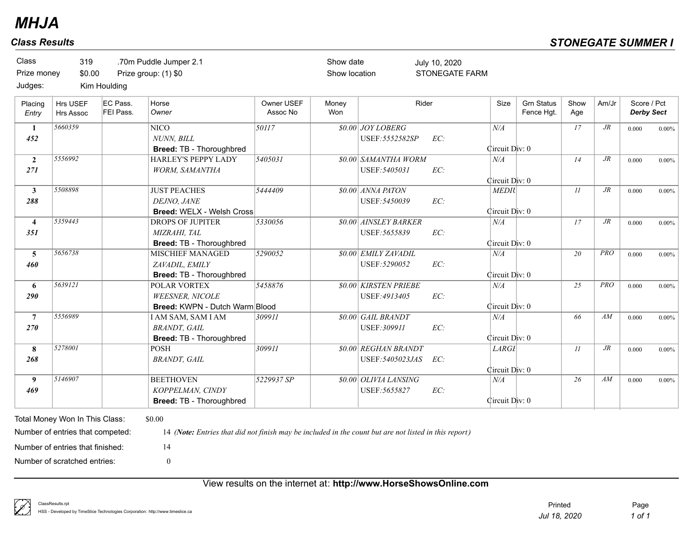| Class<br>Prize money<br>Judges: | 319<br>\$0.00                                                                                                                          | Kim Houlding          | .70m Puddle Jumper 2.1<br>Prize group: (1) \$0                                                                                        |                        | Show date<br>Show location |                                               | July 10, 2020<br><b>STONEGATE FARM</b> |                                |                                 |             |            |                                  |          |
|---------------------------------|----------------------------------------------------------------------------------------------------------------------------------------|-----------------------|---------------------------------------------------------------------------------------------------------------------------------------|------------------------|----------------------------|-----------------------------------------------|----------------------------------------|--------------------------------|---------------------------------|-------------|------------|----------------------------------|----------|
| Placing<br>Entry                | Hrs USEF<br><b>Hrs Assoc</b>                                                                                                           | EC Pass.<br>FEI Pass. | Horse<br>Owner                                                                                                                        | Owner USEF<br>Assoc No | Money<br>Won               |                                               | Rider                                  | Size                           | <b>Grn Status</b><br>Fence Hgt. | Show<br>Age | Am/Jr      | Score / Pct<br><b>Derby Sect</b> |          |
| $\mathbf{1}$<br>452             | 5660359                                                                                                                                |                       | $\overline{\text{NICO}}$<br><b>NUNN. BILL</b><br>Breed: TB - Thoroughbred                                                             | $\overline{50117}$     |                            | <b>\$0.00 JOY LOBERG</b><br>USEF: 5552582SP   | EC:                                    | N/A<br>Circuit Div: 0          |                                 | 17          | $J\!R$     | 0.000                            | $0.00\%$ |
| $\overline{2}$<br>271           | 5556992                                                                                                                                |                       | HARLEY'S PEPPY LADY<br>WORM, SAMANTHA                                                                                                 | 3405031                |                            | \$0.00 SAMANTHA WORM<br>USEF: 5405031         | EC:                                    | N/A<br>Circuit Div: 0          |                                 | 14          | $J\!R$     | 0.000                            | $0.00\%$ |
| $\mathbf{3}$<br>288             | 5508898                                                                                                                                |                       | <b>JUST PEACHES</b><br>DEJNO, JANE<br>Breed: WELX - Welsh Cross                                                                       | 5444409                |                            | \$0.00 ANNA PATON<br>USEF: 5450039            | EC:                                    | <b>MEDIU</b><br>Circuit Div: 0 |                                 | 11          | $J\!R$     | 0.000                            | $0.00\%$ |
| $\overline{\mathbf{4}}$<br>351  | 5359443                                                                                                                                |                       | <b>DROPS OF JUPITER</b><br>MIZRAHI, TAL<br>Breed: TB - Thoroughbred                                                                   | 5330056                |                            | <b>\$0.00 AINSLEY BARKER</b><br>USEF: 5655839 | EC:                                    | N/A<br>Circuit Div: 0          |                                 | 17          | $J\!R$     | 0.000                            | $0.00\%$ |
| 5<br>460                        | 5656738                                                                                                                                |                       | <b>MISCHIEF MANAGED</b><br>ZAVADIL, EMILY<br>Breed: TB - Thoroughbred                                                                 | 5290052                |                            | \$0.00 EMILY ZAVADIL<br>USEF: 5290052         | EC:                                    | N/A<br>Circuit Div: 0          |                                 | 20          | <b>PRO</b> | 0.000                            | $0.00\%$ |
| 6<br>290                        | 5639121                                                                                                                                |                       | POLAR VORTEX<br><b>WEESNER, NICOLE</b><br>Breed: KWPN - Dutch Warm Blood                                                              | 5458876                |                            | <b>\$0.00 KIRSTEN PRIEBE</b><br>USEF: 4913405 | EC:                                    | N/A<br>Circuit Div: 0          |                                 | 25          | <b>PRO</b> | 0.000                            | $0.00\%$ |
| $\overline{7}$<br>270           | 5556989                                                                                                                                |                       | I AM SAM, SAM I AM<br><b>BRANDT</b> , GAIL<br>Breed: TB - Thoroughbred                                                                | 309911                 |                            | <b>\$0.00 GAIL BRANDT</b><br>USEF: 309911     | EC:                                    | N/A<br>Circuit Div: 0          |                                 | 66          | AM         | 0.000                            | $0.00\%$ |
| 8<br>268                        | 5278001                                                                                                                                |                       | <b>POSH</b><br><b>BRANDT</b> , GAIL                                                                                                   | 309911                 |                            | \$0.00 REGHAN BRANDT<br>USEF: 5405023JAS      | EC:                                    | LARGI<br>Circuit Div: 0        |                                 | II          | $J\!R$     | 0.000                            | $0.00\%$ |
| 9<br>469                        | 5146907                                                                                                                                |                       | <b>BEETHOVEN</b><br>KOPPELMAN, CINDY<br>Breed: TB - Thoroughbred                                                                      | 5229937 SP             |                            | \$0.00 OLIVIA LANSING<br>USEF: 5655827        | EC:                                    | N/A<br>Circuit Div: 0          |                                 | 26          | AM         | 0.000                            | $0.00\%$ |
|                                 | Total Money Won In This Class:<br>Number of entries that competed:<br>Number of entries that finished:<br>Number of scratched entries: |                       | \$0.00<br>14 (Note: Entries that did not finish may be included in the count but are not listed in this report)<br>14<br>$\mathbf{0}$ |                        |                            |                                               |                                        |                                |                                 |             |            |                                  |          |

## View results on the internet at: **http://www.HorseShowsOnline.com**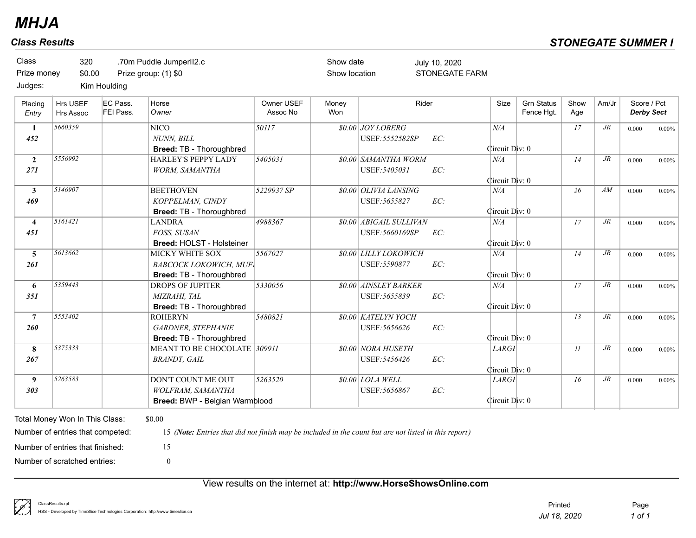| Class<br>Prize money<br>Judges: | 320<br>\$0.00                                                                                                                          | Kim Houlding          | .70m Puddle JumperII2.c<br>Prize group: (1) \$0                                                                                       |                        | Show date<br>Show location |                                                   | July 10, 2020<br><b>STONEGATE FARM</b> |                                |                                 |             |        |                                  |          |
|---------------------------------|----------------------------------------------------------------------------------------------------------------------------------------|-----------------------|---------------------------------------------------------------------------------------------------------------------------------------|------------------------|----------------------------|---------------------------------------------------|----------------------------------------|--------------------------------|---------------------------------|-------------|--------|----------------------------------|----------|
| Placing<br>Entry                | Hrs USEF<br>Hrs Assoc                                                                                                                  | EC Pass.<br>FEI Pass. | Horse<br>Owner                                                                                                                        | Owner USEF<br>Assoc No | Money<br>Won               |                                                   | Rider                                  | Size                           | <b>Grn Status</b><br>Fence Hgt. | Show<br>Age | Am/Jr  | Score / Pct<br><b>Derby Sect</b> |          |
| 1<br>452                        | 5660359                                                                                                                                |                       | <b>NICO</b><br>NUNN, BILL<br>Breed: TB - Thoroughbred                                                                                 | 50117                  |                            | \$0.00 JOY LOBERG<br>USEF: 5552582SP              | EC:                                    | N/A<br>Circuit Div: 0          |                                 | 17          | $J\!R$ | 0.000                            | $0.00\%$ |
| $\overline{2}$<br>271           | 5556992                                                                                                                                |                       | HARLEY'S PEPPY LADY<br>WORM, SAMANTHA                                                                                                 | 3405031                |                            | <b>\$0.00 SAMANTHA WORM</b><br>USEF: 5405031      | EC:                                    | N/A<br>Circuit Div: 0          |                                 | 14          | $J\!R$ | 0.000                            | $0.00\%$ |
| $\mathbf{3}$<br>469             | 5146907                                                                                                                                |                       | <b>BEETHOVEN</b><br>KOPPELMAN, CINDY<br>Breed: TB - Thoroughbred                                                                      | 5229937 SP             |                            | \$0.00 OLIVIA LANSING<br>USEF: 5655827            | EC:                                    | N/A<br>Circuit Div: 0          |                                 | 26          | AM     | 0.000                            | $0.00\%$ |
| $\overline{\mathbf{4}}$<br>451  | 5161421                                                                                                                                |                       | <b>LANDRA</b><br>FOSS, SUSAN<br>Breed: HOLST - Holsteiner                                                                             | 4988367                |                            | <b>\$0.00 ABIGAIL SULLIVAN</b><br>USEF: 5660169SP | EC:                                    | N/A<br>Circuit Div: 0          |                                 | 17          | $J\!R$ | 0.000                            | $0.00\%$ |
| 5<br>261                        | 5613662                                                                                                                                |                       | MICKY WHITE SOX<br><b>BABCOCK LOKOWICH, MUFI</b><br>Breed: TB - Thoroughbred                                                          | 5567027                |                            | <b>\$0.00 LILLY LOKOWICH</b><br>USEF: 5590877     | EC:                                    | N/A<br>Circuit Div: 0          |                                 | 14          | $J\!R$ | 0.000                            | $0.00\%$ |
| 6<br>351                        | 5359443                                                                                                                                |                       | <b>DROPS OF JUPITER</b><br>MIZRAHI, TAL<br>Breed: TB - Thoroughbred                                                                   | 5330056                |                            | <b>\$0.00 AINSLEY BARKER</b><br>USEF: 5655839     | EC:                                    | N/A<br>Circuit Div: 0          |                                 | 17          | $J\!R$ | 0.000                            | $0.00\%$ |
| $\overline{7}$<br>260           | 5553402                                                                                                                                |                       | <b>ROHERYN</b><br><b>GARDNER, STEPHANIE</b><br>Breed: TB - Thoroughbred                                                               | 5480821                |                            | <b>\$0.00 KATELYN YOCH</b><br>USEF: 5656626       | EC:                                    | Circuit Div: 0                 |                                 | 13          | $J\!R$ | 0.000                            | $0.00\%$ |
| 8<br>267                        | 5375333                                                                                                                                |                       | MEANT TO BE CHOCOLATE 309911<br><b>BRANDT</b> , GAIL                                                                                  |                        |                            | <b>\$0.00 NORA HUSETH</b><br>USEF: 5456426        | EC:                                    | <b>LARGI</b><br>Circuit Div: 0 |                                 | 11          | $J\!R$ | 0.000                            | $0.00\%$ |
| 9<br>303                        | 5263583                                                                                                                                |                       | DON'T COUNT ME OUT<br>WOLFRAM, SAMANTHA<br>Breed: BWP - Belgian Warmblood                                                             | 5263520                |                            | \$0.00 LOLA WELL<br>USEF: 5656867                 | EC:                                    | <b>LARGI</b><br>Circuit Div: 0 |                                 | 16          | $J\!R$ | 0.000                            | $0.00\%$ |
|                                 | Total Money Won In This Class:<br>Number of entries that competed:<br>Number of entries that finished:<br>Number of scratched entries: |                       | \$0.00<br>15 (Note: Entries that did not finish may be included in the count but are not listed in this report)<br>15<br>$\mathbf{0}$ |                        |                            |                                                   |                                        |                                |                                 |             |        |                                  |          |

## View results on the internet at: **http://www.HorseShowsOnline.com**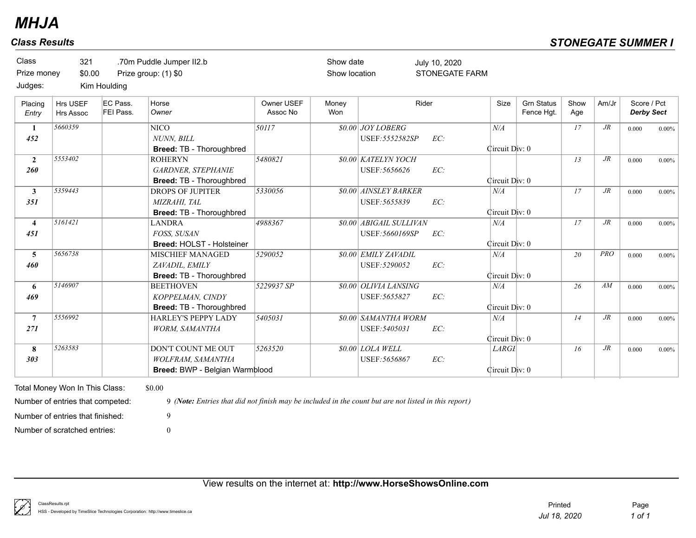| Class<br>Prize money<br>Judges: | 321<br>\$0.00                | Kim Houlding          | .70m Puddle Jumper II2.b<br>Prize group: (1) \$0                                 |                        | Show date<br>Show location |                                               | July 10, 2020<br><b>STONEGATE FARM</b> |                                |                                 |             |        |                                  |          |
|---------------------------------|------------------------------|-----------------------|----------------------------------------------------------------------------------|------------------------|----------------------------|-----------------------------------------------|----------------------------------------|--------------------------------|---------------------------------|-------------|--------|----------------------------------|----------|
| Placing<br>Entry                | Hrs USEF<br><b>Hrs Assoc</b> | EC Pass.<br>FEI Pass. | Horse<br>Owner                                                                   | Owner USEF<br>Assoc No | Money<br>Won               |                                               | Rider                                  | Size                           | <b>Grn Status</b><br>Fence Hgt. | Show<br>Age | Am/Jr  | Score / Pct<br><b>Derby Sect</b> |          |
| $\mathbf{1}$                    | 5660359                      |                       | <b>NICO</b>                                                                      | 50117                  |                            | \$0.00 JOY LOBERG                             |                                        | N/A                            |                                 | 17          | $J\!R$ | 0.000                            | $0.00\%$ |
| 452                             |                              |                       | NUNN, BILL<br>Breed: TB - Thoroughbred                                           |                        |                            | USEF: 5552582SP                               | EC:                                    | Circuit Div: 0                 |                                 |             |        |                                  |          |
| $\overline{2}$<br>260           | 5553402                      |                       | <b>ROHERYN</b><br><b>GARDNER, STEPHANIE</b><br>Breed: TB - Thoroughbred          | 5480821                |                            | <b>\$0.00 KATELYN YOCH</b><br>USEF: 5656626   | EC:                                    | Circuit Div: 0                 |                                 | 13          | $J\!R$ | 0.000                            | $0.00\%$ |
| $\mathbf{3}$<br>351             | 5359443                      |                       | DROPS OF JUPITER<br>MIZRAHI, TAL<br>Breed: TB - Thoroughbred                     | 5330056                |                            | <b>\$0.00 AINSLEY BARKER</b><br>USEF: 5655839 | EC:                                    | N/A<br>Circuit Div: 0          |                                 | 17          | $J\!R$ | 0.000                            | $0.00\%$ |
| $\overline{\mathbf{4}}$<br>451  | 5161421                      |                       | <b>LANDRA</b><br><b>FOSS. SUSAN</b><br>Breed: HOLST - Holsteiner                 | 4988367                |                            | \$0.00 ABIGAIL SULLIVAN<br>USEF: 5660169SP    | EC:                                    | N/A<br>Circuit Div: 0          |                                 | 17          | $J\!R$ | 0.000                            | $0.00\%$ |
| 5<br>460                        | 5656738                      |                       | <b>MISCHIEF MANAGED</b><br>ZAVADIL, EMILY<br>Breed: TB - Thoroughbred            | 5290052                |                            | \$0.00 EMILY ZAVADIL<br>USEF: 5290052         | EC:                                    | N/A<br>Circuit Div: 0          |                                 | 20          | PRO    | 0.000                            | $0.00\%$ |
| 6<br>469                        | 5146907                      |                       | <b>BEETHOVEN</b><br>KOPPELMAN, CINDY<br>Breed: TB - Thoroughbred                 | 5229937 SP             |                            | \$0.00 OLIVIA LANSING<br>USEF: 5655827        | EC:                                    | N/A<br>Circuit Div: 0          |                                 | 26          | AM     | 0.000                            | $0.00\%$ |
| $\overline{7}$<br>271           | 5556992                      |                       | HARLEY'S PEPPY LADY<br>WORM, SAMANTHA                                            | 5405031                |                            | \$0.00 SAMANTHA WORM<br>USEF: 5405031         | EC:                                    | N/A<br>Circuit Div: 0          |                                 | 14          | $J\!R$ | 0.000                            | $0.00\%$ |
| 8<br>303                        | 5263583                      |                       | <b>DON'T COUNT ME OUT</b><br>WOLFRAM, SAMANTHA<br>Breed: BWP - Belgian Warmblood | 5263520                |                            | \$0.00 LOLA WELL<br>USEF: 5656867             | EC:                                    | <b>LARGI</b><br>Circuit Div: 0 |                                 | 16          | $J\!R$ | 0.000                            | $0.00\%$ |

Number of scratched entries: 0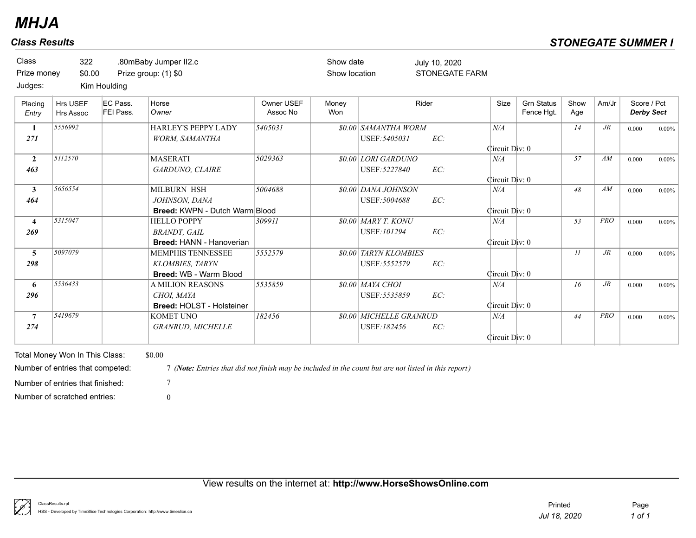| EC Pass.<br>Rider<br><b>Grn Status</b><br>Show<br>Horse<br>Owner USEF<br>Money<br>Size<br>Am/Jr<br>Hrs USEF<br>Placing<br>FEI Pass.<br>Assoc No<br>Won<br>Owner<br>Fence Hqt.<br>Age<br>Hrs Assoc<br>Entry<br>5556992<br><b>HARLEY'S PEPPY LADY</b><br>5405031<br><b>\$0.00 SAMANTHA WORM</b><br>N/A<br>$J\!R$<br>14<br>1<br>EC:<br>USEF: 5405031<br>271<br><b>WORM, SAMANTHA</b><br>Circuit Div: 0<br>5112570<br>5029363<br>\$0.00 LORI GARDUNO<br>57<br>AM<br><b>MASERATI</b><br>$\overline{2}$<br>N/A<br>USEF: 5227840<br>EC:<br>463<br>GARDUNO, CLAIRE<br>Circuit Div: 0<br>5656554<br>\$0.00 DANA JOHNSON<br>$\mathbf{3}$<br>MILBURN HSH<br>5004688<br>48<br>AM<br>N/A<br>EC:<br>USEF: 5004688<br>464<br>JOHNSON, DANA<br><b>Breed: KWPN - Dutch Warm Blood</b><br>Circuit Div: 0 |                                  |
|----------------------------------------------------------------------------------------------------------------------------------------------------------------------------------------------------------------------------------------------------------------------------------------------------------------------------------------------------------------------------------------------------------------------------------------------------------------------------------------------------------------------------------------------------------------------------------------------------------------------------------------------------------------------------------------------------------------------------------------------------------------------------------------|----------------------------------|
|                                                                                                                                                                                                                                                                                                                                                                                                                                                                                                                                                                                                                                                                                                                                                                                        | Score / Pct<br><b>Derby Sect</b> |
|                                                                                                                                                                                                                                                                                                                                                                                                                                                                                                                                                                                                                                                                                                                                                                                        | 0.000<br>$0.00\%$                |
|                                                                                                                                                                                                                                                                                                                                                                                                                                                                                                                                                                                                                                                                                                                                                                                        | 0.000<br>$0.00\%$                |
|                                                                                                                                                                                                                                                                                                                                                                                                                                                                                                                                                                                                                                                                                                                                                                                        | 0.000<br>$0.00\%$                |
| 5315047<br><b>\$0.00 MARY T. KONU</b><br>PRO<br>53<br><b>HELLO POPPY</b><br>309911<br>N/A<br>$\overline{4}$<br>EC:<br>USEF:101294<br><b>BRANDT, GAIL</b><br>269<br><b>Breed: HANN - Hanoverian</b><br>Circuit Div: 0                                                                                                                                                                                                                                                                                                                                                                                                                                                                                                                                                                   | 0.000<br>$0.00\%$                |
| 5097079<br>$J\!R$<br>5552579<br><b>80.00 TARYN KLOMBIES</b><br>II<br>5<br>MEMPHIS TENNESSEE<br><b>KLOMBIES, TARYN</b><br>USEF: 5552579<br>EC:<br>298<br>Circuit Div: 0<br>Breed: WB - Warm Blood                                                                                                                                                                                                                                                                                                                                                                                                                                                                                                                                                                                       | 0.000<br>$0.00\%$                |
| 5536433<br><b>\$0.00 MAYA CHOI</b><br><b>A MILION REASONS</b><br>5535859<br>$J\!R$<br>16<br>N/A<br>6<br>EC:<br>296<br>CHOI. MAYA<br>USEF: 5535859<br><b>Breed: HOLST - Holsteiner</b><br>Circuit Div: 0                                                                                                                                                                                                                                                                                                                                                                                                                                                                                                                                                                                | 0.000<br>$0.00\%$                |
| 5419679<br>KOMET UNO<br>182456<br>\$0.00 MICHELLE GRANRUD<br><b>PRO</b><br>$\overline{7}$<br>N/A<br>44<br>274<br>USEF:182456<br>EC:<br><b>GRANRUD, MICHELLE</b><br>Circuit Div: 0                                                                                                                                                                                                                                                                                                                                                                                                                                                                                                                                                                                                      | 0.000<br>$0.00\%$                |
| \$0.00<br>Total Money Won In This Class:<br>7 (Note: Entries that did not finish may be included in the count but are not listed in this report)<br>Number of entries that competed:                                                                                                                                                                                                                                                                                                                                                                                                                                                                                                                                                                                                   |                                  |
| Number of entries that finished:<br>$\theta$<br>Number of scratched entries:                                                                                                                                                                                                                                                                                                                                                                                                                                                                                                                                                                                                                                                                                                           |                                  |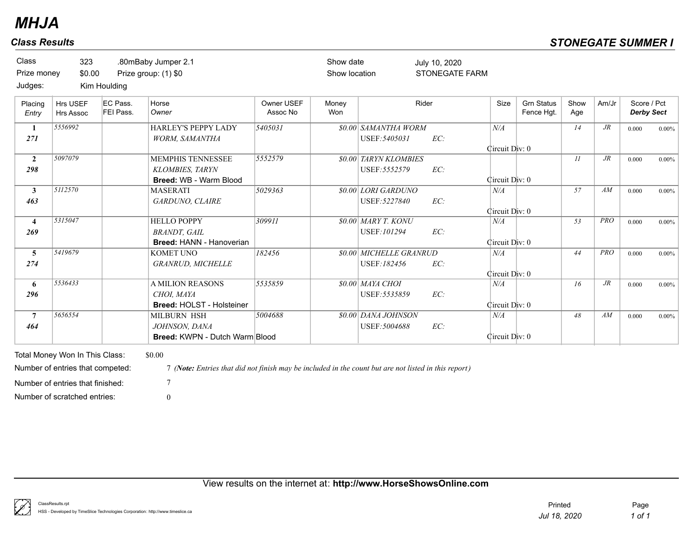| Class<br>Prize money<br>Judges: | 323<br>\$0.00                                                      | Kim Houlding          | .80mBaby Jumper 2.1<br>Prize group: (1) \$0                                                                    |                        | Show date<br>Show location |                                               | July 10, 2020<br><b>STONEGATE FARM</b> |                       |                                 |             |            |                                  |          |
|---------------------------------|--------------------------------------------------------------------|-----------------------|----------------------------------------------------------------------------------------------------------------|------------------------|----------------------------|-----------------------------------------------|----------------------------------------|-----------------------|---------------------------------|-------------|------------|----------------------------------|----------|
| Placing<br>Entry                | Hrs USEF<br>Hrs Assoc                                              | EC Pass.<br>FEI Pass. | Horse<br>Owner                                                                                                 | Owner USEF<br>Assoc No | Money<br>Won               |                                               | Rider                                  | Size                  | <b>Grn Status</b><br>Fence Hgt. | Show<br>Age | Am/Jr      | Score / Pct<br><b>Derby Sect</b> |          |
| -1<br>271                       | 5556992                                                            |                       | HARLEY'S PEPPY LADY<br><b>WORM, SAMANTHA</b>                                                                   | 5405031                |                            | <b>80.00 SAMANTHA WORM</b><br>USEF: 5405031   | EC:                                    | N/A<br>Circuit Div: 0 |                                 | 14          | $J\!R$     | 0.000                            | $0.00\%$ |
| $\overline{2}$<br>298           | 5097079                                                            |                       | <b>MEMPHIS TENNESSEE</b><br><b>KLOMBIES, TARYN</b><br>Breed: WB - Warm Blood                                   | 5552579                |                            | <b>80.00 TARYN KLOMBIES</b><br>USEF: 5552579  | EC:                                    | Circuit Div: 0        |                                 | II          | $J\!R$     | 0.000                            | $0.00\%$ |
| $\mathbf{3}$<br>463             | 5112570                                                            |                       | <b>MASERATI</b><br>GARDUNO, CLAIRE                                                                             | 5029363                |                            | \$0.00 LORI GARDUNO<br>USEF: 5227840          | EC:                                    | N/A<br>Circuit Div: 0 |                                 | 57          | AM         | 0.000                            | $0.00\%$ |
| $\overline{4}$<br>269           | 5315047                                                            |                       | <b>HELLO POPPY</b><br><b>BRANDT.</b> GAIL<br><b>Breed: HANN - Hanoverian</b>                                   | 309911                 |                            | \$0.00 MARY T. KONU<br>USEF: 101294           | EC:                                    | N/A<br>Circuit Div: 0 |                                 | 53          | <b>PRO</b> | 0.000                            | $0.00\%$ |
| $\overline{5}$<br>274           | 5419679                                                            |                       | <b>KOMET UNO</b><br><b>GRANRUD, MICHELLE</b>                                                                   | 182456                 |                            | <b>\$0.00 MICHELLE GRANRUD</b><br>USEF:182456 | EC:                                    | N/A<br>Circuit Div: 0 |                                 | 44          | <b>PRO</b> | 0.000                            | $0.00\%$ |
| 6<br>296                        | 5536433                                                            |                       | <b>A MILION REASONS</b><br>CHOI, MAYA<br>Breed: HOLST - Holsteiner                                             | 5535859                |                            | <b>\$0.00 MAYA CHOI</b><br>USEF: 5535859      | EC:                                    | N/A<br>Circuit Div: 0 |                                 | 16          | $J\!R$     | 0.000                            | $0.00\%$ |
| $\overline{7}$<br>464           | 5656554                                                            |                       | MILBURN HSH<br>JOHNSON, DANA<br><b>Breed: KWPN - Dutch Warm Blood</b>                                          | 5004688                |                            | \$0.00 DANA JOHNSON<br>USEF: 5004688          | EC:                                    | N/A<br>Circuit Div: 0 |                                 | 48          | AM         | 0.000                            | $0.00\%$ |
|                                 | Total Money Won In This Class:<br>Number of entries that competed: |                       | \$0.00<br>7 (Note: Entries that did not finish may be included in the count but are not listed in this report) |                        |                            |                                               |                                        |                       |                                 |             |            |                                  |          |
|                                 | Number of entries that finished:<br>Number of scratched entries:   |                       | $\theta$                                                                                                       |                        |                            |                                               |                                        |                       |                                 |             |            |                                  |          |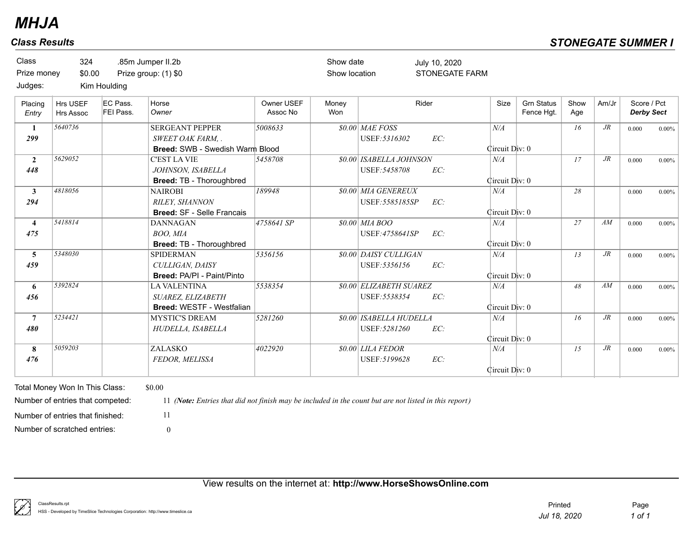| <b>Class</b><br>Prize money<br>Judges: | 324<br>\$0.00                | Kim Houlding          | .85m Jumper II.2b<br>Prize group: (1) \$0                                      |                        | Show date<br>Show location |                                                 | July 10, 2020<br><b>STONEGATE FARM</b> |                       |                                 |             |        |                                  |          |
|----------------------------------------|------------------------------|-----------------------|--------------------------------------------------------------------------------|------------------------|----------------------------|-------------------------------------------------|----------------------------------------|-----------------------|---------------------------------|-------------|--------|----------------------------------|----------|
| Placing<br>Entry                       | <b>Hrs USEF</b><br>Hrs Assoc | EC Pass.<br>FEI Pass. | Horse<br>Owner                                                                 | Owner USEF<br>Assoc No | Money<br>Won               |                                                 | Rider                                  | Size                  | <b>Grn Status</b><br>Fence Hqt. | Show<br>Age | Am/Jr  | Score / Pct<br><b>Derby Sect</b> |          |
| 1<br>299                               | 5640736                      |                       | <b>SERGEANT PEPPER</b><br>SWEET OAK FARM, .<br>Breed: SWB - Swedish Warm Blood | 5008633                |                            | \$0.00 MAE FOSS<br>USEF: 5316302                | EC:                                    | N/A<br>Circuit Div: 0 |                                 | 16          | $J\!R$ | 0.000                            | $0.00\%$ |
| $\overline{2}$<br>448                  | 5629052                      |                       | <b>C'EST LA VIE</b><br>JOHNSON, ISABELLA<br><b>Breed: TB - Thoroughbred</b>    | 5458708                |                            | \$0.00 ISABELLA JOHNSON<br>USEF: 5458708        | EC:                                    | N/A<br>Circuit Div: 0 |                                 | 17          | $J\!R$ | 0.000                            | $0.00\%$ |
| $\mathbf{3}$<br>294                    | 4818056                      |                       | <b>NAIROBI</b><br><b>RILEY. SHANNON</b><br><b>Breed: SF - Selle Francais</b>   | 189948                 |                            | \$0.00 MIA GENEREUX<br>USEF: 5585185SP          | EC:                                    | N/A<br>Circuit Div: 0 |                                 | 28          |        | 0.000                            | $0.00\%$ |
| $\overline{4}$<br>475                  | 5418814                      |                       | <b>DANNAGAN</b><br>BOO, MIA<br><b>Breed: TB - Thoroughbred</b>                 | 4758641 SP             |                            | $$0.00$ MIA BOO<br>USEF: 4758641SP              | EC:                                    | N/A<br>Circuit Div: 0 |                                 | 27          | AM     | 0.000                            | $0.00\%$ |
| 5<br>459                               | 5348030                      |                       | <b>SPIDERMAN</b><br>CULLIGAN, DAISY<br><b>Breed: PA/PI - Paint/Pinto</b>       | 5356156                |                            | \$0.00 DAISY CULLIGAN<br>USEF: 5356156          | EC:                                    | N/A<br>Circuit Div: 0 |                                 | 13          | $J\!R$ | 0.000                            | $0.00\%$ |
| 6<br>456                               | 5392824                      |                       | <b>LA VALENTINA</b><br>SUAREZ, ELIZABETH<br>Breed: WESTF - Westfalian          | 5538354                |                            | <b>\$0.00 ELIZABETH SUAREZ</b><br>USEF: 5538354 | EC:                                    | N/A<br>Circuit Div: 0 |                                 | 48          | AM     | 0.000                            | $0.00\%$ |
| $7\phantom{.0}$<br>480                 | 5234421                      |                       | <b>MYSTIC'S DREAM</b><br>HUDELLA, ISABELLA                                     | 5281260                |                            | \$0.00 ISABELLA HUDELLA<br>USEF: 5281260        | EC:                                    | N/A<br>Circuit Div: 0 |                                 | 16          | $J\!R$ | 0.000                            | $0.00\%$ |
| 8<br>476                               | 5059203                      |                       | ZALASKO<br>FEDOR, MELISSA                                                      | 4022920                |                            | $$0.00$ LILA FEDOR<br>USEF: 5199628             | EC:                                    | N/A<br>Circuit Div: 0 |                                 | 15          | $J\!R$ | 0.000                            | $0.00\%$ |

Number of scratched entries: 0 Number of entries that finished: 11

Number of entries that competed: 11 *(Note: Entries that did not finish may be included in the count but are not listed in this report)*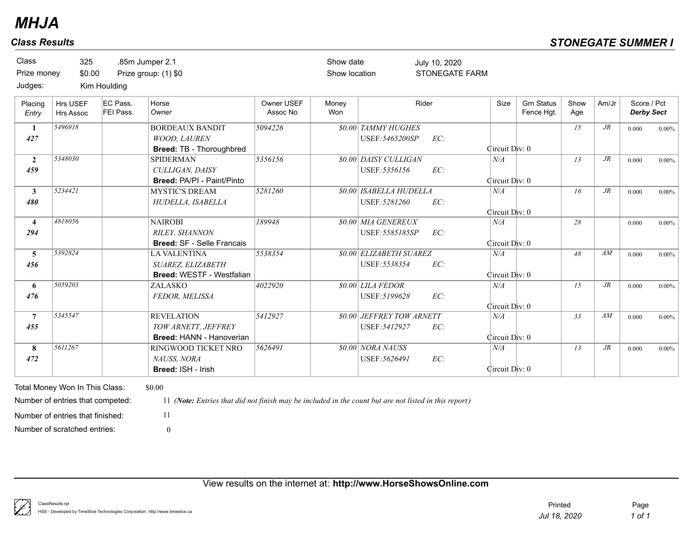| <b>Class</b><br>Prize money | 325<br>\$0.00                       |                              | .85m Jumper 2.1<br>Prize group: (1) \$0                                   |                        | Show date<br>Show location |                                                   | July 10, 2020<br><b>STONEGATE FARM</b> |                       |                                 |             |        |                                  |          |
|-----------------------------|-------------------------------------|------------------------------|---------------------------------------------------------------------------|------------------------|----------------------------|---------------------------------------------------|----------------------------------------|-----------------------|---------------------------------|-------------|--------|----------------------------------|----------|
| Judges:                     |                                     | Kim Houlding                 |                                                                           |                        |                            |                                                   |                                        |                       |                                 |             |        |                                  |          |
| Placing<br>Entry            | <b>Hrs USEF</b><br><b>Hrs Assoc</b> | EC Pass.<br><b>FEI Pass.</b> | Horse<br>Owner                                                            | Owner USEF<br>Assoc No | Money<br>Won               |                                                   | Rider                                  | Size                  | <b>Grn Status</b><br>Fence Hgt. | Show<br>Age | Am/Jr  | Score / Pct<br><b>Derby Sect</b> |          |
| 1<br>427                    | 5496918                             |                              | <b>BORDEAUX BANDIT</b><br><b>WOOD, LAUREN</b><br>Breed: TB - Thoroughbred | 5094226                |                            | \$0.00 TAMMY HUGHES<br>USEF: 5465200SP            | EC:                                    | Circuit Div: 0        |                                 | 15          | $J\!R$ | 0.000                            | $0.00\%$ |
| $\overline{2}$<br>459       | 5348030                             |                              | <b>SPIDERMAN</b><br>CULLIGAN, DAISY<br>Breed: PA/PI - Paint/Pinto         | 5356156                |                            | \$0.00 DAISY CULLIGAN<br>USEF: 5356156            | EC:                                    | N/A<br>Circuit Div: 0 |                                 | 13          | $J\!R$ | 0.000                            | $0.00\%$ |
| $\mathbf{3}$<br>480         | 5234421                             |                              | <b>MYSTIC'S DREAM</b><br>HUDELLA, ISABELLA                                | 5281260                |                            | <b>\$0.00 ISABELLA HUDELLA</b><br>USEF: 5281260   | EC:                                    | N/A<br>Circuit Div: 0 |                                 | 16          | $J\!R$ | 0.000                            | $0.00\%$ |
| $\overline{4}$<br>294       | 4818056                             |                              | <b>NAIROBI</b><br>RILEY, SHANNON<br><b>Breed: SF - Selle Francais</b>     | 189948                 |                            | \$0.00 MIA GENEREUX<br>USEF: 5585185SP            | EC:                                    | N/A<br>Circuit Div: 0 |                                 | 28          |        | 0.000                            | $0.00\%$ |
| 5<br>456                    | 5392824                             |                              | <b>LA VALENTINA</b><br>SUAREZ, ELIZABETH<br>Breed: WESTF - Westfalian     | 5538354                |                            | <b>\$0.00 ELIZABETH SUAREZ</b><br>USEF: 5538354   | EC:                                    | N/A<br>Circuit Div: 0 |                                 | 48          | AM     | 0.000                            | $0.00\%$ |
| 6<br>476                    | 5059203                             |                              | ZALASKO<br>FEDOR, MELISSA                                                 | 4022920                |                            | \$0.00 LILA FEDOR<br>USEF: 5199628                | EC:                                    | N/A<br>Circuit Div: 0 |                                 | 15          | $J\!R$ | 0.000                            | $0.00\%$ |
| $\overline{7}$<br>455       | 5345547                             |                              | <b>REVELATION</b><br>TOW ARNETT. JEFFREY<br>Breed: HANN - Hanoverian      | 5412927                |                            | <b>\$0.00 JEFFREY TOW ARNETT</b><br>USEF: 5412927 | EC:                                    | N/A<br>Circuit Div: 0 |                                 | 33          | AM     | 0.000                            | $0.00\%$ |
| 8<br>472                    | 5611267                             |                              | RINGWOOD TICKET NRO<br>NAUSS, NORA<br>Breed: ISH - Irish                  | 5626491                |                            | <b>80.00 NORA NAUSS</b><br>USEF: 5626491          | EC:                                    | N/A<br>Circuit Div: 0 |                                 | 13          | $J\!R$ | 0.000                            | $0.00\%$ |

View results on the internet at: **http://www.HorseShowsOnline.com**

Number of scratched entries: 0 Number of entries that finished: 11

ţ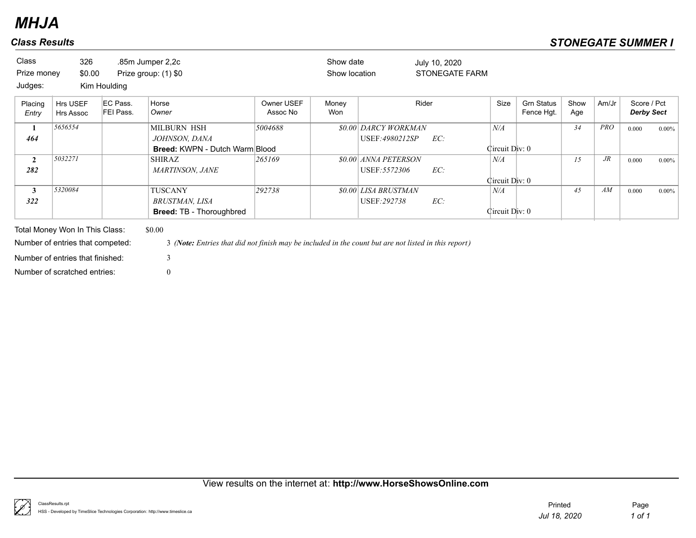| <b>Class</b><br>Prize money<br>Judges: | 326<br>\$0.00                  | Kim Houlding          | .85m Jumper 2,2c<br>Prize group: (1) \$0 |                        | Show date<br>Show location |                             | July 10, 2020<br><b>STONEGATE FARM</b> |                |                                 |             |            |                                  |          |
|----------------------------------------|--------------------------------|-----------------------|------------------------------------------|------------------------|----------------------------|-----------------------------|----------------------------------------|----------------|---------------------------------|-------------|------------|----------------------------------|----------|
| Placing<br>Entry                       | <b>Hrs USEF</b><br>Hrs Assoc   | EC Pass.<br>FEI Pass. | Horse<br>Owner                           | Owner USEF<br>Assoc No | Money<br>Won               |                             | Rider                                  | Size           | <b>Grn Status</b><br>Fence Hgt. | Show<br>Age | Am/Jr      | Score / Pct<br><b>Derby Sect</b> |          |
| $\mathbf{1}$                           | 5656554                        |                       | <b>MILBURN HSH</b>                       | 5004688                |                            | <b>\$0.00 DARCY WORKMAN</b> |                                        | N/A            |                                 | 34          | <b>PRO</b> | 0.000                            | $0.00\%$ |
| 464                                    |                                |                       | JOHNSON, DANA                            |                        |                            | USEF:4980212SP              | EC:                                    |                |                                 |             |            |                                  |          |
|                                        |                                |                       | <b>Breed: KWPN - Dutch Warm Blood</b>    |                        |                            |                             |                                        | Circuit Div: 0 |                                 |             |            |                                  |          |
| $\mathbf{2}$                           | 5032271                        |                       | <b>SHIRAZ</b>                            | 265169                 |                            | <b>\$0.00 ANNA PETERSON</b> |                                        | $N\!/\!A$      |                                 | 15          | $J\!R$     | 0.000                            | $0.00\%$ |
| 282                                    |                                |                       | <b>MARTINSON, JANE</b>                   |                        |                            | USEF: 5572306               | EC:                                    |                |                                 |             |            |                                  |          |
|                                        |                                |                       |                                          |                        |                            |                             |                                        | Circuit Div: 0 |                                 |             |            |                                  |          |
| 3                                      | 5320084                        |                       | TUSCANY                                  | 292738                 |                            | <b>\$0.00 LISA BRUSTMAN</b> |                                        | $N\!/\!A$      |                                 | 45          | AM         | 0.000                            | $0.00\%$ |
| 322                                    |                                |                       | BRUSTMAN, LISA                           |                        |                            | USEF: 292738                | EC:                                    |                |                                 |             |            |                                  |          |
|                                        |                                |                       | <b>Breed: TB - Thoroughbred</b>          |                        |                            |                             |                                        | Circuit Div: 0 |                                 |             |            |                                  |          |
|                                        | Total Money Won In This Class: |                       | \$0.00                                   |                        |                            |                             |                                        |                |                                 |             |            |                                  |          |

Number of entries that finished: 3

Number of entries that competed: 3 *(Note: Entries that did not finish may be included in the count but are not listed in this report)*

Number of scratched entries: 0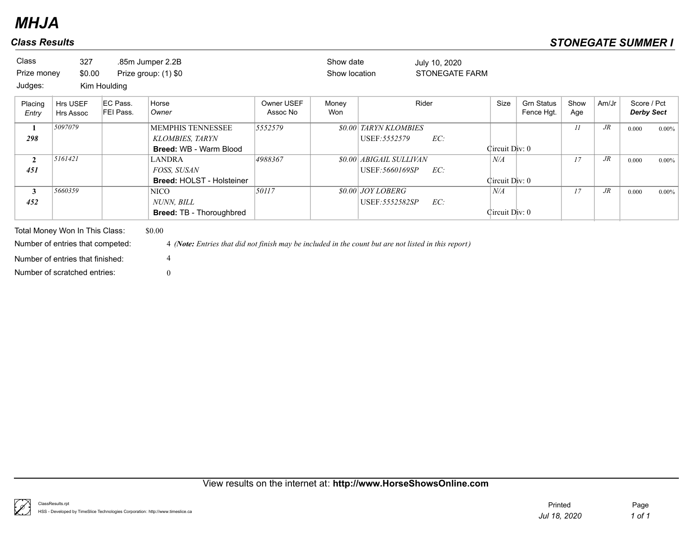| <b>Class</b>     | 327                                                                |                       | .85m Jumper 2.2B                                                                                               |                        | Show date     |                                | July 10, 2020  |                |                                 |             |        |                                  |          |
|------------------|--------------------------------------------------------------------|-----------------------|----------------------------------------------------------------------------------------------------------------|------------------------|---------------|--------------------------------|----------------|----------------|---------------------------------|-------------|--------|----------------------------------|----------|
| Prize money      | \$0.00                                                             |                       | Prize group: (1) \$0                                                                                           |                        | Show location |                                | STONEGATE FARM |                |                                 |             |        |                                  |          |
| Judges:          |                                                                    | Kim Houlding          |                                                                                                                |                        |               |                                |                |                |                                 |             |        |                                  |          |
| Placing<br>Entry | Hrs USEF<br>Hrs Assoc                                              | EC Pass.<br>FEI Pass. | Horse<br>Owner                                                                                                 | Owner USEF<br>Assoc No | Money<br>Won  |                                | Rider          | Size           | <b>Grn Status</b><br>Fence Hgt. | Show<br>Age | Am/Jr  | Score / Pct<br><b>Derby Sect</b> |          |
| $\mathbf{1}$     | 5097079                                                            |                       | <b>MEMPHIS TENNESSEE</b>                                                                                       | 5552579                |               | <b>\$0.00 TARYN KLOMBIES</b>   |                |                |                                 | II          | $J\!R$ | 0.000                            | $0.00\%$ |
| 298              |                                                                    |                       | <b>KLOMBIES, TARYN</b>                                                                                         |                        |               | USEF: 5552579                  | EC:            |                |                                 |             |        |                                  |          |
|                  |                                                                    |                       | <b>Breed: WB - Warm Blood</b>                                                                                  |                        |               |                                |                | Circuit Div: 0 |                                 |             |        |                                  |          |
| $\mathbf{2}$     | 5161421                                                            |                       | <b>LANDRA</b>                                                                                                  | 4988367                |               | <b>\$0.00 ABIGAIL SULLIVAN</b> |                | N/A            |                                 | 17          | $J\!R$ | 0.000                            | $0.00\%$ |
| 451              |                                                                    |                       | <i>FOSS, SUSAN</i>                                                                                             |                        |               | USEF:5660169SP                 | EC:            |                |                                 |             |        |                                  |          |
|                  |                                                                    |                       | <b>Breed: HOLST - Holsteiner</b>                                                                               |                        |               |                                |                | Circuit Div: 0 |                                 |             |        |                                  |          |
| 3                | 5660359                                                            |                       | NICO                                                                                                           | 50117                  |               | <i>SO.00 JOY LOBERG</i>        |                | N/A            |                                 | 17          | $J\!R$ | 0.000                            | $0.00\%$ |
| 452              |                                                                    |                       | NUNN, BILL                                                                                                     |                        |               | USEF: 5552582SP                | EC:            |                |                                 |             |        |                                  |          |
|                  |                                                                    |                       | <b>Breed: TB - Thoroughbred</b>                                                                                |                        |               |                                |                | Circuit Div: 0 |                                 |             |        |                                  |          |
|                  | Total Money Won In This Class:<br>Number of entries that competed: |                       | \$0.00<br>4 (Note: Entries that did not finish may be included in the count but are not listed in this report) |                        |               |                                |                |                |                                 |             |        |                                  |          |

Number of scratched entries: 0 Number of entries that finished: 4

View results on the internet at: **http://www.HorseShowsOnline.com**

ţ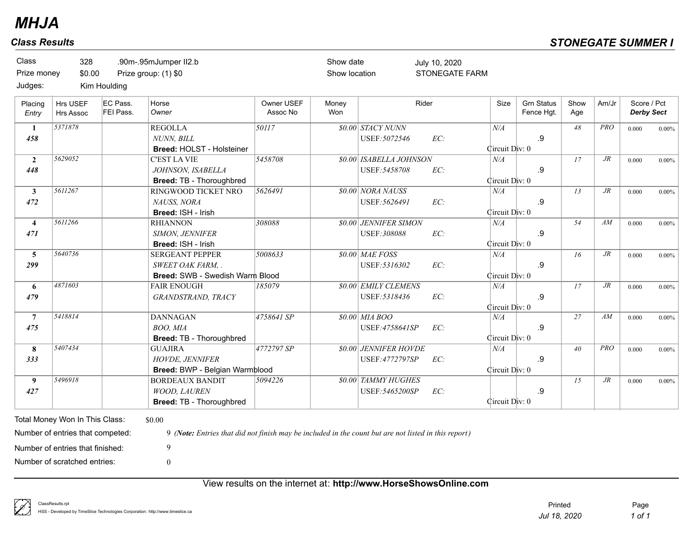| <b>Class</b><br>Prize money<br>Judges: | 328<br>\$0.00                       | Kim Houlding          | .90m-.95mJumper II2.b<br>Prize group: (1) \$0                                  |                        | Show date<br>Show location |                                              | July 10, 2020<br>STONEGATE FARM |                       |                                 |             |            |                                  |          |
|----------------------------------------|-------------------------------------|-----------------------|--------------------------------------------------------------------------------|------------------------|----------------------------|----------------------------------------------|---------------------------------|-----------------------|---------------------------------|-------------|------------|----------------------------------|----------|
| Placing<br>Entry                       | <b>Hrs USEF</b><br><b>Hrs Assoc</b> | EC Pass.<br>FEI Pass. | Horse<br>Owner                                                                 | Owner USEF<br>Assoc No | Money<br>Won               |                                              | Rider                           | Size                  | <b>Grn Status</b><br>Fence Hgt. | Show<br>Age | Am/Jr      | Score / Pct<br><b>Derby Sect</b> |          |
| 1<br>458                               | 5371878                             |                       | <b>REGOLLA</b><br><b>NUNN. BILL</b><br>Breed: HOLST - Holsteiner               | 50117                  |                            | <b>\$0.00 STACY NUNN</b><br>USEF: 5072546    | EC:                             | N/A<br>Circuit Div: 0 | .9                              | 48          | <b>PRO</b> | 0.000                            | $0.00\%$ |
| $\overline{2}$<br>448                  | 5629052                             |                       | <b>C'EST LA VIE</b><br>JOHNSON, ISABELLA<br>Breed: TB - Thoroughbred           | 5458708                |                            | \$0.00 ISABELLA JOHNSON<br>USEF: 5458708     | EC:                             | N/A<br>Circuit Div: 0 | .9                              | 17          | $J\!R$     | 0.000                            | $0.00\%$ |
| $\mathbf{3}$<br>472                    | 5611267                             |                       | RINGWOOD TICKET NRO<br>NAUSS, NORA<br>Breed: ISH - Irish                       | 5626491                |                            | \$0.00 NORA NAUSS<br>USEF: 5626491           | EC:                             | N/A<br>Circuit Div: 0 | .9                              | 13          | $J\!R$     | 0.000                            | $0.00\%$ |
| $\overline{4}$<br>471                  | 5611266                             |                       | <b>RHIANNON</b><br>SIMON, JENNIFER<br>Breed: ISH - Irish                       | 308088                 |                            | <b>\$0.00 JENNIFER SIMON</b><br>USEF: 308088 | EC:                             | N/A<br>Circuit Div: 0 | .9                              | 54          | AM         | 0.000                            | $0.00\%$ |
| $\overline{5}$<br>299                  | 5640736                             |                       | <b>SERGEANT PEPPER</b><br>SWEET OAK FARM, .<br>Breed: SWB - Swedish Warm Blood | 5008633                |                            | \$0.00 MAE FOSS<br>USEF: 5316302             | EC:                             | N/A<br>Circuit Div: 0 | .9                              | 16          | $J\!R$     | 0.000                            | $0.00\%$ |
| 6<br>479                               | 4871603                             |                       | <b>FAIR ENOUGH</b><br>GRANDSTRAND, TRACY                                       | 185079                 |                            | <b>\$0.00 EMILY CLEMENS</b><br>USEF: 5318436 | EC:                             | N/A<br>Circuit Div: 0 | .9                              | 17          | $J\!R$     | 0.000                            | $0.00\%$ |
| $\overline{7}$<br>475                  | 5418814                             |                       | <b>DANNAGAN</b><br>BOO, MIA<br>Breed: TB - Thoroughbred                        | 4758641 SP             |                            | \$0.00 MIA BOO<br>USEF:4758641SP             | EC:                             | N/A<br>Circuit Div: 0 | .9                              | 27          | AM         | 0.000                            | $0.00\%$ |
| 8<br>333                               | 5407434                             |                       | <b>GUAJIRA</b><br>HOVDE, JENNIFER<br>Breed: BWP - Belgian Warmblood            | 4772797 SP             |                            | \$0.00 JENNIFER HOVDE<br>USEF:4772797SP      | EC:                             | N/A<br>Circuit Div: 0 | .9                              | 40          | <b>PRO</b> | 0.000                            | $0.00\%$ |
| 9<br>427                               | 5496918                             |                       | <b>BORDEAUX BANDIT</b><br>WOOD, LAUREN<br>Breed: TB - Thoroughbred             | 5094226                |                            | \$0.00 TAMMY HUGHES<br>USEF: 5465200SP       | EC:                             | Circuit Div: 0        | .9                              | 15          | $J\!R$     | 0.000                            | $0.00\%$ |

View results on the internet at: **http://www.HorseShowsOnline.com**

Number of scratched entries: 0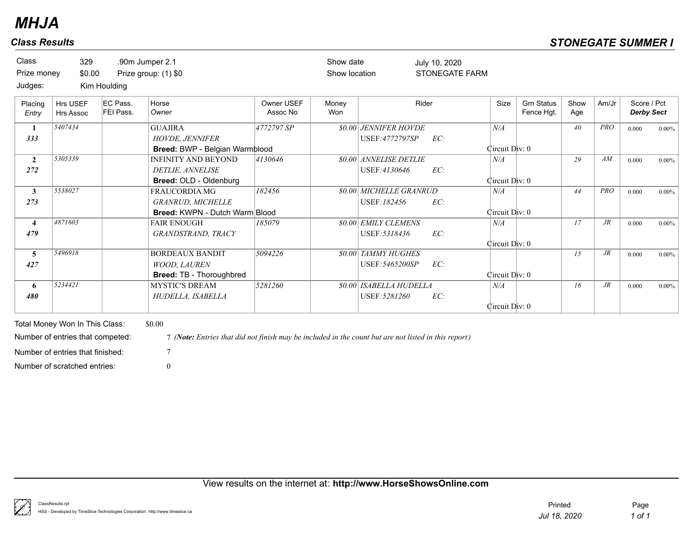| Class<br>Prize money | 329<br>\$0.00                       |                              | .90m Jumper 2.1<br>Prize group: (1) \$0 |                        | Show date<br>Show location |                               | July 10, 2020<br>STONEGATE FARM |                |                                 |             |            |                                  |          |
|----------------------|-------------------------------------|------------------------------|-----------------------------------------|------------------------|----------------------------|-------------------------------|---------------------------------|----------------|---------------------------------|-------------|------------|----------------------------------|----------|
| Judges:              |                                     | Kim Houlding                 |                                         |                        |                            |                               |                                 |                |                                 |             |            |                                  |          |
| Placing<br>Entry     | <b>Hrs USEF</b><br><b>Hrs Assoc</b> | EC Pass.<br><b>FEI Pass.</b> | Horse<br>Owner                          | Owner USEF<br>Assoc No | Money<br>Won               |                               | Rider                           | Size           | <b>Grn Status</b><br>Fence Hgt. | Show<br>Age | Am/Jr      | Score / Pct<br><b>Derby Sect</b> |          |
| $\mathbf{1}$         | 5407434                             |                              | <b>GUAJIRA</b>                          | 4772797 SP             |                            | <b>\$0.00 JENNIFER HOVDE</b>  |                                 | N/A            |                                 | 40          | <b>PRO</b> | 0.000                            | $0.00\%$ |
| 333                  |                                     |                              | <b>HOVDE, JENNIFER</b>                  |                        |                            | USEF:4772797SP                | EC:                             |                |                                 |             |            |                                  |          |
|                      |                                     |                              | Breed: BWP - Belgian Warmblood          |                        |                            |                               |                                 | Circuit Div: 0 |                                 |             |            |                                  |          |
| $\overline{2}$       | 5305339                             |                              | <b>INFINITY AND BEYOND</b>              | 4130646                |                            | \$0.00 ANNELISE DETLIE        |                                 | N/A            |                                 | 29          | AM         | 0.000                            | $0.00\%$ |
| 272                  |                                     |                              | DETLIE, ANNELISE                        |                        |                            | USEF:4130646                  | EC:                             |                |                                 |             |            |                                  |          |
|                      |                                     |                              | Breed: OLD - Oldenburg                  |                        |                            |                               |                                 | Circuit Div: 0 |                                 |             |            |                                  |          |
| $\mathbf{3}$         | 5538027                             |                              | <b>FRAUCORDIA MG</b>                    | 182456                 |                            | \$0.00 MICHELLE GRANRUD       |                                 | N/A            |                                 | 44          | <b>PRO</b> | 0.000                            | $0.00\%$ |
| 273                  |                                     |                              | <b>GRANRUD, MICHELLE</b>                |                        |                            | USEF:182456                   | EC:                             |                |                                 |             |            |                                  |          |
|                      |                                     |                              | <b>Breed: KWPN - Dutch Warm Blood</b>   |                        |                            |                               |                                 | Circuit Div: 0 |                                 |             |            |                                  |          |
| 4                    | 4871603                             |                              | <b>FAIR ENOUGH</b>                      | 185079                 |                            | <b>\$0.00 EMILY CLEMENS</b>   |                                 | N/A            |                                 | 17          | $J\!R$     | 0.000                            | $0.00\%$ |
| 479                  |                                     |                              | GRANDSTRAND, TRACY                      |                        |                            | USEF: 5318436                 | EC:                             |                |                                 |             |            |                                  |          |
|                      |                                     |                              |                                         |                        |                            |                               |                                 | Circuit Div: 0 |                                 |             |            |                                  |          |
| $5^{\circ}$          | 5496918                             |                              | <b>BORDEAUX BANDIT</b>                  | 5094226                |                            | <b>80.00 TAMMY HUGHES</b>     |                                 |                |                                 | 15          | $J\!R$     | 0.000                            | $0.00\%$ |
| 427                  |                                     |                              | <b>WOOD, LAUREN</b>                     |                        |                            | USEF: 5465200SP               | EC:                             |                |                                 |             |            |                                  |          |
|                      |                                     |                              | <b>Breed: TB - Thoroughbred</b>         |                        |                            |                               |                                 | Circuit Div: 0 |                                 |             |            |                                  |          |
| 6                    | 5234421                             |                              | <b>MYSTIC'S DREAM</b>                   | 5281260                |                            | <b>80.00 ISABELLA HUDELLA</b> |                                 | N/A            |                                 | 16          | $J\!R$     | 0.000                            | $0.00\%$ |
| 480                  |                                     |                              | HUDELLA, ISABELLA                       |                        |                            | USEF: 5281260                 | EC:                             |                |                                 |             |            |                                  |          |
|                      |                                     |                              |                                         |                        |                            |                               |                                 | Circuit Div: 0 |                                 |             |            |                                  |          |

Total Money Won In This Class: \$0.00 Number of scratched entries: 0 Number of entries that finished:  $7<sup>7</sup>$ 

Number of entries that competed: 7 *(Note: Entries that did not finish may be included in the count but are not listed in this report)*

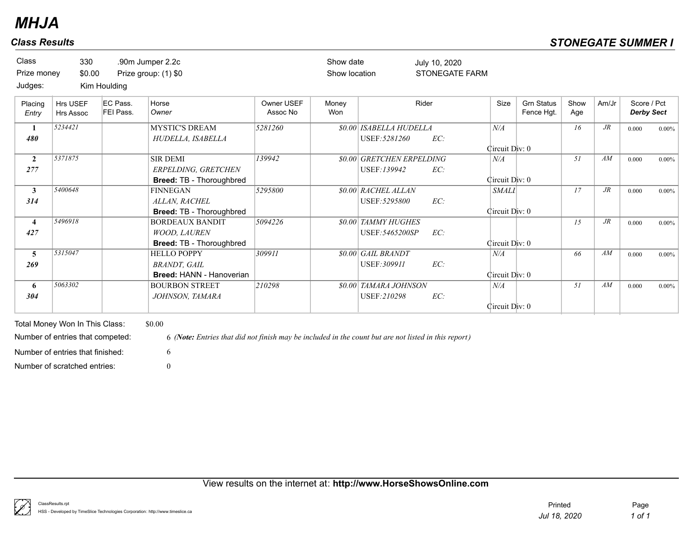| <b>Class</b><br>Prize money<br>Judges: | 330<br>\$0.00                | Kim Houlding          | .90m Jumper 2.2c<br>Prize group: (1) \$0                                      |                        | Show date<br>Show location |                                               | July 10, 2020<br><b>STONEGATE FARM</b> |                                |                                 |             |        |                                  |          |
|----------------------------------------|------------------------------|-----------------------|-------------------------------------------------------------------------------|------------------------|----------------------------|-----------------------------------------------|----------------------------------------|--------------------------------|---------------------------------|-------------|--------|----------------------------------|----------|
| Placing<br>Entry                       | Hrs USEF<br><b>Hrs Assoc</b> | EC Pass.<br>FEI Pass. | Horse<br>Owner                                                                | Owner USEF<br>Assoc No | Money<br>Won               |                                               | Rider                                  | Size                           | <b>Grn Status</b><br>Fence Hgt. | Show<br>Age | Am/Jr  | Score / Pct<br><b>Derby Sect</b> |          |
| 1<br>480                               | 5234421                      |                       | <b>MYSTIC'S DREAM</b><br>HUDELLA, ISABELLA                                    | 5281260                |                            | \$0.00 ISABELLA HUDELLA<br>USEF: 5281260      | EC:                                    | N/A<br>Circuit Div: 0          |                                 | 16          | $J\!R$ | 0.000                            | $0.00\%$ |
| $\overline{2}$<br>277                  | 5371875                      |                       | <b>SIR DEMI</b><br>ERPELDING, GRETCHEN<br><b>Breed: TB - Thoroughbred</b>     | 139942                 |                            | \$0.00 GRETCHEN ERPELDING<br>USEF:139942      | EC:                                    | $N\!/\!A$<br>Circuit Div: 0    |                                 | 51          | AM     | 0.000                            | $0.00\%$ |
| 3<br>314                               | 5400648                      |                       | <b>FINNEGAN</b><br>ALLAN, RACHEL<br><b>Breed: TB - Thoroughbred</b>           | 5295800                |                            | <b>\$0.00 RACHEL ALLAN</b><br>USEF: 5295800   | EC:                                    | <b>SMALI</b><br>Circuit Div: 0 |                                 | 17          | $J\!R$ | 0.000                            | $0.00\%$ |
| 4<br>427                               | 5496918                      |                       | <b>BORDEAUX BANDIT</b><br><b>WOOD, LAUREN</b><br>Breed: TB - Thoroughbred     | 5094226                |                            | <b>\$0.00 TAMMY HUGHES</b><br>USEF: 5465200SP | EC:                                    | Circuit Div: 0                 |                                 | 15          | $J\!R$ | 0.000                            | $0.00\%$ |
| 5<br>269                               | 5315047                      |                       | <b>HELLO POPPY</b><br><b>BRANDT</b> , GAIL<br><b>Breed: HANN - Hanoverian</b> | 309911                 |                            | \$0.00 GAIL BRANDT<br>USEF: 309911            | EC:                                    | $N\!/\!A$<br>Circuit Div: 0    |                                 | 66          | AM     | 0.000                            | $0.00\%$ |
| 6<br>304                               | 5063302                      |                       | <b>BOURBON STREET</b><br>JOHNSON, TAMARA                                      | 210298                 |                            | \$0.00 TAMARA JOHNSON<br><b>USEF:210298</b>   | EC:                                    | N/A<br>Circuit Div: 0          |                                 | 51          | AM     | 0.000                            | $0.00\%$ |

Total Money Won In This Class: \$0.00 Number of scratched entries: 0 Number of entries that finished: 6

Number of entries that competed: 6 *(Note: Entries that did not finish may be included in the count but are not listed in this report)*

ClassResults.rpt HSS - Developed by TimeSlice Technologies Corporation: http://www.timeslice.ca *Jul 18, 2020 1 of 1* Printed Page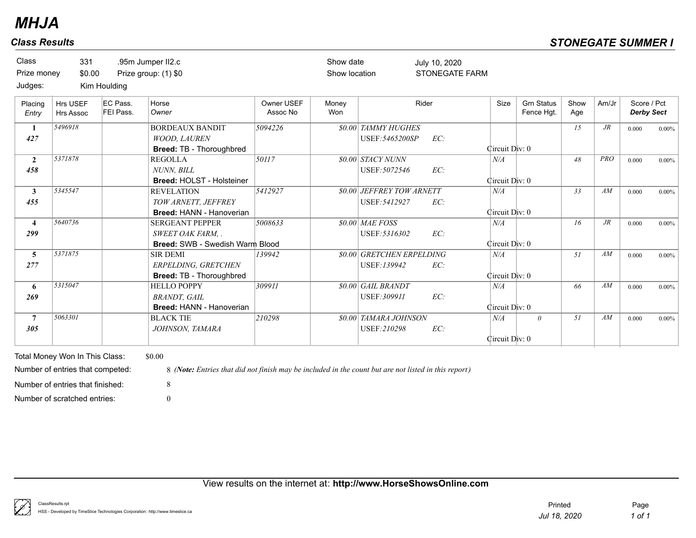| <b>Class</b><br>Prize money | 331<br>\$0.00                                                      |                       | .95m Jumper II2.c<br>Prize group: (1) \$0                                                                      |                        | Show date<br>Show location |                                                   | July 10, 2020<br><b>STONEGATE FARM</b> |                       |                                 |             |            |                                  |          |
|-----------------------------|--------------------------------------------------------------------|-----------------------|----------------------------------------------------------------------------------------------------------------|------------------------|----------------------------|---------------------------------------------------|----------------------------------------|-----------------------|---------------------------------|-------------|------------|----------------------------------|----------|
| Judges:                     |                                                                    | Kim Houlding          |                                                                                                                |                        |                            |                                                   |                                        |                       |                                 |             |            |                                  |          |
| Placing<br>Entry            | Hrs USEF<br><b>Hrs Assoc</b>                                       | EC Pass.<br>FEI Pass. | Horse<br>Owner                                                                                                 | Owner USEF<br>Assoc No | Money<br>Won               |                                                   | Rider                                  | Size                  | <b>Grn Status</b><br>Fence Hgt. | Show<br>Age | Am/Jr      | Score / Pct<br><b>Derby Sect</b> |          |
| 1<br>427                    | 5496918                                                            |                       | <b>BORDEAUX BANDIT</b><br>WOOD, LAUREN<br>Breed: TB - Thoroughbred                                             | 5094226                |                            | <b>\$0.00 TAMMY HUGHES</b><br>USEF: 5465200SP     | EC:                                    | Circuit Div: 0        |                                 | 15          | $J\!R$     | 0.000                            | $0.00\%$ |
| $\overline{2}$<br>458       | 5371878                                                            |                       | <b>REGOLLA</b><br><b>NUNN. BILL</b><br><b>Breed: HOLST - Holsteiner</b>                                        | 50117                  |                            | \$0.00 STACY NUNN<br>USEF: 5072546                | EC:                                    | N/A<br>Circuit Div: 0 |                                 | 48          | <b>PRO</b> | 0.000                            | $0.00\%$ |
| $\mathbf{3}$<br>455         | 5345547                                                            |                       | <b>REVELATION</b><br>TOW ARNETT, JEFFREY<br><b>Breed: HANN - Hanoverian</b>                                    | 5412927                |                            | <b>\$0.00 JEFFREY TOW ARNETT</b><br>USEF: 5412927 | EC:                                    | N/A<br>Circuit Div: 0 |                                 | 33          | AM         | 0.000                            | $0.00\%$ |
| $\overline{4}$<br>299       | 5640736                                                            |                       | <b>SERGEANT PEPPER</b><br>SWEET OAK FARM, .<br>Breed: SWB - Swedish Warm Blood                                 | 5008633                |                            | \$0.00 MAE FOSS<br>USEF: 5316302                  | EC:                                    | N/A<br>Circuit Div: 0 |                                 | 16          | $J\!R$     | 0.000                            | $0.00\%$ |
| $\overline{5}$<br>277       | 5371875                                                            |                       | <b>SIR DEMI</b><br>ERPELDING, GRETCHEN<br>Breed: TB - Thoroughbred                                             | 139942                 |                            | \$0.00 GRETCHEN ERPELDING<br>USEF:139942          | EC:                                    | N/A<br>Circuit Div: 0 |                                 | 51          | AM         | 0.000                            | $0.00\%$ |
| 6<br>269                    | 5315047                                                            |                       | <b>HELLO POPPY</b><br><b>BRANDT, GAIL</b><br><b>Breed: HANN - Hanoverian</b>                                   | 309911                 |                            | \$0.00 GAIL BRANDT<br>USEF: 309911                | EC:                                    | N/A<br>Circuit Div: 0 |                                 | 66          | AM         | 0.000                            | $0.00\%$ |
| $\overline{7}$<br>305       | 5063301                                                            |                       | <b>BLACK TIE</b><br>JOHNSON, TAMARA                                                                            | 210298                 |                            | <b>\$0.00 TAMARA JOHNSON</b><br>USEF:210298       | EC:                                    | N/A<br>Circuit Div: 0 | $\theta$                        | 51          | AM         | 0.000                            | $0.00\%$ |
|                             | Total Money Won In This Class:<br>Number of entries that competed: |                       | \$0.00<br>8 (Note: Entries that did not finish may be included in the count but are not listed in this report) |                        |                            |                                                   |                                        |                       |                                 |             |            |                                  |          |
|                             | Number of entries that finished:                                   |                       | 8                                                                                                              |                        |                            |                                                   |                                        |                       |                                 |             |            |                                  |          |
|                             | Number of scratched entries:                                       |                       | $\Omega$                                                                                                       |                        |                            |                                                   |                                        |                       |                                 |             |            |                                  |          |

View results on the internet at: **http://www.HorseShowsOnline.com**

ţ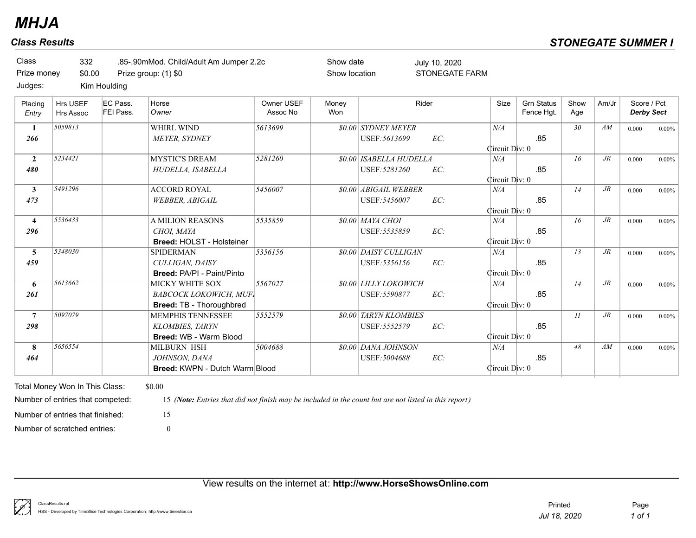| Class<br>Prize money<br>Judges: | 332<br>\$0.00                | Kim Houlding                 | .85-.90mMod. Child/Adult Am Jumper 2.2c<br>Prize group: (1) \$0 |                        | Show date<br>Show location |                              | July 10, 2020<br><b>STONEGATE FARM</b> |                |                                 |                 |        |                                  |          |
|---------------------------------|------------------------------|------------------------------|-----------------------------------------------------------------|------------------------|----------------------------|------------------------------|----------------------------------------|----------------|---------------------------------|-----------------|--------|----------------------------------|----------|
| Placing<br>Entry                | Hrs USEF<br><b>Hrs Assoc</b> | EC Pass.<br><b>FEI Pass.</b> | Horse<br>Owner                                                  | Owner USEF<br>Assoc No | Money<br>Won               |                              | Rider                                  | Size           | <b>Grn Status</b><br>Fence Hgt. | Show<br>Age     | Am/Jr  | Score / Pct<br><b>Derby Sect</b> |          |
| $\mathbf{1}$                    | 5059813                      |                              | <b>WHIRL WIND</b>                                               | 5613699                |                            | <b>\$0.00 SYDNEY MEYER</b>   |                                        | N/A            |                                 | 30 <sup>°</sup> | AM     | 0.000                            | $0.00\%$ |
| 266                             |                              |                              | <b>MEYER, SYDNEY</b>                                            |                        |                            | USEF: 5613699                | EC:                                    | Circuit Div: 0 | .85                             |                 |        |                                  |          |
| $\overline{2}$                  | 5234421                      |                              | <b>MYSTIC'S DREAM</b>                                           | 5281260                |                            | \$0.00 ISABELLA HUDELLA      |                                        | N/A            |                                 | 16              | $J\!R$ | 0.000                            | $0.00\%$ |
| 480                             |                              |                              | HUDELLA, ISABELLA                                               |                        |                            | USEF: 5281260                | EC:                                    | Circuit Div: 0 | .85                             |                 |        |                                  |          |
| $\mathbf{3}$                    | 5491296                      |                              | <b>ACCORD ROYAL</b>                                             | 5456007                |                            | \$0.00 ABIGAIL WEBBER        |                                        | N/A            |                                 | 14              | $J\!R$ | 0.000                            | $0.00\%$ |
| 473                             |                              |                              | <b>WEBBER, ABIGAIL</b>                                          |                        |                            | USEF: 5456007                | EC:                                    | Circuit Div: 0 | .85                             |                 |        |                                  |          |
| $\overline{4}$                  | 5536433                      |                              | <b>A MILION REASONS</b>                                         | 5535859                |                            | \$0.00 MAYA CHOI             |                                        | N/A            |                                 | 16              | $J\!R$ | 0.000                            | $0.00\%$ |
| 296                             |                              |                              | CHOI. MAYA<br>Breed: HOLST - Holsteiner                         |                        |                            | USEF: 5535859                | EC:                                    | Circuit Div: 0 | .85                             |                 |        |                                  |          |
| $\overline{5}$                  | 5348030                      |                              | <b>SPIDERMAN</b>                                                | 5356156                |                            | \$0.00 DAISY CULLIGAN        |                                        | $N\!/\!A$      |                                 | 13              | $J\!R$ | 0.000                            | $0.00\%$ |
| 459                             |                              |                              | CULLIGAN, DAISY                                                 |                        |                            | USEF: 5356156                | EC:                                    |                | .85                             |                 |        |                                  |          |
|                                 |                              |                              | Breed: PA/PI - Paint/Pinto                                      |                        |                            |                              |                                        | Circuit Div: 0 |                                 |                 |        |                                  |          |
| 6                               | 5613662                      |                              | MICKY WHITE SOX                                                 | 5567027                |                            | <b>\$0.00 LILLY LOKOWICH</b> |                                        | N/A            |                                 | 14              | $J\!R$ | 0.000                            | $0.00\%$ |
| 261                             |                              |                              | <b>BABCOCK LOKOWICH, MUFI</b>                                   |                        |                            | USEF: 5590877                | EC:                                    |                | .85                             |                 |        |                                  |          |
|                                 |                              |                              | Breed: TB - Thoroughbred                                        |                        |                            |                              |                                        | Circuit Div: 0 |                                 |                 |        |                                  |          |
| $7\phantom{.0}$                 | 5097079                      |                              | <b>MEMPHIS TENNESSEE</b>                                        | 5552579                |                            | <b>\$0.00 TARYN KLOMBIES</b> |                                        |                |                                 | 11              | $J\!R$ | 0.000                            | $0.00\%$ |
| 298                             |                              |                              | KLOMBIES, TARYN                                                 |                        |                            | USEF: 5552579                | EC:                                    |                | .85                             |                 |        |                                  |          |
|                                 |                              |                              | Breed: WB - Warm Blood                                          |                        |                            |                              |                                        | Circuit Div: 0 |                                 |                 |        |                                  |          |
| 8                               | 5656554                      |                              | MILBURN HSH                                                     | 5004688                |                            | \$0.00 DANA JOHNSON          |                                        | N/A            |                                 | 48              | AM     | 0.000                            | $0.00\%$ |
| 464                             |                              |                              | JOHNSON, DANA                                                   |                        |                            | USEF: 5004688                | EC:                                    |                | .85                             |                 |        |                                  |          |
|                                 |                              |                              | Breed: KWPN - Dutch Warm Blood                                  |                        |                            |                              |                                        | Circuit Div: 0 |                                 |                 |        |                                  |          |

View results on the internet at: **http://www.HorseShowsOnline.com**

Number of scratched entries: 0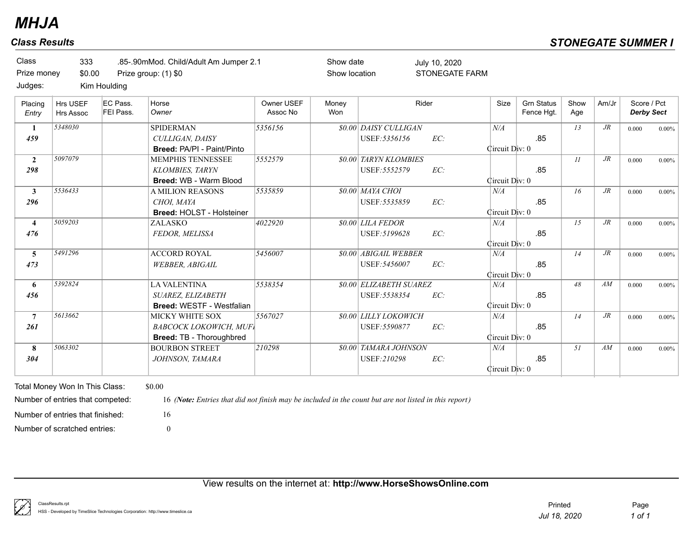| Class<br>Prize money<br>Judges: | 333<br>\$0.00                       | Kim Houlding          | .85-.90mMod. Child/Adult Am Jumper 2.1<br>Prize group: (1) \$0                      |                        | Show date<br>Show location |                                                 | July 10, 2020<br><b>STONEGATE FARM</b> |                       |                                 |             |        |                                  |          |
|---------------------------------|-------------------------------------|-----------------------|-------------------------------------------------------------------------------------|------------------------|----------------------------|-------------------------------------------------|----------------------------------------|-----------------------|---------------------------------|-------------|--------|----------------------------------|----------|
| Placing<br>Entry                | <b>Hrs USEF</b><br><b>Hrs Assoc</b> | EC Pass.<br>FEI Pass. | Horse<br>Owner                                                                      | Owner USEF<br>Assoc No | Money<br>Won               |                                                 | Rider                                  | Size                  | <b>Grn Status</b><br>Fence Hgt. | Show<br>Age | Am/Jr  | Score / Pct<br><b>Derby Sect</b> |          |
| 1<br>459                        | 5348030                             |                       | <b>SPIDERMAN</b><br>CULLIGAN, DAISY<br>Breed: PA/PI - Paint/Pinto                   | 5356156                |                            | \$0.00 DAISY CULLIGAN<br>USEF: 5356156          | EC:                                    | N/A<br>Circuit Div: 0 | .85                             | 13          | $J\!R$ | 0.000                            | $0.00\%$ |
| $\overline{2}$<br>298           | 5097079                             |                       | <b>MEMPHIS TENNESSEE</b><br><b>KLOMBIES, TARYN</b><br><b>Breed: WB - Warm Blood</b> | 5552579                |                            | <b>\$0.00 TARYN KLOMBIES</b><br>USEF: 5552579   | EC:                                    | Circuit Div: 0        | .85                             | 11          | $J\!R$ | 0.000                            | $0.00\%$ |
| $\mathbf{3}$<br>296             | 5536433                             |                       | <b>A MILION REASONS</b><br>CHOI, MAYA<br><b>Breed: HOLST - Holsteiner</b>           | 5535859                |                            | <b>\$0.00 MAYA CHOI</b><br>USEF: 5535859        | EC:                                    | N/A<br>Circuit Div: 0 | .85                             | 16          | $J\!R$ | 0.000                            | $0.00\%$ |
| $\overline{4}$<br>476           | 5059203                             |                       | ZALASKO<br>FEDOR, MELISSA                                                           | 4022920                |                            | <b>80.00 LILA FEDOR</b><br>USEF: 5199628        | EC:                                    | N/A<br>Circuit Div: 0 | .85                             | 15          | $J\!R$ | 0.000                            | $0.00\%$ |
| 5<br>473                        | 5491296                             |                       | <b>ACCORD ROYAL</b><br><b>WEBBER, ABIGAIL</b>                                       | 5456007                |                            | \$0.00 ABIGAIL WEBBER<br>USEF: 5456007          | EC:                                    | N/A<br>Circuit Div: 0 | .85                             | 14          | $J\!R$ | 0.000                            | $0.00\%$ |
| 6<br>456                        | 5392824                             |                       | <b>LA VALENTINA</b><br>SUAREZ, ELIZABETH<br><b>Breed: WESTF - Westfalian</b>        | 5538354                |                            | <b>\$0.00 ELIZABETH SUAREZ</b><br>USEF: 5538354 | EC:                                    | N/A<br>Circuit Div: 0 | .85                             | 48          | AM     | 0.000                            | $0.00\%$ |
| $\overline{7}$<br>261           | 5613662                             |                       | MICKY WHITE SOX<br><b>BABCOCK LOKOWICH, MUFI</b><br>Breed: TB - Thoroughbred        | 5567027                |                            | <b>\$0.00 LILLY LOKOWICH</b><br>USEF: 5590877   | EC:                                    | N/A<br>Circuit Div: 0 | .85                             | 14          | $J\!R$ | 0.000                            | $0.00\%$ |
| 8<br>304                        | 5063302                             |                       | <b>BOURBON STREET</b><br>JOHNSON, TAMARA                                            | 210298                 |                            | <b>\$0.00 TAMARA JOHNSON</b><br>USEF:210298     | EC:                                    | N/A<br>Circuit Div: 0 | .85                             | 51          | AM     | 0.000                            | $0.00\%$ |

Number of scratched entries: 0

Number of entries that finished: 16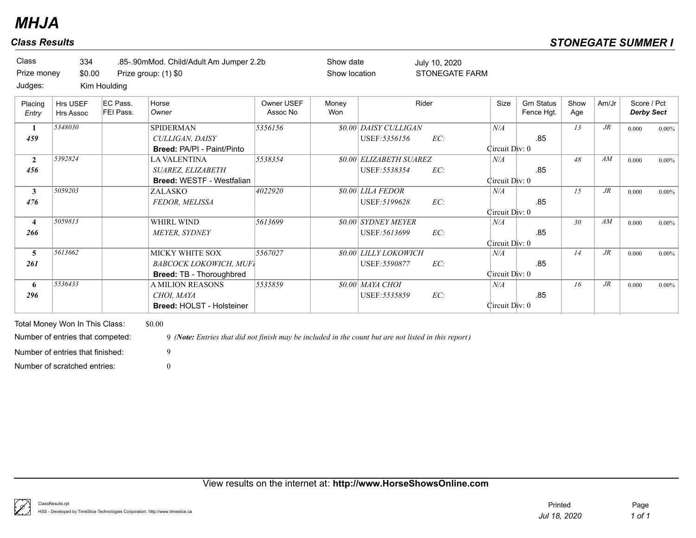| Class<br>Prize money  | 334<br>\$0.00                |                       | .85-.90mMod. Child/Adult Am Jumper 2.2b<br>Prize group: (1) \$0                            |                        | Show date<br>Show location |                                                 | July 10, 2020<br><b>STONEGATE FARM</b> |                             |                                 |             |        |                                  |          |
|-----------------------|------------------------------|-----------------------|--------------------------------------------------------------------------------------------|------------------------|----------------------------|-------------------------------------------------|----------------------------------------|-----------------------------|---------------------------------|-------------|--------|----------------------------------|----------|
| Judges:               |                              | Kim Houlding          |                                                                                            |                        |                            |                                                 |                                        |                             |                                 |             |        |                                  |          |
| Placing<br>Entry      | Hrs USEF<br><b>Hrs Assoc</b> | EC Pass.<br>FEI Pass. | Horse<br>Owner                                                                             | Owner USEF<br>Assoc No | Money<br>Won               |                                                 | Rider                                  | Size                        | <b>Grn Status</b><br>Fence Hgt. | Show<br>Age | Am/Jr  | Score / Pct<br><b>Derby Sect</b> |          |
| 459                   | 5348030                      |                       | SPIDERMAN<br>CULLIGAN, DAISY<br>Breed: PA/PI - Paint/Pinto                                 | 5356156                |                            | <i>SO.OO DAISY CULLIGAN</i><br>USEF: 5356156    | EC:                                    | N/A<br>Circuit Div: 0       | .85                             | 13          | $J\!R$ | 0.000                            | $0.00\%$ |
| $\overline{2}$<br>456 | 5392824                      |                       | <b>LA VALENTINA</b><br>SUAREZ, ELIZABETH<br><b>Breed: WESTF - Westfalian</b>               | 5538354                |                            | <b>\$0.00 ELIZABETH SUAREZ</b><br>USEF: 5538354 | EC:                                    | N/A<br>Circuit Div: 0       | .85                             | 48          | AM     | 0.000                            | $0.00\%$ |
| $\mathbf{3}$<br>476   | 5059203                      |                       | ZALASKO<br>FEDOR, MELISSA                                                                  | 4022920                |                            | \$0.00 LILA FEDOR<br>USEF: 5199628              | EC:                                    | N/A<br>Circuit Div: 0       | .85                             | 15          | $J\!R$ | 0.000                            | $0.00\%$ |
| $\overline{4}$<br>266 | 5059813                      |                       | WHIRL WIND<br>MEYER, SYDNEY                                                                | 5613699                |                            | <i>SO.00 SYDNEY MEYER</i><br>USEF: 5613699      | EC:                                    | $N\!/\!A$<br>Circuit Div: 0 | .85                             | 30          | AM     | 0.000                            | $0.00\%$ |
| 5<br>261              | 5613662                      |                       | <b>MICKY WHITE SOX</b><br><b>BABCOCK LOKOWICH, MUFI</b><br><b>Breed: TB - Thoroughbred</b> | 5567027                |                            | <b>\$0.00 LILLY LOKOWICH</b><br>USEF: 5590877   | EC:                                    | N/A<br>Circuit Div: 0       | .85                             | 14          | $J\!R$ | 0.000                            | $0.00\%$ |
| 6<br>296              | 5536433                      |                       | <b>A MILION REASONS</b><br>CHOI, MAYA<br><b>Breed: HOLST - Holsteiner</b>                  | 5535859                |                            | \$0.00 MAYA CHOI<br>USEF: 5535859               | EC:                                    | N/A<br>Circuit Div: 0       | .85                             | 16          | $J\!R$ | 0.000                            | $0.00\%$ |

Total Money Won In This Class: \$0.00 Number of scratched entries: 0 Number of entries that finished: 9

Number of entries that competed: 9 *(Note: Entries that did not finish may be included in the count but are not listed in this report)*

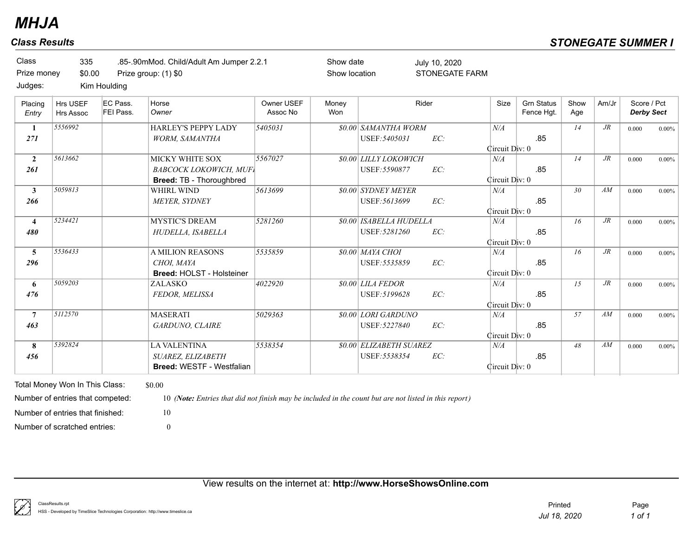| Class       | 335          | .85-.90mMod. Child/Adult Am Jumper 2.2.1 |
|-------------|--------------|------------------------------------------|
| Prize money | \$0.00       | Prize group: (1) \$0                     |
| Judges:     | Kim Houlding |                                          |

Show date Show location

STONEGATE FARM July 10, 2020

| Entry                   | <b>Hrs Assoc</b> | FEI Pass. | Horse<br>Owner                   | Owner USEF<br>Assoc No | Money<br>Won | Rider                          |     | Size           | <b>Grn Status</b><br>Fence Hgt. | Show<br>Age | Am/Jr  | Score / Pct<br><b>Derby Sect</b> |          |
|-------------------------|------------------|-----------|----------------------------------|------------------------|--------------|--------------------------------|-----|----------------|---------------------------------|-------------|--------|----------------------------------|----------|
| $\mathbf{1}$            | 5556992          |           | <b>HARLEY'S PEPPY LADY</b>       | 5405031                |              | <b>\$0.00 SAMANTHA WORM</b>    |     | N/A            |                                 | 14          | $J\!R$ | 0.000                            | 0.00%    |
| 271                     |                  |           | <b>WORM, SAMANTHA</b>            |                        |              | USEF: 5405031                  | EC: |                | .85                             |             |        |                                  |          |
|                         |                  |           |                                  |                        |              |                                |     | Circuit Div: 0 |                                 |             |        |                                  |          |
| $\overline{2}$          | 5613662          |           | <b>MICKY WHITE SOX</b>           | 5567027                |              | <b>\$0.00 LILLY LOKOWICH</b>   |     | N/A            |                                 | 14          | $J\!R$ | 0.000                            | $0.00\%$ |
| 261                     |                  |           | <b>BABCOCK LOKOWICH, MUFI</b>    |                        |              | USEF: 5590877                  | EC: |                | .85                             |             |        |                                  |          |
|                         |                  |           | Breed: TB - Thoroughbred         |                        |              |                                |     | Circuit Div: 0 |                                 |             |        |                                  |          |
| 3                       | 5059813          |           | WHIRL WIND                       | 5613699                |              | <i>SO.00 SYDNEY MEYER</i>      |     | N/A            |                                 | 30          | AM     | 0.000                            | 0.00%    |
| 266                     |                  |           | <b>MEYER, SYDNEY</b>             |                        |              | USEF: 5613699                  | EC: |                | .85                             |             |        |                                  |          |
|                         |                  |           |                                  |                        |              |                                |     | Circuit Div: 0 |                                 |             |        |                                  |          |
| $\overline{\mathbf{4}}$ | 5234421          |           | <b>MYSTIC'S DREAM</b>            | 5281260                |              | <b>\$0.00 ISABELLA HUDELLA</b> |     | N/A            |                                 | 16          | $J\!R$ | 0.000                            | 0.00%    |
| 480                     |                  |           | HUDELLA, ISABELLA                |                        |              | USEF: 5281260                  | EC: |                | .85                             |             |        |                                  |          |
|                         |                  |           |                                  |                        |              |                                |     | Circuit Div: 0 |                                 |             |        |                                  |          |
| 5                       | 5536433          |           | <b>A MILION REASONS</b>          | 5535859                |              | 80.00 MAYA CHOI                |     | N/A            |                                 | 16          | $J\!R$ | 0.000                            | 0.00%    |
| 296                     |                  |           | CHOI. MAYA                       |                        |              | USEF: 5535859                  | EC: |                | .85                             |             |        |                                  |          |
|                         |                  |           | <b>Breed: HOLST - Holsteiner</b> |                        |              |                                |     | Circuit Div: 0 |                                 |             |        |                                  |          |
| 6                       | 5059203          |           | ZALASKO                          | 4022920                |              | <b>80.00 LILA FEDOR</b>        |     | N/A            |                                 | 15          | $J\!R$ | 0.000                            | 0.00%    |
| 476                     |                  |           | FEDOR, MELISSA                   |                        |              | USEF: 5199628                  | EC: |                | .85                             |             |        |                                  |          |
|                         |                  |           |                                  |                        |              |                                |     | Circuit Div: 0 |                                 |             |        |                                  |          |
| $\overline{7}$          | 5112570          |           | <b>MASERATI</b>                  | 5029363                |              | \$0.00 LORI GARDUNO            |     | N/A            |                                 | 57          | AM     | 0.000                            | 0.00%    |
| 463                     |                  |           | GARDUNO, CLAIRE                  |                        |              | USEF: 5227840                  | EC: |                | .85                             |             |        |                                  |          |
|                         |                  |           |                                  |                        |              |                                |     | Circuit Div: 0 |                                 |             |        |                                  |          |
| 8                       | 5392824          |           | <b>LA VALENTINA</b>              | 5538354                |              | <b>\$0.00 ELIZABETH SUAREZ</b> |     | N/A            |                                 | 48          | AM     | 0.000                            | 0.00%    |
| 456                     |                  |           | SUAREZ, ELIZABETH                |                        |              | USEF: 5538354                  | EC: |                | .85                             |             |        |                                  |          |
|                         |                  |           | <b>Breed: WESTF - Westfalian</b> |                        |              |                                |     | Circuit Div: 0 |                                 |             |        |                                  |          |

Total Money Won In This Class: \$0.00 Number of scratched entries: 0 Number of entries that finished: 10

Number of entries that competed: 10 *(Note: Entries that did not finish may be included in the count but are not listed in this report)*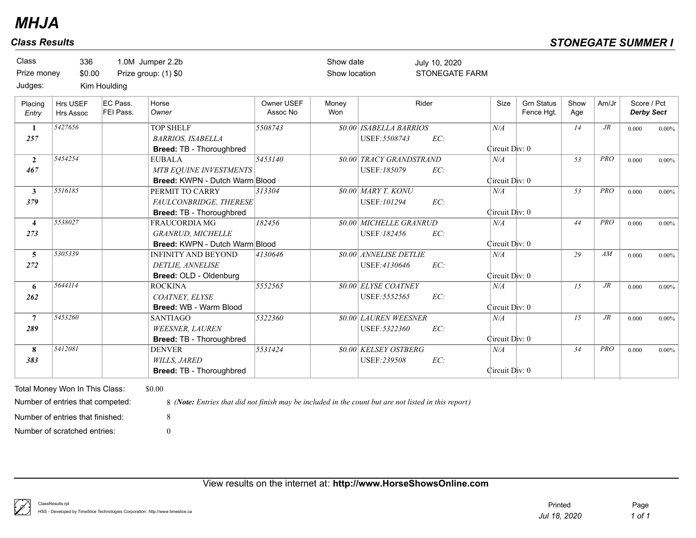| Prize money<br>Judges:         | 336<br>\$0.00                       | Kim Houlding          | 1.0M Jumper 2.2b<br>Prize group: (1) \$0                                           |                        | Show date<br>Show location |                                                 | July 10, 2020<br><b>STONEGATE FARM</b> |                       |                                 |             |            |                                  |          |
|--------------------------------|-------------------------------------|-----------------------|------------------------------------------------------------------------------------|------------------------|----------------------------|-------------------------------------------------|----------------------------------------|-----------------------|---------------------------------|-------------|------------|----------------------------------|----------|
| Placing<br>Entry               | <b>Hrs USEF</b><br><b>Hrs Assoc</b> | EC Pass.<br>FEI Pass. | Horse<br>Owner                                                                     | Owner USEF<br>Assoc No | Money<br>Won               |                                                 | Rider                                  | Size                  | <b>Grn Status</b><br>Fence Hgt. | Show<br>Age | Am/Jr      | Score / Pct<br><b>Derby Sect</b> |          |
| 1<br>257                       | 5427656                             |                       | <b>TOP SHELF</b><br><b>BARRIOS, ISABELLA</b><br>Breed: TB - Thoroughbred           | 5508743                |                            | <b>\$0.00 ISABELLA BARRIOS</b><br>USEF: 5508743 | EC:                                    | N/A<br>Circuit Div: 0 |                                 | 14          | $J\!R$     | 0.000                            | $0.00\%$ |
| $\overline{2}$<br>467          | 5454254                             |                       | <b>EUBALA</b><br>MTB EQUINE INVESTMENTS<br><b>Breed: KWPN - Dutch Warm Blood</b>   | 5453140                |                            | <b>\$0.00 TRACY GRANDSTRAND</b><br>USEF:185079  | EC:                                    | N/A<br>Circuit Div: 0 |                                 | 53          | <b>PRO</b> | 0.000                            | $0.00\%$ |
| $\mathbf{3}$<br>379            | 5516185                             |                       | PERMIT TO CARRY<br>FAULCONBRIDGE, THERESE<br><b>Breed: TB - Thoroughbred</b>       | 313304                 |                            | <b>\$0.00 MARY T. KONU</b><br>USEF: 101294      | EC:                                    | N/A<br>Circuit Div: 0 |                                 | 53          | PRO        | 0.000                            | $0.00\%$ |
| $\overline{\mathbf{4}}$<br>273 | 5538027                             |                       | <b>FRAUCORDIA MG</b><br><b>GRANRUD, MICHELLE</b><br>Breed: KWPN - Dutch Warm Blood | 182456                 |                            | <b>\$0.00 MICHELLE GRANRUD</b><br>USEF:182456   | EC:                                    | N/A<br>Circuit Div: 0 |                                 | 44          | PRO        | 0.000                            | $0.00\%$ |
| 5<br>272                       | 5305339                             |                       | <b>INFINITY AND BEYOND</b><br>DETLIE, ANNELISE<br>Breed: OLD - Oldenburg           | 4130646                |                            | \$0.00 ANNELISE DETLIE<br>USEF:4130646          | EC:                                    | N/A<br>Circuit Div: 0 |                                 | 29          | AM         | 0.000                            | $0.00\%$ |
| 6<br>262                       | 5644114                             |                       | <b>ROCKINA</b><br>COATNEY, ELYSE<br>Breed: WB - Warm Blood                         | 5552565                |                            | <b>\$0.00 ELYSE COATNEY</b><br>USEF: 5552565    | EC:                                    | N/A<br>Circuit Div: 0 |                                 | 15          | $J\!R$     | 0.000                            | $0.00\%$ |
| $\overline{7}$<br>289          | 5453260                             |                       | <b>SANTIAGO</b><br><b>WEESNER, LAUREN</b><br>Breed: TB - Thoroughbred              | 5322360                |                            | <b>\$0.00 LAUREN WEESNER</b><br>USEF: 5322360   | EC:                                    | N/A<br>Circuit Div: 0 |                                 | 15          | $J\!R$     | 0.000                            | $0.00\%$ |
| 8<br>383                       | 5412081                             |                       | <b>DENVER</b><br><b>WILLS, JARED</b><br>Breed: TB - Thoroughbred                   | 5531424                |                            | <b>\$0.00 KELSEY OSTBERG</b><br>USEF:239508     | EC:                                    | N/A<br>Circuit Div: 0 |                                 | 34          | PRO        | 0.000                            | $0.00\%$ |

Number of entries that finished: 8

Number of entries that competed: 8 *(Note: Entries that did not finish may be included in the count but are not listed in this report)*

Number of scratched entries: 0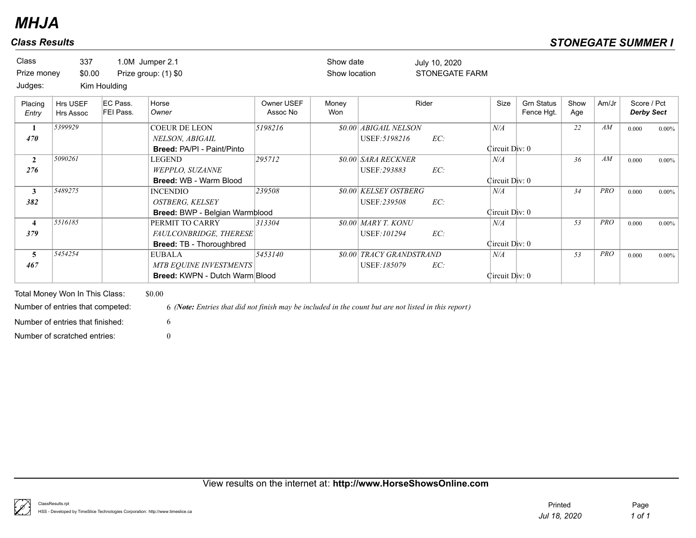| Class<br>Prize money  | 337<br>\$0.00         |                              | 1.0M Jumper 2.1<br>Prize group: (1) \$0                                                 |                        | Show date<br>Show location |                                               | July 10, 2020<br><b>STONEGATE FARM</b> |                       |                                 |             |            |                                  |          |
|-----------------------|-----------------------|------------------------------|-----------------------------------------------------------------------------------------|------------------------|----------------------------|-----------------------------------------------|----------------------------------------|-----------------------|---------------------------------|-------------|------------|----------------------------------|----------|
| Judges:               |                       | Kim Houlding                 |                                                                                         |                        |                            |                                               |                                        |                       |                                 |             |            |                                  |          |
| Placing<br>Entry      | Hrs USEF<br>Hrs Assoc | EC Pass.<br><b>FEI Pass.</b> | Horse<br>Owner                                                                          | Owner USEF<br>Assoc No | Money<br>Won               |                                               | Rider                                  | Size                  | <b>Grn Status</b><br>Fence Hgt. | Show<br>Age | Am/Jr      | Score / Pct<br><b>Derby Sect</b> |          |
| 470                   | 5399929               |                              | <b>COEUR DE LEON</b><br>NELSON, ABIGAIL<br><b>Breed: PA/PI - Paint/Pinto</b>            | 5198216                |                            | \$0.00 ABIGAIL NELSON<br>USEF: 5198216        | EC:                                    | N/A<br>Circuit Div: 0 |                                 | 22          | AM         | 0.000                            | $0.00\%$ |
| $\overline{2}$<br>276 | 5090261               |                              | <b>LEGEND</b><br>WEPPLO, SUZANNE<br><b>Breed: WB - Warm Blood</b>                       | 295712                 |                            | <b>\$0.00 SARA RECKNER</b><br>USEF: 293883    | EC:                                    | N/A<br>Circuit Div: 0 |                                 | 36          | AM         | 0.000                            | $0.00\%$ |
| $\mathbf{3}$<br>382   | 5489275               |                              | <b>INCENDIO</b><br><b>OSTBERG, KELSEY</b><br>Breed: BWP - Belgian Warmblood             | 239508                 |                            | \$0.00 KELSEY OSTBERG<br>USEF:239508          | EC:                                    | N/A<br>Circuit Div: 0 |                                 | 34          | <b>PRO</b> | 0.000                            | 0.00%    |
| $\overline{4}$<br>379 | 5516185               |                              | PERMIT TO CARRY<br>FAULCONBRIDGE, THERESE<br><b>Breed: TB - Thoroughbred</b>            | 313304                 |                            | <b>\$0.00 MARY T. KONU</b><br>USEF: 101294    | EC:                                    | N/A<br>Circuit Div: 0 |                                 | 53          | <b>PRO</b> | 0.000                            | 0.00%    |
| 5<br>467              | 5454254               |                              | <b>EUBALA</b><br><b>MTB EQUINE INVESTMENTS</b><br><b>Breed: KWPN - Dutch Warm Blood</b> | 5453140                |                            | <i>SO.00 TRACY GRANDSTRAND</i><br>USEF:185079 | EC:                                    | N/A<br>Circuit Div: 0 |                                 | 53          | <b>PRO</b> | 0.000                            | 0.00%    |

Total Money Won In This Class: \$0.00 Number of scratched entries: 0 Number of entries that finished: 6

Number of entries that competed: 6 *(Note: Entries that did not finish may be included in the count but are not listed in this report)*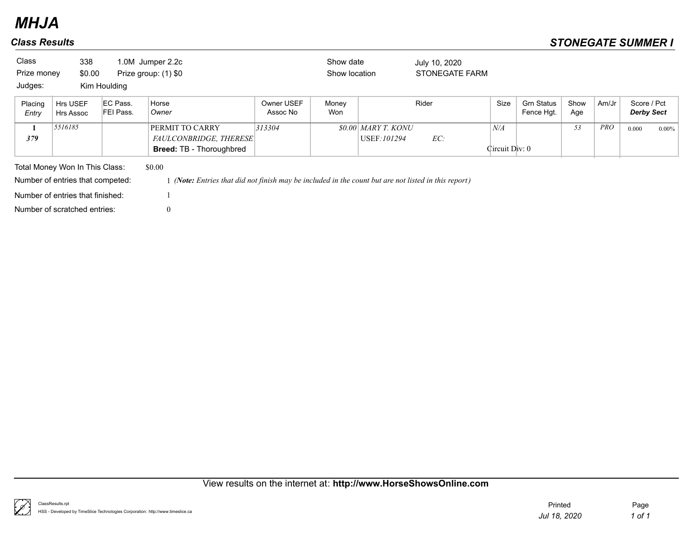| <b>Class</b><br>Prize money | 338<br>\$0.00                    |                       | 1.0M Jumper 2.2c<br>Prize group: (1) \$0                                                           |                        | Show date<br>Show location |                                           | July 10, 2020<br><b>STONEGATE FARM</b> |                       |                                 |             |            |                                  |          |
|-----------------------------|----------------------------------|-----------------------|----------------------------------------------------------------------------------------------------|------------------------|----------------------------|-------------------------------------------|----------------------------------------|-----------------------|---------------------------------|-------------|------------|----------------------------------|----------|
| Judges:                     |                                  | Kim Houlding          |                                                                                                    |                        |                            |                                           |                                        |                       |                                 |             |            |                                  |          |
| Placing<br>Entry            | Hrs USEF<br>Hrs Assoc            | EC Pass.<br>FEI Pass. | Horse<br>Owner                                                                                     | Owner USEF<br>Assoc No | Money<br>Won               |                                           | Rider                                  | Size                  | <b>Grn Status</b><br>Fence Hqt. | Show<br>Age | Am/Jr      | Score / Pct<br><b>Derby Sect</b> |          |
| 379                         | 5516185                          |                       | PERMIT TO CARRY<br>FAULCONBRIDGE, THERESE<br><b>Breed: TB - Thoroughbred</b>                       | 313304                 |                            | <i>SO.00 MARY T. KONU</i><br>USEF: 101294 | EC:                                    | N/A<br>Circuit Div: 0 |                                 | 53          | <b>PRO</b> | 0.000                            | $0.00\%$ |
|                             | Total Money Won In This Class:   |                       | \$0.00                                                                                             |                        |                            |                                           |                                        |                       |                                 |             |            |                                  |          |
|                             | Number of entries that competed: |                       | (Note: Entries that did not finish may be included in the count but are not listed in this report) |                        |                            |                                           |                                        |                       |                                 |             |            |                                  |          |
|                             | Number of entries that finished: |                       |                                                                                                    |                        |                            |                                           |                                        |                       |                                 |             |            |                                  |          |
|                             | Number of scratched entries:     |                       | $\overline{0}$                                                                                     |                        |                            |                                           |                                        |                       |                                 |             |            |                                  |          |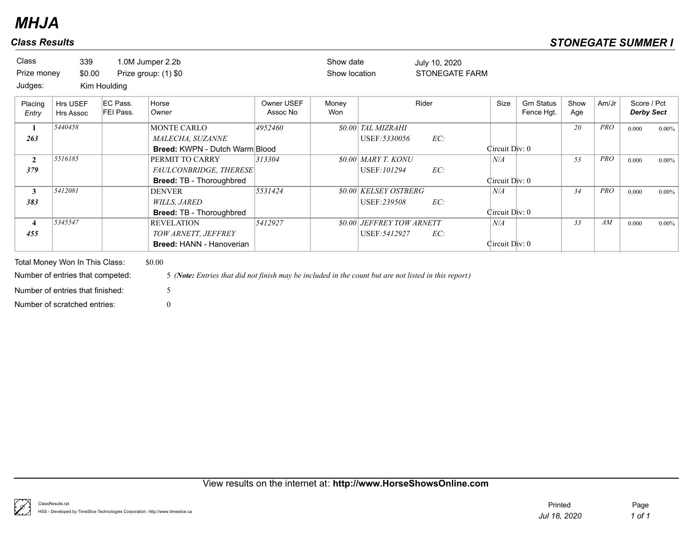| <b>Class</b><br>Prize money | 339<br>\$0.00                                                                                          |                       | 1.0M Jumper 2.2b<br>Prize group: (1) \$0                                                                            |                        | Show date<br>Show location |                                                   | July 10, 2020<br><b>STONEGATE FARM</b> |                             |                                 |             |            |                                  |          |
|-----------------------------|--------------------------------------------------------------------------------------------------------|-----------------------|---------------------------------------------------------------------------------------------------------------------|------------------------|----------------------------|---------------------------------------------------|----------------------------------------|-----------------------------|---------------------------------|-------------|------------|----------------------------------|----------|
| Judges:                     |                                                                                                        | Kim Houlding          |                                                                                                                     |                        |                            |                                                   |                                        |                             |                                 |             |            |                                  |          |
| Placing<br>Entry            | Hrs USEF<br><b>Hrs Assoc</b>                                                                           | EC Pass.<br>FEI Pass. | Horse<br>Owner                                                                                                      | Owner USEF<br>Assoc No | Monev<br>Won               |                                                   | Rider                                  | Size                        | <b>Grn Status</b><br>Fence Hgt. | Show<br>Age | Am/Jr      | Score / Pct<br><b>Derby Sect</b> |          |
| 1<br>263                    | 5440458                                                                                                |                       | <b>MONTE CARLO</b><br>MALECHA, SUZANNE<br><b>Breed: KWPN - Dutch Warm Blood</b>                                     | 4952460                |                            | <b>\$0.00 TAL MIZRAHI</b><br>USEF: 5330056        | EC:                                    | Circuit Div: 0              |                                 | 20          | <b>PRO</b> | 0.000                            | $0.00\%$ |
| $\mathbf{2}$<br>379         | 5516185                                                                                                |                       | PERMIT TO CARRY<br>FAULCONBRIDGE, THERESE<br><b>Breed: TB - Thoroughbred</b>                                        | 313304                 |                            | $$0.00$ MARY T. KONU<br>USEF:101294               | EC:                                    | $N\!/\!A$<br>Circuit Div: 0 |                                 | 53          | <b>PRO</b> | 0.000                            | $0.00\%$ |
| 3<br>383                    | 5412081                                                                                                |                       | <b>DENVER</b><br><b>WILLS, JARED</b><br><b>Breed: TB - Thoroughbred</b>                                             | 5531424                |                            | <b>\$0.00 KELSEY OSTBERG</b><br>USEF:239508       | EC:                                    | N/A<br>Circuit Div: 0       |                                 | 34          | <b>PRO</b> | 0.000                            | $0.00\%$ |
| $\overline{4}$<br>455       | 5345547                                                                                                |                       | <b>REVELATION</b><br>TOW ARNETT, JEFFREY<br><b>Breed: HANN - Hanoverian</b>                                         | 5412927                |                            | <b>\$0.00 JEFFREY TOW ARNETT</b><br>USEF: 5412927 | EC:                                    | N/A<br>Circuit Div: 0       |                                 | 33          | AM         | 0.000                            | $0.00\%$ |
|                             | Total Money Won In This Class:<br>Number of entries that competed:<br>Number of entries that finished: |                       | \$0.00<br>5 (Note: Entries that did not finish may be included in the count but are not listed in this report)<br>5 |                        |                            |                                                   |                                        |                             |                                 |             |            |                                  |          |

Number of scratched entries: 0

k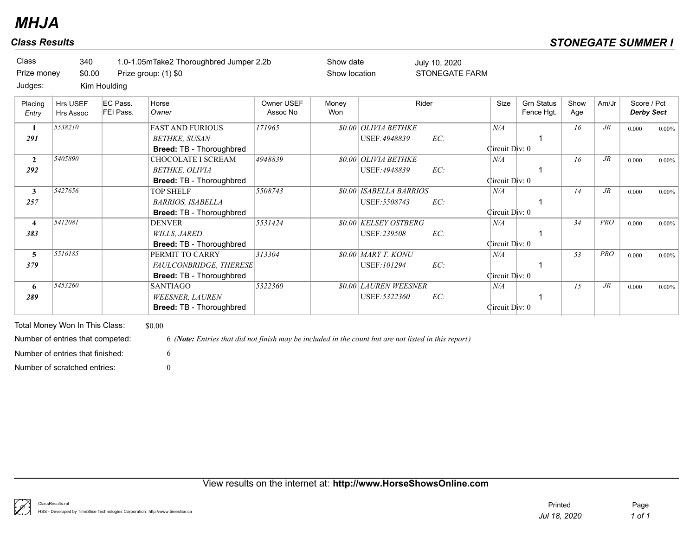| <b>Class</b><br>Prize money<br>Judges: | 340<br>\$0.00                | Kim Houlding          | 1.0-1.05mTake2 Thoroughbred Jumper 2.2b<br>Prize group: (1) \$0                    |                        | Show date<br>Show location |                                                 | July 10, 2020<br><b>STONEGATE FARM</b> |                       |                                 |             |            |                                  |          |
|----------------------------------------|------------------------------|-----------------------|------------------------------------------------------------------------------------|------------------------|----------------------------|-------------------------------------------------|----------------------------------------|-----------------------|---------------------------------|-------------|------------|----------------------------------|----------|
| Placing<br>Entry                       | Hrs USEF<br><b>Hrs Assoc</b> | EC Pass.<br>FEI Pass. | Horse<br>Owner                                                                     | Owner USEF<br>Assoc No | Money<br><b>Won</b>        |                                                 | Rider                                  | Size                  | <b>Grn Status</b><br>Fence Hgt. | Show<br>Age | Am/Jr      | Score / Pct<br><b>Derby Sect</b> |          |
| -1<br>291                              | 5538210                      |                       | <b>FAST AND FURIOUS</b><br><b>BETHKE, SUSAN</b><br><b>Breed: TB - Thoroughbred</b> | 171965                 |                            | <b>\$0.00 OLIVIA BETHKE</b><br>USEF: 4948839    | EC:                                    | N/A<br>Circuit Div: 0 |                                 | 16          | $J\!R$     | 0.000                            | $0.00\%$ |
| $\overline{2}$<br>292                  | 5405890                      |                       | CHOCOLATE I SCREAM<br>BETHKE, OLIVIA<br><b>Breed: TB - Thoroughbred</b>            | 4948839                |                            | <b>80.00 OLIVIA BETHKE</b><br>USEF: 4948839     | EC:                                    | N/A<br>Circuit Div: 0 |                                 | 16          | $J\!R$     | 0.000                            | $0.00\%$ |
| 3<br>257                               | 5427656                      |                       | <b>TOP SHELF</b><br><b>BARRIOS, ISABELLA</b><br><b>Breed: TB - Thoroughbred</b>    | 5508743                |                            | <b>\$0.00 ISABELLA BARRIOS</b><br>USEF: 5508743 | EC:                                    | N/A<br>Circuit Div: 0 |                                 | 14          | $J\!R$     | 0.000                            | $0.00\%$ |
| $\overline{\mathbf{4}}$<br>383         | 5412081                      |                       | <b>DENVER</b><br><i>WILLS, JARED</i><br><b>Breed: TB - Thoroughbred</b>            | 5531424                |                            | <b>\$0.00 KELSEY OSTBERG</b><br>USEF: 239508    | EC:                                    | N/A<br>Circuit Div: 0 |                                 | 34          | <b>PRO</b> | 0.000                            | $0.00\%$ |
| 5<br>379                               | 5516185                      |                       | PERMIT TO CARRY<br>FAULCONBRIDGE, THERESE<br>Breed: TB - Thoroughbred              | 313304                 |                            | <b>80.00 MARY T. KONU</b><br>USEF: 101294       | EC:                                    | N/A<br>Circuit Div: 0 |                                 | 53          | <b>PRO</b> | 0.000                            | $0.00\%$ |
| 6<br>289                               | 5453260                      |                       | <b>SANTIAGO</b><br><b>WEESNER, LAUREN</b>                                          | 5322360                |                            | \$0.00 LAUREN WEESNER<br>USEF: 5322360          | EC:                                    | N/A                   |                                 | 15          | $J\!R$     | 0.000                            | $0.00\%$ |

Total Money Won In This Class: \$0.00 Number of scratched entries: 0 Number of entries that finished: 6

Number of entries that competed: 6 *(Note: Entries that did not finish may be included in the count but are not listed in this report)*

**Breed:** TB - Thoroughbred **Circuit Div: 0**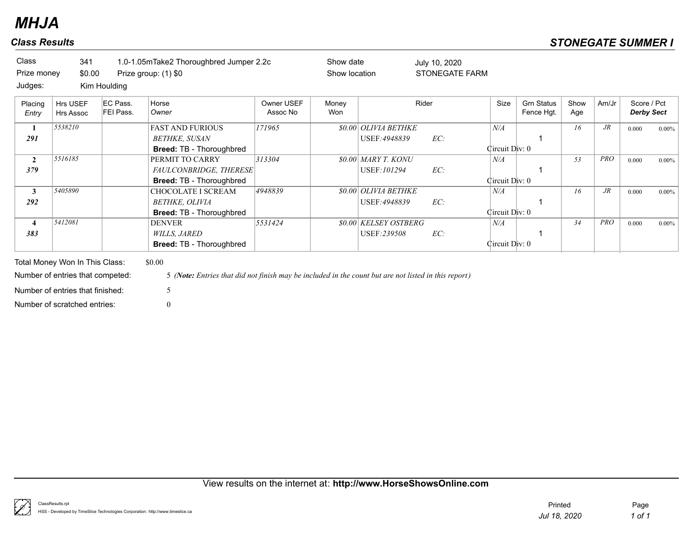## *Class Results STONEGATE SUMMER I*

| <b>Class</b>            | 341                              |                       | 1.0-1.05mTake2 Thoroughbred Jumper 2.2c                                                              |                        | Show date     |                              | July 10, 2020         |                |                                 |             |            |                                  |          |
|-------------------------|----------------------------------|-----------------------|------------------------------------------------------------------------------------------------------|------------------------|---------------|------------------------------|-----------------------|----------------|---------------------------------|-------------|------------|----------------------------------|----------|
| Prize money             | \$0.00                           |                       | Prize group: (1) \$0                                                                                 |                        | Show location |                              | <b>STONEGATE FARM</b> |                |                                 |             |            |                                  |          |
| Judges:                 |                                  | Kim Houlding          |                                                                                                      |                        |               |                              |                       |                |                                 |             |            |                                  |          |
| Placing<br>Entry        | Hrs USEF<br>Hrs Assoc            | EC Pass.<br>FEI Pass. | Horse<br>Owner                                                                                       | Owner USEF<br>Assoc No | Money<br>Won  |                              | Rider                 | Size           | <b>Grn Status</b><br>Fence Hgt. | Show<br>Age | Am/Jr      | Score / Pct<br><b>Derby Sect</b> |          |
| 1                       | 5538210                          |                       | <b>FAST AND FURIOUS</b>                                                                              | 171965                 |               | <b>\$0.00 OLIVIA BETHKE</b>  |                       | N/A            |                                 | 16          | $J\!R$     | 0.000                            | $0.00\%$ |
| 291                     |                                  |                       | <b>BETHKE, SUSAN</b>                                                                                 |                        |               | USEF: 4948839                | EC:                   |                |                                 |             |            |                                  |          |
|                         |                                  |                       | <b>Breed: TB - Thoroughbred</b>                                                                      |                        |               |                              |                       | Circuit Div: 0 |                                 |             |            |                                  |          |
| $\overline{2}$          | 5516185                          |                       | PERMIT TO CARRY                                                                                      | 313304                 |               | $$0.00$ MARY T. KONU         |                       | N/A            |                                 | 53          | <b>PRO</b> | 0.000                            | $0.00\%$ |
| 379                     |                                  |                       | FAULCONBRIDGE, THERESE                                                                               |                        |               | USEF: 101294                 | EC:                   |                |                                 |             |            |                                  |          |
|                         |                                  |                       | <b>Breed: TB - Thoroughbred</b>                                                                      |                        |               |                              |                       | Circuit Div: 0 |                                 |             |            |                                  |          |
| $\mathbf{3}$            | 5405890                          |                       | <b>CHOCOLATE I SCREAM</b>                                                                            | 4948839                |               | \$0.00 OLIVIA BETHKE         |                       | N/A            |                                 | 16          | $J\!R$     | 0.000                            | $0.00\%$ |
| 292                     |                                  |                       | BETHKE, OLIVIA                                                                                       |                        |               | USEF: 4948839                | EC:                   |                |                                 |             |            |                                  |          |
|                         |                                  |                       | <b>Breed: TB - Thoroughbred</b>                                                                      |                        |               |                              |                       | Circuit Div: 0 |                                 |             |            |                                  |          |
| $\overline{\mathbf{4}}$ | 5412081                          |                       | <b>DENVER</b>                                                                                        | 5531424                |               | <b>\$0.00 KELSEY OSTBERG</b> |                       | N/A            |                                 | 34          | <b>PRO</b> | 0.000                            | $0.00\%$ |
| 383                     |                                  |                       | <b>WILLS, JARED</b>                                                                                  |                        |               | USEF:239508                  | EC:                   |                |                                 |             |            |                                  |          |
|                         |                                  |                       | <b>Breed: TB - Thoroughbred</b>                                                                      |                        |               |                              |                       | Circuit Div: 0 |                                 |             |            |                                  |          |
|                         | Total Money Won In This Class:   |                       | \$0.00                                                                                               |                        |               |                              |                       |                |                                 |             |            |                                  |          |
|                         | Number of entries that competed: |                       | 5 (Note: Entries that did not finish may be included in the count but are not listed in this report) |                        |               |                              |                       |                |                                 |             |            |                                  |          |
|                         | Number of entries that finished: |                       | 5                                                                                                    |                        |               |                              |                       |                |                                 |             |            |                                  |          |
|                         | Number of scratched entries:     |                       | $\Omega$                                                                                             |                        |               |                              |                       |                |                                 |             |            |                                  |          |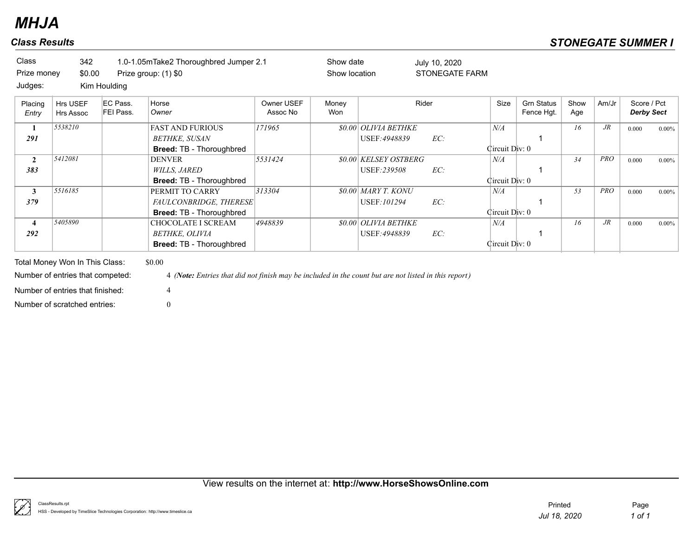| Class<br>Prize money        | 342<br>\$0.00                                                                                                                          |                                       | 1.0-1.05mTake2 Thoroughbred Jumper 2.1<br>Prize group: (1) \$0                                                      |                        | Show date<br>Show location |                                              | July 10, 2020<br><b>STONEGATE FARM</b> |                       |                                 |             |            |                                  |          |
|-----------------------------|----------------------------------------------------------------------------------------------------------------------------------------|---------------------------------------|---------------------------------------------------------------------------------------------------------------------|------------------------|----------------------------|----------------------------------------------|----------------------------------------|-----------------------|---------------------------------|-------------|------------|----------------------------------|----------|
| Judges:<br>Placing<br>Entry | <b>Hrs USEF</b><br><b>Hrs Assoc</b>                                                                                                    | Kim Houlding<br>EC Pass.<br>FEI Pass. | Horse<br>Owner                                                                                                      | Owner USEF<br>Assoc No | Money<br>Won               |                                              | Rider                                  | Size                  | <b>Grn Status</b><br>Fence Hgt. | Show<br>Age | Am/Jr      | Score / Pct<br><b>Derby Sect</b> |          |
| 1<br>291                    | 5538210                                                                                                                                |                                       | <b>FAST AND FURIOUS</b><br><b>BETHKE, SUSAN</b><br><b>Breed: TB - Thoroughbred</b>                                  | 171965                 |                            | <b>\$0.00 OLIVIA BETHKE</b><br>USEF: 4948839 | EC:                                    | N/A<br>Circuit Div: 0 |                                 | 16          | $J\!R$     | 0.000                            | $0.00\%$ |
| $\overline{2}$<br>383       | 5412081                                                                                                                                |                                       | <b>DENVER</b><br><b>WILLS, JARED</b><br><b>Breed: TB - Thoroughbred</b>                                             | 5531424                |                            | \$0.00 KELSEY OSTBERG<br>USEF:239508         | EC:                                    | N/A<br>Circuit Div: 0 |                                 | 34          | PRO        | 0.000                            | $0.00\%$ |
| 3<br>379                    | 5516185                                                                                                                                |                                       | PERMIT TO CARRY<br>FAULCONBRIDGE, THERESE<br>Breed: TB - Thoroughbred                                               | 313304                 |                            | $$0.00$ MARY T. KONU<br>USEF: 101294         | EC:                                    | N/A<br>Circuit Div: 0 |                                 | 53          | <b>PRO</b> | 0.000                            | $0.00\%$ |
| 4<br>292                    | 5405890                                                                                                                                |                                       | CHOCOLATE I SCREAM<br>BETHKE, OLIVIA<br><b>Breed: TB - Thoroughbred</b>                                             | 4948839                |                            | <b>\$0.00 OLIVIA BETHKE</b><br>USEF: 4948839 | EC:                                    | N/A<br>Circuit Div: 0 |                                 | 16          | $J\!R$     | 0.000                            | $0.00\%$ |
|                             | Total Money Won In This Class:<br>Number of entries that competed:<br>Number of entries that finished:<br>Number of scratched entries: |                                       | \$0.00<br>4 (Note: Entries that did not finish may be included in the count but are not listed in this report)<br>4 |                        |                            |                                              |                                        |                       |                                 |             |            |                                  |          |

## View results on the internet at: **http://www.HorseShowsOnline.com**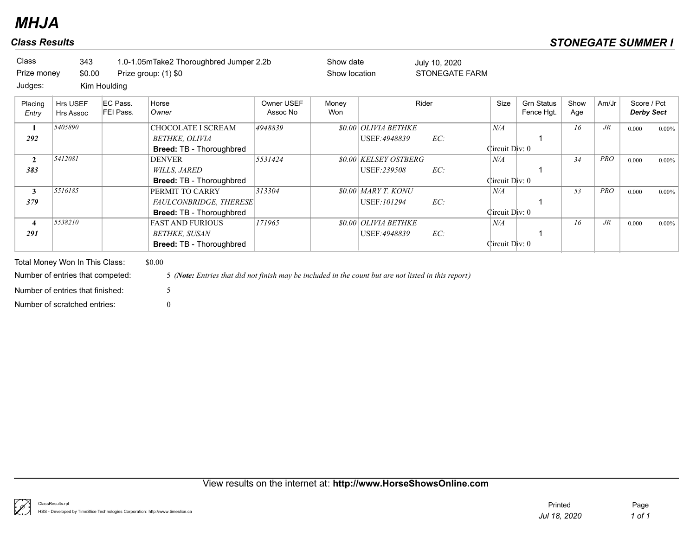| <b>Class</b><br>Prize money | 343<br>\$0.00                                                      |                                       | 1.0-1.05mTake2 Thoroughbred Jumper 2.2b<br>Prize group: (1) \$0                                                     |                        | Show date<br>Show location |                                              | July 10, 2020<br><b>STONEGATE FARM</b> |                       |                                 |             |            |                                  |          |
|-----------------------------|--------------------------------------------------------------------|---------------------------------------|---------------------------------------------------------------------------------------------------------------------|------------------------|----------------------------|----------------------------------------------|----------------------------------------|-----------------------|---------------------------------|-------------|------------|----------------------------------|----------|
| Judges:<br>Placing<br>Entry | <b>Hrs USEF</b><br><b>Hrs Assoc</b>                                | Kim Houlding<br>EC Pass.<br>FEI Pass. | Horse<br>Owner                                                                                                      | Owner USEF<br>Assoc No | Money<br>Won               |                                              | Rider                                  | Size                  | <b>Grn Status</b><br>Fence Hgt. | Show<br>Age | Am/Jr      | Score / Pct<br><b>Derby Sect</b> |          |
| 1<br>292                    | 5405890                                                            |                                       | CHOCOLATE I SCREAM<br>BETHKE, OLIVIA<br>Breed: TB - Thoroughbred                                                    | 4948839                |                            | <b>\$0.00 OLIVIA BETHKE</b><br>USEF: 4948839 | EC:                                    | N/A<br>Circuit Div: 0 |                                 | 16          | $J\!R$     | 0.000                            | $0.00\%$ |
| $\overline{2}$<br>383       | 5412081                                                            |                                       | <b>DENVER</b><br><i>WILLS, JARED</i><br>Breed: TB - Thoroughbred                                                    | 5531424                |                            | <b>\$0.00 KELSEY OSTBERG</b><br>USEF: 239508 | EC:                                    | N/A<br>Circuit Div: 0 |                                 | 34          | <b>PRO</b> | 0.000                            | $0.00\%$ |
| $\mathbf{3}$<br>379         | 5516185                                                            |                                       | PERMIT TO CARRY<br>FAULCONBRIDGE, THERESE<br>Breed: TB - Thoroughbred                                               | 313304                 |                            | $$0.00$ MARY T. KONU<br>USEF: 101294         | EC:                                    | N/A<br>Circuit Div: 0 |                                 | 53          | <b>PRO</b> | 0.000                            | $0.00\%$ |
| 4<br>291                    | 5538210                                                            |                                       | <b>FAST AND FURIOUS</b><br><b>BETHKE, SUSAN</b><br>Breed: TB - Thoroughbred                                         | 171965                 |                            | <b>\$0.00 OLIVIA BETHKE</b><br>USEF: 4948839 | EC:                                    | N/A<br>Circuit Div: 0 |                                 | 16          | $J\!R$     | 0.000                            | $0.00\%$ |
|                             | Total Money Won In This Class:<br>Number of entries that competed: |                                       | \$0.00<br>5 (Note: Entries that did not finish may be included in the count but are not listed in this report)<br>5 |                        |                            |                                              |                                        |                       |                                 |             |            |                                  |          |
|                             | Number of entries that finished:<br>Number of scratched entries:   |                                       | $\theta$                                                                                                            |                        |                            |                                              |                                        |                       |                                 |             |            |                                  |          |

## View results on the internet at: **http://www.HorseShowsOnline.com**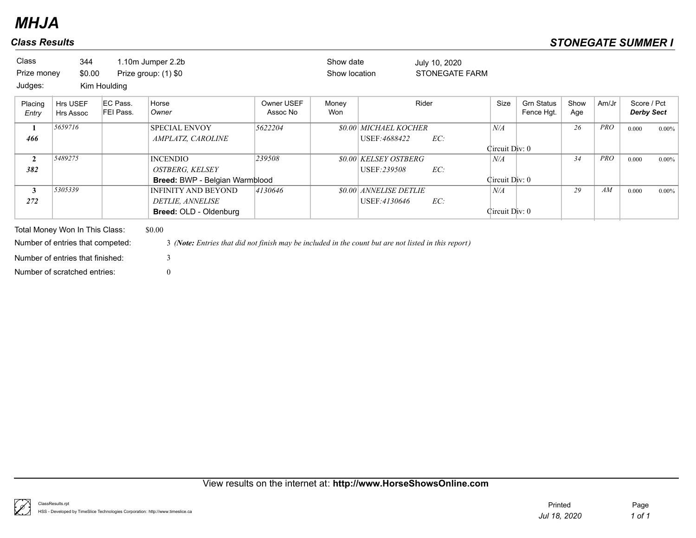| Class<br>Prize money<br>Judges: | 344<br>\$0.00                                                                                          | Kim Houlding          | 1.10m Jumper 2.2b<br>Prize group: (1) \$0                                                                           |                        | Show date<br>Show location |                                               | July 10, 2020<br><b>STONEGATE FARM</b> |                       |                                 |             |            |                                  |          |
|---------------------------------|--------------------------------------------------------------------------------------------------------|-----------------------|---------------------------------------------------------------------------------------------------------------------|------------------------|----------------------------|-----------------------------------------------|----------------------------------------|-----------------------|---------------------------------|-------------|------------|----------------------------------|----------|
| Placing<br>Entry                | Hrs USEF<br><b>Hrs Assoc</b>                                                                           | EC Pass.<br>FEI Pass. | Horse<br>Owner                                                                                                      | Owner USEF<br>Assoc No | Money<br>Won               |                                               | Rider                                  | Size                  | <b>Grn Status</b><br>Fence Hgt. | Show<br>Age | Am/Jr      | Score / Pct<br><b>Derby Sect</b> |          |
| 1<br>466                        | 5659716                                                                                                |                       | <b>SPECIAL ENVOY</b><br>AMPLATZ, CAROLINE                                                                           | 5622204                |                            | <b>\$0.00 MICHAEL KOCHER</b><br>USEF: 4688422 | EC:                                    | N/A<br>Circuit Div: 0 |                                 | 26          | <b>PRO</b> | 0.000                            | $0.00\%$ |
| $\overline{2}$<br>382           | 5489275                                                                                                |                       | <b>INCENDIO</b><br><b>OSTBERG, KELSEY</b><br><b>Breed: BWP - Belgian Warmblood</b>                                  | 239508                 |                            | <i>SO.OO KELSEY OSTBERG</i><br>USEF: 239508   | EC:                                    | N/A<br>Circuit Div: 0 |                                 | 34          | <b>PRO</b> | 0.000                            | $0.00\%$ |
| $\mathbf{3}$<br>272             | 5305339                                                                                                |                       | <b>INFINITY AND BEYOND</b><br>DETLIE, ANNELISE<br><b>Breed: OLD - Oldenburg</b>                                     | 4130646                |                            | <b>\$0.00 ANNELISE DETLIE</b><br>USEF:4130646 | EC:                                    | N/A<br>Circuit Div: 0 |                                 | 29          | AM         | 0.000                            | $0.00\%$ |
|                                 | Total Money Won In This Class:<br>Number of entries that competed:<br>Number of entries that finished: |                       | \$0.00<br>3 (Note: Entries that did not finish may be included in the count but are not listed in this report)<br>3 |                        |                            |                                               |                                        |                       |                                 |             |            |                                  |          |

View results on the internet at: **http://www.HorseShowsOnline.com**

Number of scratched entries: 0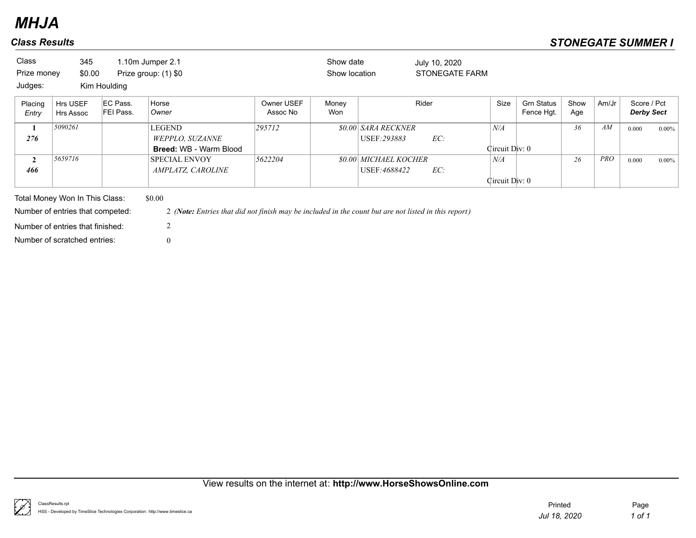| Class<br>Prize money | 345<br>\$0.00                    |                       | 1.10m Jumper 2.1<br>Prize group: (1) \$0                                                             |                        | Show date<br>Show location |                                     | July 10, 2020<br>STONEGATE FARM |                             |                                 |             |            |                                  |          |
|----------------------|----------------------------------|-----------------------|------------------------------------------------------------------------------------------------------|------------------------|----------------------------|-------------------------------------|---------------------------------|-----------------------------|---------------------------------|-------------|------------|----------------------------------|----------|
| Judges:              |                                  | Kim Houlding          |                                                                                                      |                        |                            |                                     |                                 |                             |                                 |             |            |                                  |          |
| Placing<br>Entry     | Hrs USEF<br>Hrs Assoc            | EC Pass.<br>FEI Pass. | Horse<br>Owner                                                                                       | Owner USEF<br>Assoc No | Money<br>Won               |                                     | Rider                           | Size                        | <b>Grn Status</b><br>Fence Hgt. | Show<br>Age | Am/Jr      | Score / Pct<br><b>Derby Sect</b> |          |
| 1<br>276             | 5090261                          |                       | <b>LEGEND</b><br>WEPPLO, SUZANNE                                                                     | 295712                 |                            | \$0.00 SARA RECKNER<br>USEF: 293883 | EC:                             | N/A                         |                                 | 36          | AM         | 0.000                            | $0.00\%$ |
| $\mathbf{2}$         | 5659716                          |                       | <b>Breed: WB - Warm Blood</b><br><b>SPECIAL ENVOY</b>                                                | 5622204                |                            | <b>\$0.00 MICHAEL KOCHER</b>        |                                 | Circuit Div: 0<br>$N\!/\!A$ |                                 | 26          | <b>PRO</b> | 0.000                            | $0.00\%$ |
| 466                  |                                  |                       | <i>AMPLATZ, CAROLINE</i>                                                                             |                        |                            | USEF: 4688422                       | EC:                             |                             |                                 |             |            |                                  |          |
|                      |                                  |                       |                                                                                                      |                        |                            |                                     |                                 | Circuit Div: 0              |                                 |             |            |                                  |          |
|                      | Total Money Won In This Class:   |                       | \$0.00                                                                                               |                        |                            |                                     |                                 |                             |                                 |             |            |                                  |          |
|                      | Number of entries that competed: |                       | 2 (Note: Entries that did not finish may be included in the count but are not listed in this report) |                        |                            |                                     |                                 |                             |                                 |             |            |                                  |          |
|                      | Number of entries that finished: |                       |                                                                                                      |                        |                            |                                     |                                 |                             |                                 |             |            |                                  |          |
|                      | Number of scratched entries:     |                       | $\overline{0}$                                                                                       |                        |                            |                                     |                                 |                             |                                 |             |            |                                  |          |

## View results on the internet at: **http://www.HorseShowsOnline.com**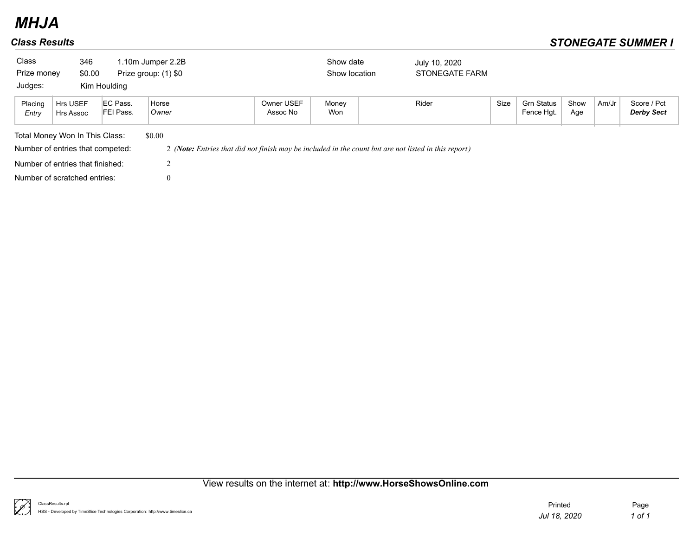| Class            | 346                                                                                                                                                                        |              | 1.10m Jumper 2.2B    |                        | Show date     | July 10, 2020  |      |                                 |             |       |                                  |  |
|------------------|----------------------------------------------------------------------------------------------------------------------------------------------------------------------------|--------------|----------------------|------------------------|---------------|----------------|------|---------------------------------|-------------|-------|----------------------------------|--|
| Prize money      | \$0.00                                                                                                                                                                     |              | Prize group: (1) \$0 |                        | Show location | STONEGATE FARM |      |                                 |             |       |                                  |  |
| Judges:          |                                                                                                                                                                            | Kim Houlding |                      |                        |               |                |      |                                 |             |       |                                  |  |
| Placing<br>Entry | EC Pass.<br>Horse<br>Hrs USEF<br>FEI Pass.<br>Owner<br>Hrs Assoc                                                                                                           |              |                      | Owner USEF<br>Assoc No | Money<br>Won  | Rider          | Size | <b>Grn Status</b><br>Fence Hgt. | Show<br>Age | Am/Jr | Score / Pct<br><b>Derby Sect</b> |  |
|                  |                                                                                                                                                                            |              | \$0.00               |                        |               |                |      |                                 |             |       |                                  |  |
|                  | Total Money Won In This Class:<br>Number of entries that competed:<br>2 (Note: Entries that did not finish may be included in the count but are not listed in this report) |              |                      |                        |               |                |      |                                 |             |       |                                  |  |
|                  | Number of entries that finished:                                                                                                                                           |              |                      |                        |               |                |      |                                 |             |       |                                  |  |
|                  | Number of scratched entries:<br>$\theta$                                                                                                                                   |              |                      |                        |               |                |      |                                 |             |       |                                  |  |

## View results on the internet at: **http://www.HorseShowsOnline.com**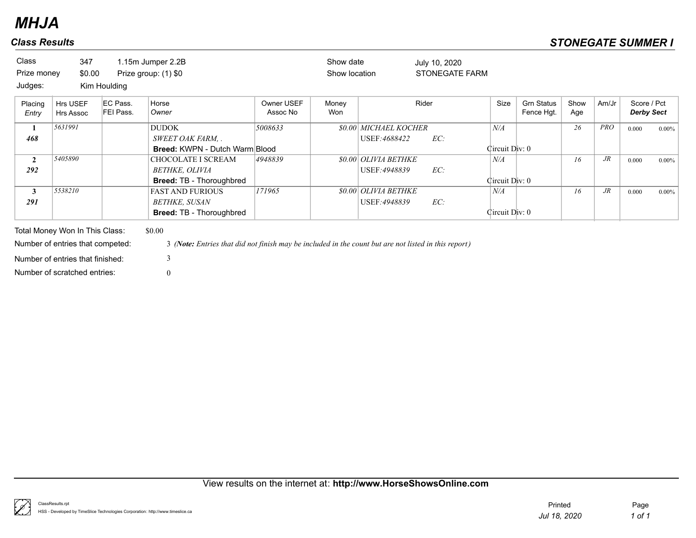| Class            | 347                                 |                       | 1.15m Jumper 2.2B                                                                                    |                        | Show date     |                                   | July 10, 2020  |                |                                 |             |            |                                  |          |
|------------------|-------------------------------------|-----------------------|------------------------------------------------------------------------------------------------------|------------------------|---------------|-----------------------------------|----------------|----------------|---------------------------------|-------------|------------|----------------------------------|----------|
| Prize money      | \$0.00                              |                       | Prize group: (1) \$0                                                                                 |                        | Show location |                                   | STONEGATE FARM |                |                                 |             |            |                                  |          |
| Judges:          |                                     | Kim Houlding          |                                                                                                      |                        |               |                                   |                |                |                                 |             |            |                                  |          |
| Placing<br>Entry | <b>Hrs USEF</b><br><b>Hrs Assoc</b> | EC Pass.<br>FEI Pass. | Horse<br>Owner                                                                                       | Owner USEF<br>Assoc No | Money<br>Won  |                                   | Rider          | Size           | <b>Grn Status</b><br>Fence Hgt. | Show<br>Age | Am/Jr      | Score / Pct<br><b>Derby Sect</b> |          |
| 1                | 5631991                             |                       | <b>DUDOK</b>                                                                                         | 5008633                |               | <b>\$0.00 MICHAEL KOCHER</b>      |                | N/A            |                                 | 26          | <b>PRO</b> | 0.000                            | $0.00\%$ |
| 468              |                                     |                       | SWEET OAK FARM, .                                                                                    |                        |               | USEF: 4688422                     | EC:            |                |                                 |             |            |                                  |          |
|                  |                                     |                       | <b>Breed: KWPN - Dutch Warm Blood</b>                                                                |                        |               |                                   |                | Circuit Div: 0 |                                 |             |            |                                  |          |
| $\overline{2}$   | 5405890                             |                       | CHOCOLATE I SCREAM                                                                                   | 4948839                |               | <b><i>SO.00 OLIVIA BETHKE</i></b> |                | N/A            |                                 | 16          | $J\!R$     | 0.000                            | $0.00\%$ |
| 292              |                                     |                       | BETHKE, OLIVIA                                                                                       |                        |               | USEF: 4948839                     | EC:            |                |                                 |             |            |                                  |          |
|                  |                                     |                       | <b>Breed: TB - Thoroughbred</b>                                                                      |                        |               |                                   |                | Circuit Div: 0 |                                 |             |            |                                  |          |
| $\mathbf{3}$     | 5538210                             |                       | <b>FAST AND FURIOUS</b>                                                                              | 171965                 |               | <b>\$0.00 OLIVIA BETHKE</b>       |                | N/A            |                                 | 16          | $J\!R$     | 0.000                            | $0.00\%$ |
| 291              |                                     |                       | <b>BETHKE, SUSAN</b>                                                                                 |                        |               | USEF: 4948839                     | EC:            |                |                                 |             |            |                                  |          |
|                  |                                     |                       | <b>Breed: TB - Thoroughbred</b>                                                                      |                        |               |                                   |                | Circuit Div: 0 |                                 |             |            |                                  |          |
|                  | Total Money Won In This Class:      |                       | \$0.00                                                                                               |                        |               |                                   |                |                |                                 |             |            |                                  |          |
|                  | Number of entries that competed:    |                       | 3 (Note: Entries that did not finish may be included in the count but are not listed in this report) |                        |               |                                   |                |                |                                 |             |            |                                  |          |
|                  | Number of entries that finished:    |                       | 3                                                                                                    |                        |               |                                   |                |                |                                 |             |            |                                  |          |

Number of scratched entries: 0

View results on the internet at: **http://www.HorseShowsOnline.com**

₿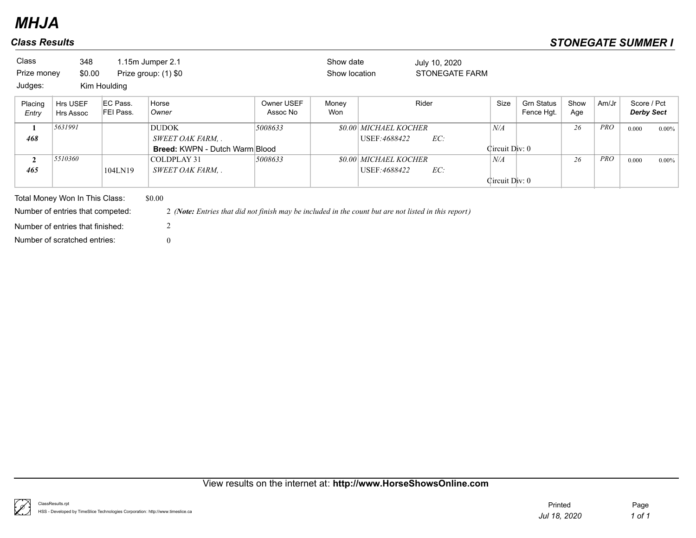| Class            | 348                              |                       | 1.15m Jumper 2.1                                                                                     |                        | Show date     |                              | July 10, 2020         |                |                                 |             |            |                                  |          |
|------------------|----------------------------------|-----------------------|------------------------------------------------------------------------------------------------------|------------------------|---------------|------------------------------|-----------------------|----------------|---------------------------------|-------------|------------|----------------------------------|----------|
| Prize money      | \$0.00                           |                       | Prize group: (1) \$0                                                                                 |                        | Show location |                              | <b>STONEGATE FARM</b> |                |                                 |             |            |                                  |          |
| Judges:          |                                  | Kim Houlding          |                                                                                                      |                        |               |                              |                       |                |                                 |             |            |                                  |          |
| Placing<br>Entry | <b>Hrs USEF</b><br>Hrs Assoc     | EC Pass.<br>FEI Pass. | Horse<br>Owner                                                                                       | Owner USEF<br>Assoc No | Money<br>Won  |                              | Rider                 | Size           | <b>Grn Status</b><br>Fence Hgt. | Show<br>Age | Am/Jr      | Score / Pct<br><b>Derby Sect</b> |          |
| 1                | 5631991                          |                       | <b>DUDOK</b>                                                                                         | 5008633                |               | <b>\$0.00 MICHAEL KOCHER</b> |                       | N/A            |                                 | 26          | <b>PRO</b> | 0.000                            | $0.00\%$ |
| 468              |                                  |                       | SWEET OAK FARM, .                                                                                    |                        |               | USEF:4688422                 | EC:                   |                |                                 |             |            |                                  |          |
|                  |                                  |                       | <b>Breed: KWPN - Dutch Warm Blood</b>                                                                |                        |               |                              |                       | Circuit Div: 0 |                                 |             |            |                                  |          |
| $\overline{2}$   | 5510360                          |                       | COLDPLAY 31                                                                                          | 5008633                |               | <b>\$0.00 MICHAEL KOCHER</b> |                       | N/A            |                                 | 26          | <b>PRO</b> | 0.000                            | $0.00\%$ |
| 465              |                                  | 104LN19               | SWEET OAK FARM, .                                                                                    |                        |               | USEF:4688422                 | EC:                   |                |                                 |             |            |                                  |          |
|                  |                                  |                       |                                                                                                      |                        |               |                              |                       | Circuit Div: 0 |                                 |             |            |                                  |          |
|                  | Total Money Won In This Class:   |                       | \$0.00                                                                                               |                        |               |                              |                       |                |                                 |             |            |                                  |          |
|                  | Number of entries that competed: |                       | 2 (Note: Entries that did not finish may be included in the count but are not listed in this report) |                        |               |                              |                       |                |                                 |             |            |                                  |          |
|                  | Number of entries that finished: |                       | 2                                                                                                    |                        |               |                              |                       |                |                                 |             |            |                                  |          |
|                  | Number of scratched entries:     |                       |                                                                                                      |                        |               |                              |                       |                |                                 |             |            |                                  |          |

## View results on the internet at: **http://www.HorseShowsOnline.com**

ţ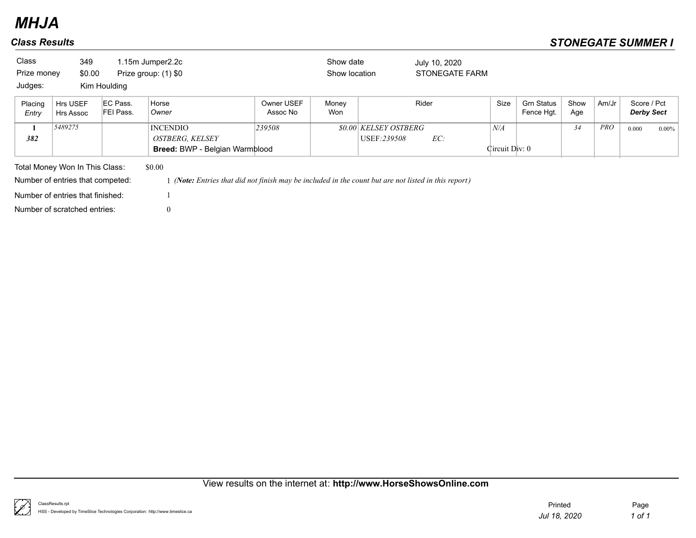| Class<br>Prize money<br>Judges: | 349<br>\$0.00                    | Kim Houlding          | 1.15m Jumper2.2c<br>Prize group: (1) \$0                                                           |                        | Show date<br>Show location |                                            | July 10, 2020<br><b>STONEGATE FARM</b> |                       |                                 |             |            |                                  |          |
|---------------------------------|----------------------------------|-----------------------|----------------------------------------------------------------------------------------------------|------------------------|----------------------------|--------------------------------------------|----------------------------------------|-----------------------|---------------------------------|-------------|------------|----------------------------------|----------|
| Placing<br>Entry                | Hrs USEF<br>Hrs Assoc            | EC Pass.<br>FEI Pass. | Horse<br>Owner                                                                                     | Owner USEF<br>Assoc No | Money<br>Won               |                                            | Rider                                  | Size                  | <b>Grn Status</b><br>Fence Hgt. | Show<br>Age | Am/Jr      | Score / Pct<br><b>Derby Sect</b> |          |
| 1<br>382                        | 5489275                          |                       | <b>INCENDIO</b><br><b>OSTBERG, KELSEY</b><br>Breed: BWP - Belgian Warmblood                        | 239508                 |                            | <i>SO.OO KELSEY OSTBERG</i><br>USEF:239508 | EC:                                    | N/A<br>Circuit Div: 0 |                                 | 34          | <b>PRO</b> | 0.000                            | $0.00\%$ |
|                                 | Total Money Won In This Class:   |                       | \$0.00                                                                                             |                        |                            |                                            |                                        |                       |                                 |             |            |                                  |          |
|                                 | Number of entries that competed: |                       | (Note: Entries that did not finish may be included in the count but are not listed in this report) |                        |                            |                                            |                                        |                       |                                 |             |            |                                  |          |
|                                 | Number of entries that finished: |                       |                                                                                                    |                        |                            |                                            |                                        |                       |                                 |             |            |                                  |          |
|                                 | Number of scratched entries:     |                       | $\overline{0}$                                                                                     |                        |                            |                                            |                                        |                       |                                 |             |            |                                  |          |

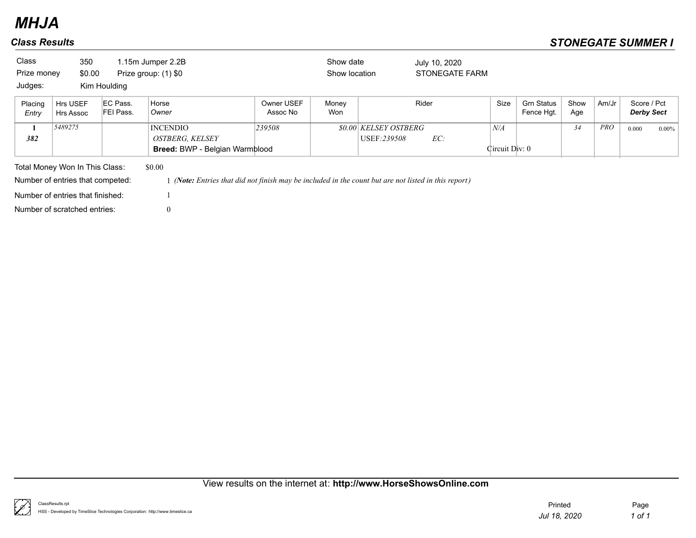| Class<br>Prize money<br>Judges: | 350<br>\$0.00                                                      | Kim Houlding          | 1.15m Jumper 2.2B<br>Prize group: (1) \$0                                                                    |                        | Show date<br>Show location |                                            | July 10, 2020<br><b>STONEGATE FARM</b> |                       |                                 |             |       |                                  |          |
|---------------------------------|--------------------------------------------------------------------|-----------------------|--------------------------------------------------------------------------------------------------------------|------------------------|----------------------------|--------------------------------------------|----------------------------------------|-----------------------|---------------------------------|-------------|-------|----------------------------------|----------|
| Placing<br>Entry                | Hrs USEF<br>Hrs Assoc                                              | EC Pass.<br>FEI Pass. | Horse<br>Owner                                                                                               | Owner USEF<br>Assoc No | Money<br>Won               |                                            | Rider                                  | Size                  | <b>Grn Status</b><br>Fence Hgt. | Show<br>Age | Am/Jr | Score / Pct<br><b>Derby Sect</b> |          |
| 1<br>382                        | 5489275                                                            |                       | <b>INCENDIO</b><br><b>OSTBERG, KELSEY</b><br>Breed: BWP - Belgian Warmblood                                  | 239508                 |                            | <i>SO.OO KELSEY OSTBERG</i><br>USEF:239508 | EC:                                    | N/A<br>Circuit Div: 0 |                                 | 34          | PRO   | 0.000                            | $0.00\%$ |
|                                 | Total Money Won In This Class:<br>Number of entries that competed: |                       | \$0.00<br>(Note: Entries that did not finish may be included in the count but are not listed in this report) |                        |                            |                                            |                                        |                       |                                 |             |       |                                  |          |
|                                 | Number of entries that finished:                                   |                       |                                                                                                              |                        |                            |                                            |                                        |                       |                                 |             |       |                                  |          |
|                                 | Number of scratched entries:                                       |                       | $\mathbf{0}$                                                                                                 |                        |                            |                                            |                                        |                       |                                 |             |       |                                  |          |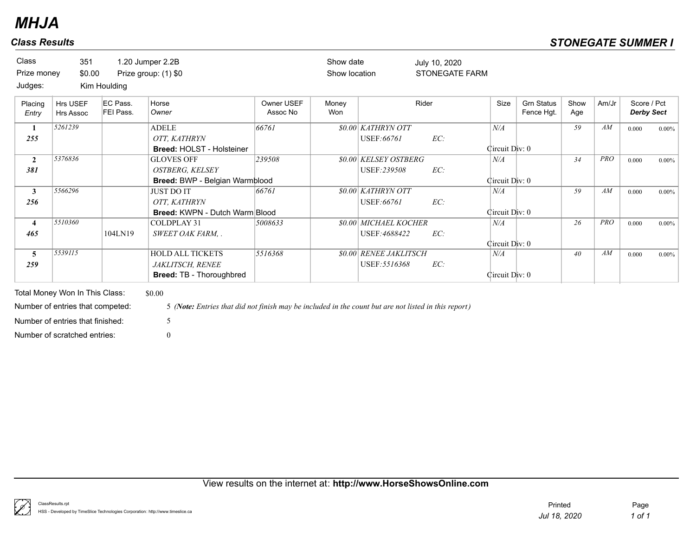| Class<br>Prize money           | 351<br>\$0.00         |                              | 1.20 Jumper 2.2B<br>Prize group: (1) \$0                                              |                        | Show date<br>Show location |                                                | July 10, 2020<br><b>STONEGATE FARM</b> |                       |                                 |             |            |                                  |          |
|--------------------------------|-----------------------|------------------------------|---------------------------------------------------------------------------------------|------------------------|----------------------------|------------------------------------------------|----------------------------------------|-----------------------|---------------------------------|-------------|------------|----------------------------------|----------|
| Judges:                        |                       | Kim Houlding                 |                                                                                       |                        |                            |                                                |                                        |                       |                                 |             |            |                                  |          |
| Placing<br>Entry               | Hrs USEF<br>Hrs Assoc | EC Pass.<br><b>FEI Pass.</b> | Horse<br>Owner                                                                        | Owner USEF<br>Assoc No | Money<br>Won               |                                                | Rider                                  | Size                  | <b>Grn Status</b><br>Fence Hgt. | Show<br>Age | Am/Jr      | Score / Pct<br><b>Derby Sect</b> |          |
| 255                            | 5261239               |                              | <b>ADELE</b><br>OTT, KATHRYN<br><b>Breed: HOLST - Holsteiner</b>                      | 66761                  |                            | <b>\$0.00 KATHRYN OTT</b><br>USEF:66761        | EC:                                    | N/A<br>Circuit Div: 0 |                                 | 59          | AM         | 0.000                            | $0.00\%$ |
| $\overline{2}$<br>381          | 5376836               |                              | <b>GLOVES OFF</b><br>OSTBERG, KELSEY<br>Breed: BWP - Belgian Warmblood                | 239508                 |                            | <b>\$0.00 KELSEY OSTBERG</b><br>USEF: 239508   | EC:                                    | N/A<br>Circuit Div: 0 |                                 | 34          | <b>PRO</b> | 0.000                            | $0.00\%$ |
| 3 <sup>1</sup><br>256          | 5566296               |                              | <b>JUST DO IT</b><br>OTT, KATHRYN<br>Breed: KWPN - Dutch Warm Blood                   | 66761                  |                            | <i>SO.00 KATHRYN OTT</i><br>USEF:66761         | EC:                                    | N/A<br>Circuit Div: 0 |                                 | 59          | AM         | 0.000                            | 0.00%    |
| $\overline{\mathbf{4}}$<br>465 | 5510360               | 104LN19                      | <b>COLDPLAY 31</b><br>SWEET OAK FARM, .                                               | 5008633                |                            | <b>\$0.00 MICHAEL KOCHER</b><br>USEF: 4688422  | EC:                                    | N/A<br>Circuit Div: 0 |                                 | 26          | <b>PRO</b> | 0.000                            | 0.00%    |
| 5<br>259                       | 5539115               |                              | <b>HOLD ALL TICKETS</b><br><b>JAKLITSCH, RENEE</b><br><b>Breed: TB - Thoroughbred</b> | 5516368                |                            | <b>\$0.00 RENEE JAKLITSCH</b><br>USEF: 5516368 | EC:                                    | N/A<br>Circuit Div: 0 |                                 | 40          | AM         | 0.000                            | 0.00%    |

Total Money Won In This Class: \$0.00 Number of scratched entries: 0 Number of entries that finished: 5

Number of entries that competed: 5 *(Note: Entries that did not finish may be included in the count but are not listed in this report)*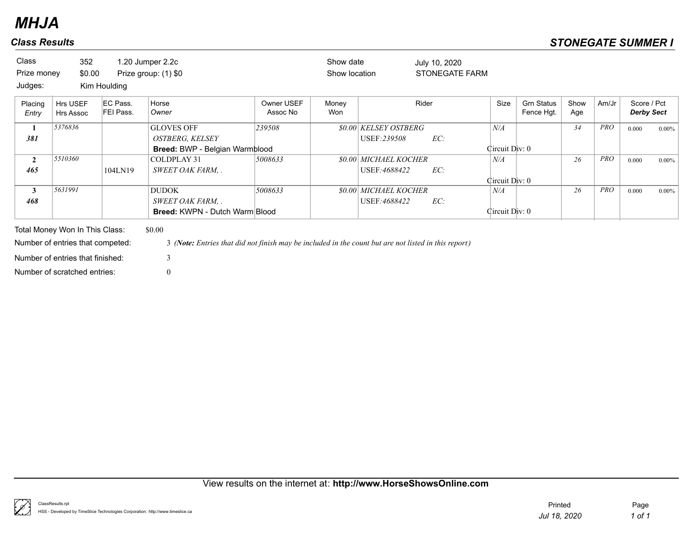| <b>Class</b><br>Prize money<br>Judges: | 352<br>\$0.00                                                      | Kim Houlding          | 1.20 Jumper 2.2c<br>Prize group: (1) \$0                                                                       |                        | Show date<br>Show location |                              | July 10, 2020 | <b>STONEGATE FARM</b> |                |                                 |             |            |                                  |          |
|----------------------------------------|--------------------------------------------------------------------|-----------------------|----------------------------------------------------------------------------------------------------------------|------------------------|----------------------------|------------------------------|---------------|-----------------------|----------------|---------------------------------|-------------|------------|----------------------------------|----------|
| Placing<br>Entry                       | Hrs USEF<br>Hrs Assoc                                              | EC Pass.<br>FEI Pass. | Horse<br>Owner                                                                                                 | Owner USEF<br>Assoc No | Money<br>Won               |                              | Rider         |                       | Size           | <b>Grn Status</b><br>Fence Hgt. | Show<br>Age | Am/Jr      | Score / Pct<br><b>Derby Sect</b> |          |
| 1                                      | 5376836                                                            |                       | <b>GLOVES OFF</b>                                                                                              | 239508                 |                            | <i>SO.OO KELSEY OSTBERG</i>  |               |                       | N/A            |                                 | 34          | <b>PRO</b> | 0.000                            | $0.00\%$ |
| 381                                    |                                                                    |                       | <b>OSTBERG, KELSEY</b>                                                                                         |                        |                            | USEF:239508                  | EC:           |                       |                |                                 |             |            |                                  |          |
|                                        |                                                                    |                       | Breed: BWP - Belgian Warmblood                                                                                 |                        |                            |                              |               |                       | Circuit Div: 0 |                                 |             |            |                                  |          |
| $\mathbf{2}$                           | 5510360                                                            |                       | COLDPLAY 31                                                                                                    | 5008633                |                            | <b>\$0.00 MICHAEL KOCHER</b> |               |                       | N/A            |                                 | 26          | PRO        | 0.000                            | $0.00\%$ |
| 465                                    |                                                                    | 104LN19               | SWEET OAK FARM, .                                                                                              |                        |                            | USEF:4688422                 | EC:           |                       |                |                                 |             |            |                                  |          |
|                                        |                                                                    |                       |                                                                                                                |                        |                            |                              |               |                       | Circuit Div: 0 |                                 |             |            |                                  |          |
| 3                                      | 5631991                                                            |                       | DUDOK                                                                                                          | 5008633                |                            | <b>\$0.00 MICHAEL KOCHER</b> |               |                       | N/A            |                                 | 26          | <b>PRO</b> | 0.000                            | $0.00\%$ |
| 468                                    |                                                                    |                       | SWEET OAK FARM, .                                                                                              |                        |                            | USEF:4688422                 | EC:           |                       |                |                                 |             |            |                                  |          |
|                                        |                                                                    |                       | <b>Breed: KWPN - Dutch Warm Blood</b>                                                                          |                        |                            |                              |               |                       | Circuit Div: 0 |                                 |             |            |                                  |          |
|                                        | Total Money Won In This Class:<br>Number of entries that competed: |                       | \$0.00<br>3 (Note: Entries that did not finish may be included in the count but are not listed in this report) |                        |                            |                              |               |                       |                |                                 |             |            |                                  |          |

Number of scratched entries: 0

Number of entries that finished: 3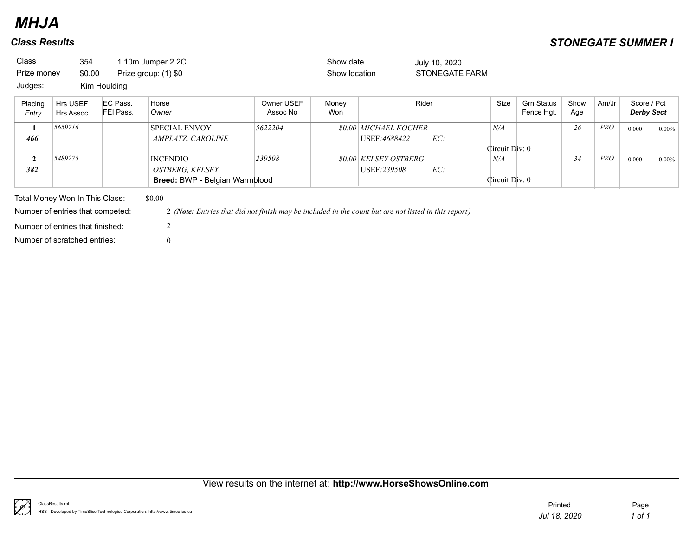| Class<br>Prize money<br>Judges: | 354<br>\$0.00                                                                                                                          | Kim Houlding          | 1.10m Jumper 2.2C<br>Prize group: (1) \$0                                                                                                        |                        | Show date<br>Show location |                                               | July 10, 2020<br><b>STONEGATE FARM</b> |                       |                                 |             |            |                                  |          |
|---------------------------------|----------------------------------------------------------------------------------------------------------------------------------------|-----------------------|--------------------------------------------------------------------------------------------------------------------------------------------------|------------------------|----------------------------|-----------------------------------------------|----------------------------------------|-----------------------|---------------------------------|-------------|------------|----------------------------------|----------|
| Placing<br>Entry                | Hrs USEF<br>Hrs Assoc                                                                                                                  | EC Pass.<br>FEI Pass. | Horse<br>Owner                                                                                                                                   | Owner USEF<br>Assoc No | Money<br>Won               |                                               | Rider                                  | Size                  | <b>Grn Status</b><br>Fence Hgt. | Show<br>Age | Am/Jr      | Score / Pct<br><b>Derby Sect</b> |          |
| 1<br>466                        | 5659716                                                                                                                                |                       | <b>SPECIAL ENVOY</b><br>AMPLATZ, CAROLINE                                                                                                        | 5622204                |                            | <b>\$0.00 MICHAEL KOCHER</b><br>USEF: 4688422 | EC:                                    | N/A<br>Circuit Div: 0 |                                 | 26          | <b>PRO</b> | 0.000                            | $0.00\%$ |
| $\overline{2}$<br>382           | 5489275                                                                                                                                |                       | <b>INCENDIO</b><br><b>OSTBERG, KELSEY</b><br>Breed: BWP - Belgian Warmblood                                                                      | 239508                 |                            | <i>SO.OO KELSEY OSTBERG</i><br>USEF:239508    | EC:                                    | N/A<br>Circuit Div: 0 |                                 | 34          | <b>PRO</b> | 0.000                            | $0.00\%$ |
|                                 | Total Money Won In This Class:<br>Number of entries that competed:<br>Number of entries that finished:<br>Number of scratched entries: |                       | \$0.00<br>2 (Note: Entries that did not finish may be included in the count but are not listed in this report)<br>$\overline{2}$<br>$\mathbf{0}$ |                        |                            |                                               |                                        |                       |                                 |             |            |                                  |          |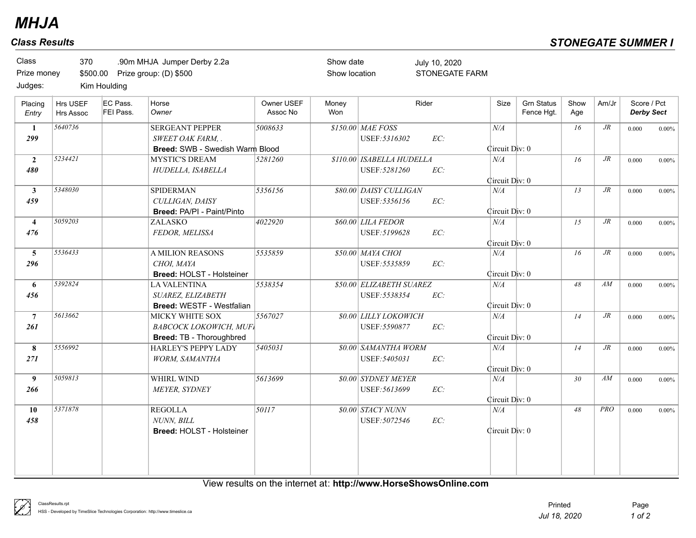| Class            | 370                          |                       | .90m MHJA Jumper Derby 2.2a     |                        | Show date     |                                         | July 10, 2020         |                |                                 |                 |            |                                  |          |
|------------------|------------------------------|-----------------------|---------------------------------|------------------------|---------------|-----------------------------------------|-----------------------|----------------|---------------------------------|-----------------|------------|----------------------------------|----------|
| Prize money      |                              |                       | \$500.00 Prize group: (D) \$500 |                        | Show location |                                         | <b>STONEGATE FARM</b> |                |                                 |                 |            |                                  |          |
| Judges:          |                              | Kim Houlding          |                                 |                        |               |                                         |                       |                |                                 |                 |            |                                  |          |
| Placing<br>Entry | Hrs USEF<br><b>Hrs Assoc</b> | EC Pass.<br>FEI Pass. | Horse<br>Owner                  | Owner USEF<br>Assoc No | Money<br>Won  |                                         | Rider                 | Size           | <b>Grn Status</b><br>Fence Hqt. | Show<br>Age     | Am/Jr      | Score / Pct<br><b>Derby Sect</b> |          |
| 1                | 5640736                      |                       | <b>SERGEANT PEPPER</b>          | 5008633                |               | <b>\$150.00 MAE FOSS</b>                |                       | N/A            |                                 | 16              | $J\!R$     | 0.000                            | $0.00\%$ |
| 299              |                              |                       | SWEET OAK FARM, .               |                        |               | USEF: 5316302                           | EC:                   |                |                                 |                 |            |                                  |          |
|                  |                              |                       | Breed: SWB - Swedish Warm Blood |                        |               |                                         |                       | Circuit Div: 0 |                                 |                 |            |                                  |          |
| $\overline{2}$   | 5234421                      |                       | <b>MYSTIC'S DREAM</b>           | 5281260                |               | <i><b>\$110.00 ISABELLA HUDELLA</b></i> |                       | $N\!/\!A$      |                                 | 16              | $J\!R$     | 0.000                            | $0.00\%$ |
| 480              |                              |                       | HUDELLA, ISABELLA               |                        |               | USEF: 5281260                           | EC:                   |                |                                 |                 |            |                                  |          |
|                  |                              |                       |                                 |                        |               |                                         |                       | Circuit Div: 0 |                                 |                 |            |                                  |          |
| 3 <sup>1</sup>   | 5348030                      |                       | <b>SPIDERMAN</b>                | 5356156                |               | <b>\$80.00 DAISY CULLIGAN</b>           |                       | N/A            |                                 | 13              | $J\!R$     | 0.000                            | $0.00\%$ |
| 459              |                              |                       | CULLIGAN, DAISY                 |                        |               | USEF: 5356156                           | EC:                   |                |                                 |                 |            |                                  |          |
|                  |                              |                       | Breed: PA/PI - Paint/Pinto      |                        |               |                                         |                       | Circuit Div: 0 |                                 |                 |            |                                  |          |
| $\overline{4}$   | 5059203                      |                       | ZALASKO                         | 4022920                |               | <b>\$60.00 LILA FEDOR</b>               |                       | N/A            |                                 | 15              | $J\!R$     | 0.000                            | $0.00\%$ |
| 476              |                              |                       | FEDOR, MELISSA                  |                        |               | USEF: 5199628                           | EC:                   |                |                                 |                 |            |                                  |          |
|                  |                              |                       |                                 |                        |               |                                         |                       | Circuit Div: 0 |                                 |                 |            |                                  |          |
| 5 <sup>5</sup>   | 5536433                      |                       | <b>A MILION REASONS</b>         | 5535859                |               | \$50.00 MAYA CHOI                       |                       | N/A            |                                 | 16              | $J\!R$     | 0.000                            | $0.00\%$ |
| 296              |                              |                       | CHOI, MAYA                      |                        |               | USEF: 5535859                           | EC:                   |                |                                 |                 |            |                                  |          |
|                  |                              |                       | Breed: HOLST - Holsteiner       |                        |               |                                         |                       | Circuit Div: 0 |                                 |                 |            |                                  |          |
| 6                | 5392824                      |                       | <b>LA VALENTINA</b>             | 5538354                |               | <b>\$50.00 ELIZABETH SUAREZ</b>         |                       | N/A            |                                 | 48              | AM         | 0.000                            | $0.00\%$ |
| 456              |                              |                       | SUAREZ, ELIZABETH               |                        |               | USEF: 5538354                           | EC:                   |                |                                 |                 |            |                                  |          |
|                  |                              |                       | Breed: WESTF - Westfalian       |                        |               |                                         |                       | Circuit Div: 0 |                                 |                 |            |                                  |          |
| $7\phantom{.0}$  | 5613662                      |                       | MICKY WHITE SOX                 | 5567027                |               | \$0.00 LILLY LOKOWICH                   |                       | $N\!/\!A$      |                                 | 14              | $J\!R$     | 0.000                            | $0.00\%$ |
| 261              |                              |                       | <b>BABCOCK LOKOWICH, MUFI</b>   |                        |               | USEF: 5590877                           | EC:                   |                |                                 |                 |            |                                  |          |
|                  |                              |                       | <b>Breed: TB - Thoroughbred</b> |                        |               |                                         |                       | Circuit Div: 0 |                                 |                 |            |                                  |          |
| 8                | 5556992                      |                       | HARLEY'S PEPPY LADY             | 5405031                |               | \$0.00 SAMANTHA WORM                    |                       | N/A            |                                 | 14              | $J\!R$     | 0.000                            | $0.00\%$ |
| 271              |                              |                       | <b>WORM, SAMANTHA</b>           |                        |               | USEF: 5405031                           | EC:                   |                |                                 |                 |            |                                  |          |
|                  |                              |                       |                                 |                        |               |                                         |                       | Circuit Div: 0 |                                 |                 |            |                                  |          |
| 9                | 5059813                      |                       | WHIRL WIND                      | 5613699                |               | <b>\$0.00 SYDNEY MEYER</b>              |                       | N/A            |                                 | 30 <sup>°</sup> | AM         | 0.000                            | $0.00\%$ |
| 266              |                              |                       | MEYER, SYDNEY                   |                        |               | USEF: 5613699                           | EC:                   |                |                                 |                 |            |                                  |          |
|                  |                              |                       |                                 |                        |               |                                         |                       | Circuit Div: 0 |                                 |                 |            |                                  |          |
| 10               | 5371878                      |                       | <b>REGOLLA</b>                  | $\overline{50117}$     |               | <b>\$0.00 STACY NUNN</b>                |                       | N/A            |                                 | 48              | <b>PRO</b> | 0.000                            | $0.00\%$ |
| 458              |                              |                       | NUNN, BILL                      |                        |               | USEF: 5072546                           | EC:                   |                |                                 |                 |            |                                  |          |
|                  |                              |                       | Breed: HOLST - Holsteiner       |                        |               |                                         |                       | Circuit Div: 0 |                                 |                 |            |                                  |          |
|                  |                              |                       |                                 |                        |               |                                         |                       |                |                                 |                 |            |                                  |          |
|                  |                              |                       |                                 |                        |               |                                         |                       |                |                                 |                 |            |                                  |          |
|                  |                              |                       |                                 |                        |               |                                         |                       |                |                                 |                 |            |                                  |          |
|                  |                              |                       |                                 |                        |               |                                         |                       |                |                                 |                 |            |                                  |          |

View results on the internet at: **http://www.HorseShowsOnline.com**

₿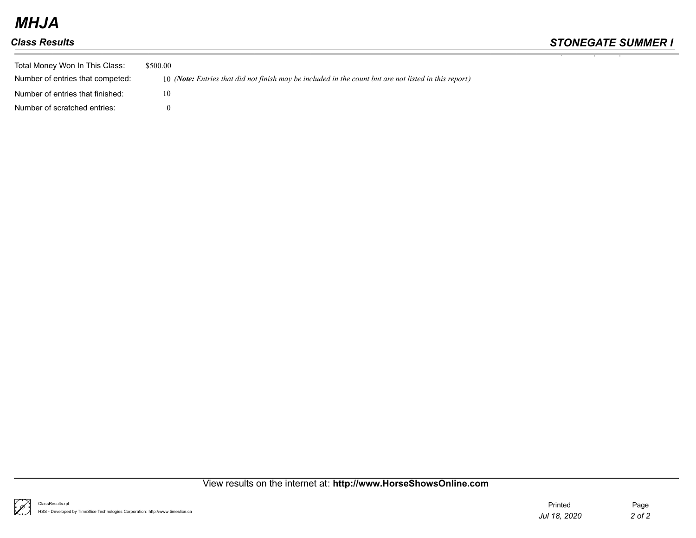| Total Money Won In This Class:<br>Number of entries that competed: | \$500.00<br>10 (Note: Entries that did not finish may be included in the count but are not listed in this report) |
|--------------------------------------------------------------------|-------------------------------------------------------------------------------------------------------------------|
| Number of entries that finished:                                   | 10                                                                                                                |
| Number of scratched entries:                                       |                                                                                                                   |

## View results on the internet at: **http://www.HorseShowsOnline.com**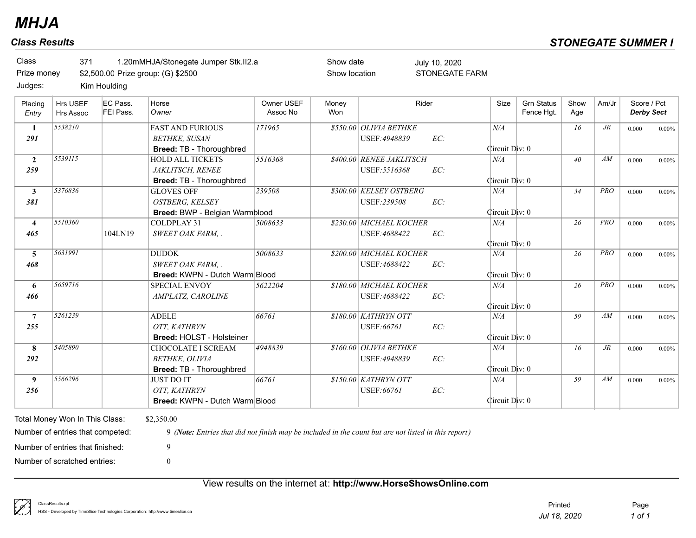\$2,500.00 Prize group: (G) \$2500 371 1.20mMHJA/Stonegate Jumper Stk.II2.a Class Prize money Judges:

Kim Houlding

| Placing<br>Entry | Hrs USEF<br>Hrs Assoc            | EC Pass.<br>FEI Pass. | Horse<br>Owner                                                                                       | Owner USEF<br>Assoc No | Money<br>Won | Rider                                   |     | Size           | <b>Grn Status</b><br>Fence Hqt. | Show<br>Age     | Am/Jr      | Score / Pct<br><b>Derby Sect</b> |          |
|------------------|----------------------------------|-----------------------|------------------------------------------------------------------------------------------------------|------------------------|--------------|-----------------------------------------|-----|----------------|---------------------------------|-----------------|------------|----------------------------------|----------|
| -1<br>291        | 5538210                          |                       | <b>FAST AND FURIOUS</b><br><b>BETHKE, SUSAN</b>                                                      | 171965                 |              | \$550.00 OLIVIA BETHKE<br>USEF: 4948839 | EC: | N/A            |                                 | 16              | $J\!R$     | 0.000                            | $0.00\%$ |
|                  |                                  |                       | <b>Breed: TB - Thoroughbred</b>                                                                      |                        |              |                                         |     | Circuit Div: 0 |                                 |                 |            |                                  |          |
| $\overline{2}$   | 5539115                          |                       | <b>HOLD ALL TICKETS</b>                                                                              | 5516368                |              | \$400.00 RENEE JAKLITSCH                |     | N/A            |                                 | 40 <sup>2</sup> | AM         | 0.000                            | $0.00\%$ |
| 259              |                                  |                       | JAKLITSCH, RENEE                                                                                     |                        |              | USEF: 5516368                           | EC: |                |                                 |                 |            |                                  |          |
|                  |                                  |                       | Breed: TB - Thoroughbred                                                                             |                        |              |                                         |     | Circuit Div: 0 |                                 |                 |            |                                  |          |
| 3                | 5376836                          |                       | <b>GLOVES OFF</b>                                                                                    | 239508                 |              | \$300.00 KELSEY OSTBERG                 |     | N/A            |                                 | 34              | <b>PRO</b> | 0.000                            | $0.00\%$ |
| 381              |                                  |                       | <b>OSTBERG, KELSEY</b>                                                                               |                        |              | USEF:239508                             | EC: |                |                                 |                 |            |                                  |          |
|                  |                                  |                       | Breed: BWP - Belgian Warmblood                                                                       |                        |              |                                         |     | Circuit Div: 0 |                                 |                 |            |                                  |          |
| $\overline{4}$   | 5510360                          |                       | COLDPLAY 31                                                                                          | 5008633                |              | \$230.00 MICHAEL KOCHER                 |     | N/A            |                                 | 26              | PRO        | 0.000                            | $0.00\%$ |
| 465              |                                  | 104LN19               | SWEET OAK FARM, .                                                                                    |                        |              | USEF: 4688422                           | EC: |                |                                 |                 |            |                                  |          |
|                  |                                  |                       |                                                                                                      |                        |              |                                         |     | Circuit Div: 0 |                                 |                 |            |                                  |          |
| 5                | 5631991                          |                       | <b>DUDOK</b>                                                                                         | 5008633                |              | \$200.00 MICHAEL KOCHER                 |     | N/A            |                                 | 26              | <b>PRO</b> | 0.000                            | $0.00\%$ |
| 468              |                                  |                       | <b>SWEET OAK FARM</b>                                                                                |                        |              | USEF: 4688422                           | EC: |                |                                 |                 |            |                                  |          |
|                  |                                  |                       | <b>Breed: KWPN - Dutch Warm Blood</b>                                                                |                        |              |                                         |     | Circuit Div: 0 |                                 |                 |            |                                  |          |
| 6                | 5659716                          |                       | <b>SPECIAL ENVOY</b>                                                                                 | 5622204                |              | \$180.00 MICHAEL KOCHER                 |     | N/A            |                                 | 26              | PRO        | 0.000                            | $0.00\%$ |
| 466              |                                  |                       | AMPLATZ, CAROLINE                                                                                    |                        |              | USEF: 4688422                           | EC: |                |                                 |                 |            |                                  |          |
|                  |                                  |                       |                                                                                                      |                        |              |                                         |     | Circuit Div: 0 |                                 |                 |            |                                  |          |
| $\overline{7}$   | 5261239                          |                       | <b>ADELE</b>                                                                                         | 66761                  |              | \$180.00 KATHRYN OTT                    |     | N/A            |                                 | 59              | AM         | 0.000                            | $0.00\%$ |
| 255              |                                  |                       | OTT. KATHRYN                                                                                         |                        |              | USEF:66761                              | EC: |                |                                 |                 |            |                                  |          |
|                  |                                  |                       | Breed: HOLST - Holsteiner                                                                            |                        |              |                                         |     | Circuit Div: 0 |                                 |                 |            |                                  |          |
| 8                | 5405890                          |                       | CHOCOLATE I SCREAM                                                                                   | 4948839                |              | \$160.00 OLIVIA BETHKE                  |     | N/A            |                                 | 16              | $J\!R$     | 0.000                            | $0.00\%$ |
| 292              |                                  |                       | <b>BETHKE, OLIVIA</b>                                                                                |                        |              | USEF: 4948839                           | EC: |                |                                 |                 |            |                                  |          |
|                  |                                  |                       | <b>Breed: TB - Thoroughbred</b>                                                                      |                        |              |                                         |     | Circuit Div: 0 |                                 |                 |            |                                  |          |
| 9 <sup>°</sup>   | 5566296                          |                       | <b>JUST DO IT</b>                                                                                    | 66761                  |              | \$150.00 KATHRYN OTT                    |     | N/A            |                                 | 59              | AM         | 0.000                            | $0.00\%$ |
| 256              |                                  |                       | OTT. KATHRYN                                                                                         |                        |              | USEF:66761                              | EC: |                |                                 |                 |            |                                  |          |
|                  |                                  |                       | <b>Breed: KWPN - Dutch Warm Blood</b>                                                                |                        |              |                                         |     | Circuit Div: 0 |                                 |                 |            |                                  |          |
|                  |                                  |                       |                                                                                                      |                        |              |                                         |     |                |                                 |                 |            |                                  |          |
|                  | Total Money Won In This Class:   |                       | \$2,350.00                                                                                           |                        |              |                                         |     |                |                                 |                 |            |                                  |          |
|                  | Number of entries that competed: |                       | 9 (Note: Entries that did not finish may be included in the count but are not listed in this report) |                        |              |                                         |     |                |                                 |                 |            |                                  |          |

Show date Show location

STONEGATE FARM

July 10, 2020

Number of scratched entries: 0 Number of entries that finished: 9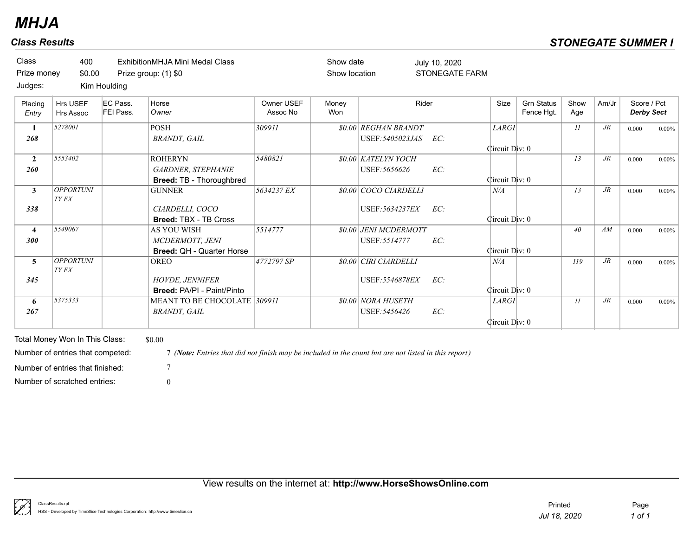| Class<br>Prize money<br>Judges: | 400<br>\$0.00                    | Kim Houlding          | ExhibitionMHJA Mini Medal Class<br>Prize group: (1) \$0                   |                        | Show date<br>Show location |                                                 | July 10, 2020<br><b>STONEGATE FARM</b> |                                |                                 |             |        |                                  |          |
|---------------------------------|----------------------------------|-----------------------|---------------------------------------------------------------------------|------------------------|----------------------------|-------------------------------------------------|----------------------------------------|--------------------------------|---------------------------------|-------------|--------|----------------------------------|----------|
| Placing<br>Entry                | Hrs USEF<br><b>Hrs Assoc</b>     | EC Pass.<br>FEI Pass. | Horse<br>Owner                                                            | Owner USEF<br>Assoc No | Money<br>Won               |                                                 | Rider                                  | Size                           | <b>Grn Status</b><br>Fence Hgt. | Show<br>Age | Am/Jr  | Score / Pct<br><b>Derby Sect</b> |          |
| 268                             | 5278001                          |                       | <b>POSH</b><br><b>BRANDT</b> , GAIL                                       | 309911                 |                            | <b>\$0.00 REGHAN BRANDT</b><br>USEF: 5405023JAS | EC:                                    | <b>LARGI</b>                   |                                 | II          | $J\!R$ | 0.000                            | $0.00\%$ |
| $\mathbf{2}$<br>260             | 5553402                          |                       | <b>ROHERYN</b><br><b>GARDNER, STEPHANIE</b>                               | 5480821                |                            | <b>\$0.00 KATELYN YOCH</b><br>USEF: 5656626     | EC:                                    | Circuit Div: 0                 |                                 | 13          | $J\!R$ | 0.000                            | $0.00\%$ |
| $\mathbf{3}$                    | <b>OPPORTUNI</b><br><b>TY EX</b> |                       | Breed: TB - Thoroughbred<br><b>GUNNER</b>                                 | 5634237 EX             |                            | \$0.00 COCO CIARDELLI                           |                                        | Circuit Div: 0<br>N/A          |                                 | 13          | $J\!R$ | 0.000                            | $0.00\%$ |
| 338                             |                                  |                       | CIARDELLI, COCO<br>Breed: TBX - TB Cross                                  |                        |                            | USEF: 5634237EX                                 | EC:                                    | Circuit Div: 0                 |                                 |             |        |                                  |          |
| $\overline{4}$<br>300           | 5549067                          |                       | <b>AS YOU WISH</b><br>MCDERMOTT, JENI<br><b>Breed: QH - Quarter Horse</b> | 5514777                |                            | \$0.00 JENI MCDERMOTT<br>USEF: 5514777          | EC:                                    | Circuit Div: 0                 |                                 | 40          | AM     | 0.000                            | $0.00\%$ |
| $\overline{5}$                  | <b>OPPORTUNI</b><br><b>TY EX</b> |                       | <b>OREO</b>                                                               | 4772797 SP             |                            | \$0.00 CIRI CIARDELLI                           |                                        | N/A                            |                                 | 119         | $J\!R$ | 0.000                            | $0.00\%$ |
| 345                             |                                  |                       | <b>HOVDE, JENNIFER</b><br>Breed: PA/PI - Paint/Pinto                      |                        |                            | USEF: 5546878EX                                 | EC:                                    | Circuit Div: 0                 |                                 |             |        |                                  |          |
| 6<br>267                        | 5375333                          |                       | MEANT TO BE CHOCOLATE 309911<br><b>BRANDT</b> , GAIL                      |                        |                            | <b>\$0.00 NORA HUSETH</b><br>USEF: 5456426      | EC:                                    | <b>LARGI</b><br>Circuit Div: 0 |                                 | II          | $J\!R$ | 0.000                            | $0.00\%$ |

Total Money Won In This Class: \$0.00 Number of entries that finished: 7

Number of entries that competed: 7 *(Note: Entries that did not finish may be included in the count but are not listed in this report)*

Number of scratched entries: 0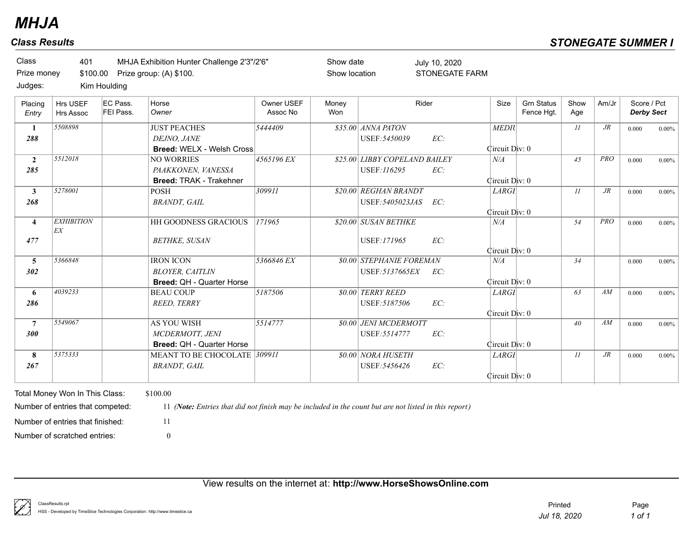Prize group: (A) \$100. 401 MHJA Exhibition Hunter Challenge 2'3"/2'6" STONEGATE FARM Show date Show location Class Prize money \$100.00 Judges: July 10, 2020 Kim Houlding

| Placing<br>Entry | Hrs USEF<br><b>Hrs Assoc</b> | IEC Pass.<br>FEI Pass. | Horse<br>Owner                      | Owner USEF<br>Assoc No | Money<br>Won | Rider                         |     | Size           | <b>Grn Status</b><br>Fence Hgt. | Show<br>Age | Am/Jr      | Score / Pct<br><b>Derby Sect</b> |          |
|------------------|------------------------------|------------------------|-------------------------------------|------------------------|--------------|-------------------------------|-----|----------------|---------------------------------|-------------|------------|----------------------------------|----------|
|                  |                              |                        |                                     |                        |              |                               |     |                |                                 |             |            |                                  |          |
| 1                | 5508898                      |                        | <b>JUST PEACHES</b>                 | 5444409                |              | $$35.00$ ANNA PATON           |     | <b>MEDIU</b>   |                                 | 11          | $J\!R$     | 0.000                            | $0.00\%$ |
| 288              |                              |                        | DEJNO, JANE                         |                        |              | USEF: 5450039                 | EC: |                |                                 |             |            |                                  |          |
|                  |                              |                        | <b>Breed: WELX - Welsh Cross</b>    |                        |              |                               |     | Circuit Div: 0 |                                 |             |            |                                  |          |
| $\mathbf{2}$     | 5512018                      |                        | <b>NO WORRIES</b>                   | 4565196 EX             |              | \$25.00 LIBBY COPELAND BAILEY |     | N/A            |                                 | 45          | <b>PRO</b> | 0.000                            | $0.00\%$ |
| 285              |                              |                        | PAAKKONEN. VANESSA                  |                        |              | USEF:116295                   | EC: |                |                                 |             |            |                                  |          |
|                  |                              |                        | <b>Breed: TRAK - Trakehner</b>      |                        |              |                               |     | Circuit Div: 0 |                                 |             |            |                                  |          |
| $\mathbf{3}$     | 5278001                      |                        | <b>POSH</b>                         | 309911                 |              | \$20.00 REGHAN BRANDT         |     | <b>LARGI</b>   |                                 | 11          | $J\!R$     | 0.000                            | $0.00\%$ |
| 268              |                              |                        | <b>BRANDT, GAIL</b>                 |                        |              | USEF: 5405023JAS              | EC: |                |                                 |             |            |                                  |          |
|                  |                              |                        |                                     |                        |              |                               |     | Circuit Div: 0 |                                 |             |            |                                  |          |
| $\overline{4}$   | <b>EXHIBITION</b>            |                        | <b>HH GOODNESS GRACIOUS</b>         | 171965                 |              | \$20.00 SUSAN BETHKE          |     | N/A            |                                 | 54          | <b>PRO</b> | 0.000                            | $0.00\%$ |
|                  | EX                           |                        |                                     |                        |              |                               |     |                |                                 |             |            |                                  |          |
| 477              |                              |                        | <b>BETHKE, SUSAN</b>                |                        |              | USEF:171965                   | EC: |                |                                 |             |            |                                  |          |
|                  |                              |                        |                                     |                        |              |                               |     | Circuit Div: 0 |                                 |             |            |                                  |          |
| 5                | 5366848                      |                        | <b>IRON ICON</b>                    | 5366846 EX             |              | \$0.00 STEPHANIE FOREMAN      |     | N/A            |                                 | 34          |            | 0.000                            | $0.00\%$ |
| 302              |                              |                        | <b>BLOYER, CAITLIN</b>              |                        |              | USEF: 5137665EX               | EC: |                |                                 |             |            |                                  |          |
|                  |                              |                        | <b>Breed: QH - Quarter Horse</b>    |                        |              |                               |     | Circuit Div: 0 |                                 |             |            |                                  |          |
| 6                | 4039233                      |                        | <b>BEAU COUP</b>                    | 5187506                |              | <b>\$0.00 TERRY REED</b>      |     | <b>LARGI</b>   |                                 | 63          | AM         | 0.000                            | $0.00\%$ |
| 286              |                              |                        | <b>REED, TERRY</b>                  |                        |              | USEF: 5187506                 | EC: |                |                                 |             |            |                                  |          |
|                  |                              |                        |                                     |                        |              |                               |     | Circuit Div: 0 |                                 |             |            |                                  |          |
| $\overline{7}$   | 5549067                      |                        | <b>AS YOU WISH</b>                  | 5514777                |              | <b>\$0.00 JENI MCDERMOTT</b>  |     |                |                                 | 40          | AM         | 0.000                            | $0.00\%$ |
| 300              |                              |                        | MCDERMOTT, JENI                     |                        |              | USEF: 5514777                 | EC: |                |                                 |             |            |                                  |          |
|                  |                              |                        | <b>Breed: OH - Quarter Horse</b>    |                        |              |                               |     | Circuit Div: 0 |                                 |             |            |                                  |          |
| 8                | 5375333                      |                        | <b>MEANT TO BE CHOCOLATE 309911</b> |                        |              | \$0.00 NORA HUSETH            |     | <b>LARGI</b>   |                                 | 11          | $J\!R$     | 0.000                            | $0.00\%$ |
| 267              |                              |                        | <b>BRANDT</b> , GAIL                |                        |              | USEF: 5456426                 | EC: |                |                                 |             |            |                                  |          |
|                  |                              |                        |                                     |                        |              |                               |     | Circuit Div: 0 |                                 |             |            |                                  |          |
|                  |                              |                        |                                     |                        |              |                               |     |                |                                 |             |            |                                  |          |

Total Money Won In This Class: \$100.00 Number of scratched entries: 0 Number of entries that finished: 11

Number of entries that competed: 11 *(Note: Entries that did not finish may be included in the count but are not listed in this report)*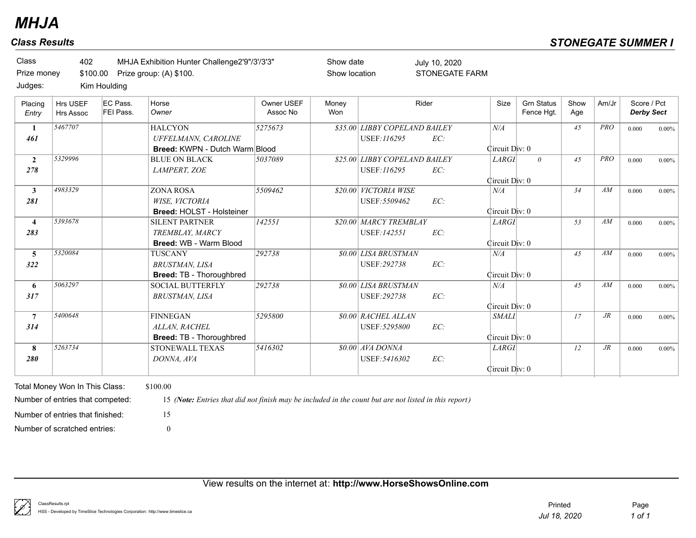Prize group: (A) \$100. 402 MHJA Exhibition Hunter Challenge2'9"/3'/3'3" Class Prize money \$100.00 Judges:

Kim Houlding

| Placing<br>Entry        | <b>Hrs USEF</b><br>Hrs Assoc | EC Pass.<br>FEI Pass. | Horse<br>Owner                        | Owner USEF<br>Assoc No | Money<br>Won | Rider                         |     | Size           | <b>Grn Status</b><br>Fence Hgt. | Show<br>Age | Am/Jr      | Score / Pct<br><b>Derby Sect</b> |          |
|-------------------------|------------------------------|-----------------------|---------------------------------------|------------------------|--------------|-------------------------------|-----|----------------|---------------------------------|-------------|------------|----------------------------------|----------|
| $\mathbf{1}$            | 5467707                      |                       | <b>HALCYON</b>                        | 5275673                |              | \$35.00 LIBBY COPELAND BAILEY |     | N/A            |                                 | 45          | PRO        | 0.000                            | $0.00\%$ |
| 461                     |                              |                       | UFFELMANN, CAROLINE                   |                        |              | <b>USEF:116295</b>            | EC: |                |                                 |             |            |                                  |          |
|                         |                              |                       | <b>Breed: KWPN - Dutch Warm Blood</b> |                        |              |                               |     | Circuit Div: 0 |                                 |             |            |                                  |          |
| $\overline{2}$          | 5329996                      |                       | <b>BLUE ON BLACK</b>                  | 5037089                |              | \$25.00 LIBBY COPELAND BAILEY |     | <b>LARGI</b>   | $\theta$                        | 45          | <b>PRO</b> | 0.000                            | $0.00\%$ |
| 278                     |                              |                       | LAMPERT, ZOE                          |                        |              | USEF:116295                   | EC: |                |                                 |             |            |                                  |          |
|                         |                              |                       |                                       |                        |              |                               |     | Circuit Div: 0 |                                 |             |            |                                  |          |
| 3 <sup>1</sup>          | 4983329                      |                       | <b>ZONA ROSA</b>                      | 5509462                |              | \$20.00 VICTORIA WISE         |     | N/A            |                                 | 34          | AM         | 0.000                            | $0.00\%$ |
| 281                     |                              |                       | WISE, VICTORIA                        |                        |              | USEF: 5509462                 | EC: |                |                                 |             |            |                                  |          |
|                         |                              |                       | <b>Breed: HOLST - Holsteiner</b>      |                        |              |                               |     | Circuit Div: 0 |                                 |             |            |                                  |          |
| $\overline{\mathbf{4}}$ | 5393678                      |                       | <b>SILENT PARTNER</b>                 | 142551                 |              | \$20.00 MARCY TREMBLAY        |     | <b>LARGI</b>   |                                 | 53          | AM         | 0.000                            | $0.00\%$ |
| 283                     |                              |                       | TREMBLAY, MARCY                       |                        |              | USEF:142551                   | EC: |                |                                 |             |            |                                  |          |
|                         |                              |                       | Breed: WB - Warm Blood                |                        |              |                               |     | Circuit Div: 0 |                                 |             |            |                                  |          |
| $\overline{\mathbf{5}}$ | 5320084                      |                       | <b>TUSCANY</b>                        | 292738                 |              | <b>\$0.00 LISA BRUSTMAN</b>   |     | N/A            |                                 | 45          | AM         | 0.000                            | $0.00\%$ |
| 322                     |                              |                       | <b>BRUSTMAN, LISA</b>                 |                        |              | USEF: 292738                  | EC: |                |                                 |             |            |                                  |          |
|                         |                              |                       | <b>Breed: TB - Thoroughbred</b>       |                        |              |                               |     | Circuit Div: 0 |                                 |             |            |                                  |          |
| 6                       | 5063297                      |                       | <b>SOCIAL BUTTERFLY</b>               | 292738                 |              | <b>\$0.00 LISA BRUSTMAN</b>   |     | N/A            |                                 | 45          | AM         | 0.000                            | $0.00\%$ |
| 317                     |                              |                       | <b>BRUSTMAN, LISA</b>                 |                        |              | USEF: 292738                  | EC: |                |                                 |             |            |                                  |          |
|                         |                              |                       |                                       |                        |              |                               |     | Circuit Div: 0 |                                 |             |            |                                  |          |
| $\overline{7}$          | 5400648                      |                       | <b>FINNEGAN</b>                       | 5295800                |              | <b>\$0.00 RACHEL ALLAN</b>    |     | <b>SMALI</b>   |                                 | 17          | $J\!R$     | 0.000                            | $0.00\%$ |
| 314                     |                              |                       | ALLAN, RACHEL                         |                        |              | USEF: 5295800                 | EC: |                |                                 |             |            |                                  |          |
|                         |                              |                       | Breed: TB - Thoroughbred              |                        |              |                               |     | Circuit Div: 0 |                                 |             |            |                                  |          |
| 8                       | 5263734                      |                       | <b>STONEWALL TEXAS</b>                | 5416302                |              | $$0.00$ <i>AVA DONNA</i>      |     | <b>LARGI</b>   |                                 | 12          | $J\!R$     | 0.000                            | $0.00\%$ |
| 280                     |                              |                       | DONNA, AVA                            |                        |              | USEF: 5416302                 | EC: |                |                                 |             |            |                                  |          |
|                         |                              |                       |                                       |                        |              |                               |     | Circuit Div: 0 |                                 |             |            |                                  |          |
|                         |                              |                       |                                       |                        |              |                               |     |                |                                 |             |            |                                  |          |

Show date Show location

STONEGATE FARM

July 10, 2020

Total Money Won In This Class: \$100.00 Number of scratched entries: 0 Number of entries that finished: 15

Number of entries that competed: 15 *(Note: Entries that did not finish may be included in the count but are not listed in this report)*